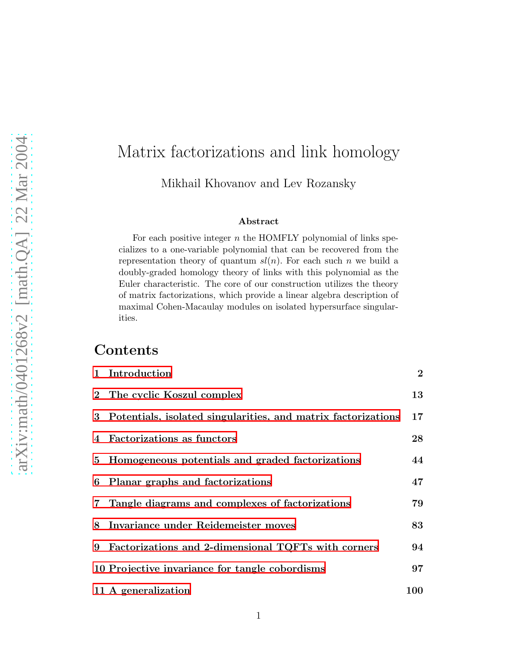# arXiv:math/0401268v2 [math.QA] 22 Mar 2004 [arXiv:math/0401268v2 \[math.QA\] 22 Mar 2004](http://arXiv.org/abs/math/0401268v2)

# Matrix factorizations and link homology

Mikhail Khovanov and Lev Rozansky

### Abstract

For each positive integer  $n$  the HOMFLY polynomial of links specializes to a one-variable polynomial that can be recovered from the representation theory of quantum  $sl(n)$ . For each such n we build a doubly-graded homology theory of links with this polynomial as the Euler characteristic. The core of our construction utilizes the theory of matrix factorizations, which provide a linear algebra description of maximal Cohen-Macaulay modules on isolated hypersurface singularities.

# Contents

|   | 1 Introduction                                                  | $\bf{2}$   |
|---|-----------------------------------------------------------------|------------|
|   | 2 The cyclic Koszul complex                                     | 13         |
|   | 3 Potentials, isolated singularities, and matrix factorizations | 17         |
|   | 4 Factorizations as functors                                    | 28         |
|   | 5 Homogeneous potentials and graded factorizations              | 44         |
|   | 6 Planar graphs and factorizations                              | 47         |
|   | 7 Tangle diagrams and complexes of factorizations               | 79         |
|   | 8 Invariance under Reidemeister moves                           | 83         |
| 9 | Factorizations and 2-dimensional TQFTs with corners             | 94         |
|   | 10 Projective invariance for tangle cobordisms                  | 97         |
|   | 11 A generalization                                             | <b>100</b> |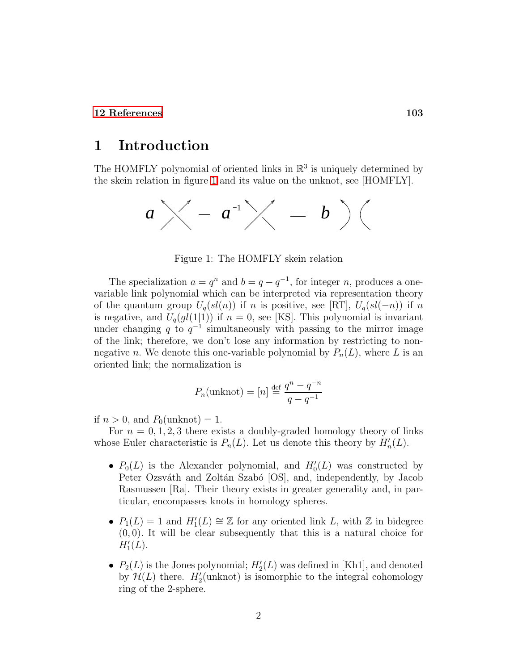### <span id="page-1-0"></span>[12 References](#page-102-0) 103

### 1 Introduction

The HOMFLY polynomial of oriented links in  $\mathbb{R}^3$  is uniquely determined by the skein relation in figure [1](#page-1-1) and its value on the unknot, see [HOMFLY].



<span id="page-1-1"></span>Figure 1: The HOMFLY skein relation

The specialization  $a = q^n$  and  $b = q - q^{-1}$ , for integer n, produces a onevariable link polynomial which can be interpreted via representation theory of the quantum group  $U_q(sl(n))$  if n is positive, see [RT],  $U_q(sl(-n))$  if n is negative, and  $U_q(gl(1|1))$  if  $n = 0$ , see [KS]. This polynomial is invariant under changing q to  $q^{-1}$  simultaneously with passing to the mirror image of the link; therefore, we don't lose any information by restricting to nonnegative n. We denote this one-variable polynomial by  $P_n(L)$ , where L is an oriented link; the normalization is

$$
P_n(\text{unknot}) = [n] \stackrel{\text{def}}{=} \frac{q^n - q^{-n}}{q - q^{-1}}
$$

if  $n > 0$ , and  $P_0(\text{unknot}) = 1$ .

For  $n = 0, 1, 2, 3$  there exists a doubly-graded homology theory of links whose Euler characteristic is  $P_n(L)$ . Let us denote this theory by  $H'_n(L)$ .

- $P_0(L)$  is the Alexander polynomial, and  $H'_0(L)$  was constructed by Peter Ozsváth and Zoltán Szabó [OS], and, independently, by Jacob Rasmussen [Ra]. Their theory exists in greater generality and, in particular, encompasses knots in homology spheres.
- $P_1(L) = 1$  and  $H'_1(L) \cong \mathbb{Z}$  for any oriented link L, with  $\mathbb{Z}$  in bidegree  $(0, 0)$ . It will be clear subsequently that this is a natural choice for  $H'_{1}(L)$ .
- $P_2(L)$  is the Jones polynomial;  $H'_2(L)$  was defined in [Kh1], and denoted by  $\mathcal{H}(L)$  there.  $H'_{2}(\text{unknot})$  is isomorphic to the integral cohomology ring of the 2-sphere.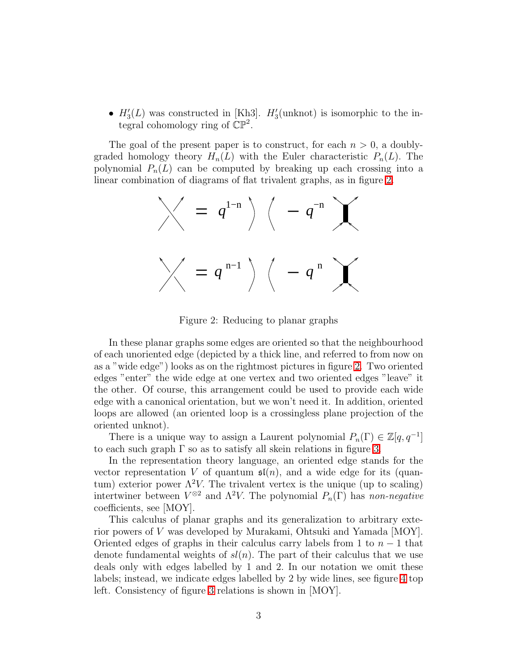•  $H'_{3}(L)$  was constructed in [Kh3].  $H'_{3}(\text{unknot})$  is isomorphic to the integral cohomology ring of  $\mathbb{CP}^2$ .

The goal of the present paper is to construct, for each  $n > 0$ , a doublygraded homology theory  $H_n(L)$  with the Euler characteristic  $P_n(L)$ . The polynomial  $P_n(L)$  can be computed by breaking up each crossing into a linear combination of diagrams of flat trivalent graphs, as in figure [2.](#page-2-0)

$$
\bigvee = q^{1-n} \bigg\backslash \left( -q^{-n} \right)
$$
  

$$
\bigvee = q^{n-1} \bigg\rbrace \left( -q^{n} \right)
$$

<span id="page-2-0"></span>Figure 2: Reducing to planar graphs

In these planar graphs some edges are oriented so that the neighbourhood of each unoriented edge (depicted by a thick line, and referred to from now on as a "wide edge") looks as on the rightmost pictures in figure [2.](#page-2-0) Two oriented edges "enter" the wide edge at one vertex and two oriented edges "leave" it the other. Of course, this arrangement could be used to provide each wide edge with a canonical orientation, but we won't need it. In addition, oriented loops are allowed (an oriented loop is a crossingless plane projection of the oriented unknot).

There is a unique way to assign a Laurent polynomial  $P_n(\Gamma) \in \mathbb{Z}[q, q^{-1}]$ to each such graph  $\Gamma$  so as to satisfy all skein relations in figure [3.](#page-3-0)

In the representation theory language, an oriented edge stands for the vector representation V of quantum  $\mathfrak{sl}(n)$ , and a wide edge for its (quantum) exterior power  $\Lambda^2 V$ . The trivalent vertex is the unique (up to scaling) intertwiner between  $V^{\otimes 2}$  and  $\Lambda^2 V$ . The polynomial  $P_n(\Gamma)$  has *non-negative* coefficients, see [MOY].

This calculus of planar graphs and its generalization to arbitrary exterior powers of V was developed by Murakami, Ohtsuki and Yamada [MOY]. Oriented edges of graphs in their calculus carry labels from 1 to  $n-1$  that denote fundamental weights of  $sl(n)$ . The part of their calculus that we use deals only with edges labelled by 1 and 2. In our notation we omit these labels; instead, we indicate edges labelled by 2 by wide lines, see figure [4](#page-4-0) top left. Consistency of figure [3](#page-3-0) relations is shown in [MOY].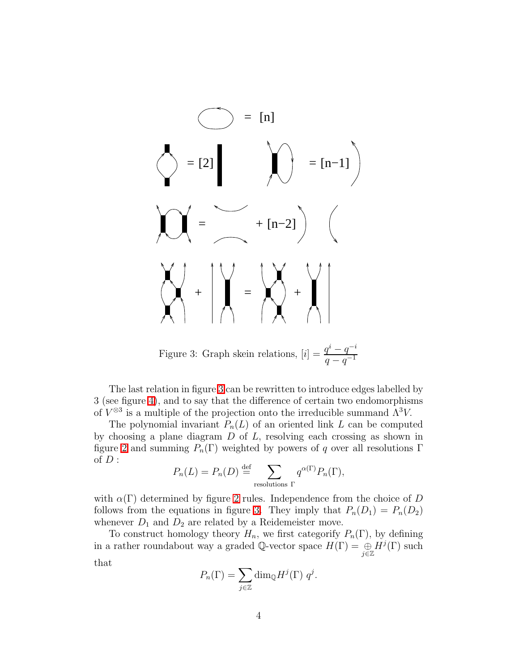$$
\begin{pmatrix}\n\end{pmatrix} = \begin{bmatrix}\n1 \\
\end{bmatrix}\n\end{pmatrix} = \begin{bmatrix}\n1 \\
\end{bmatrix}\n\begin{pmatrix}\n\end{pmatrix} = \begin{bmatrix}\n1 \\
\end{bmatrix}\n\begin{pmatrix}\n\end{pmatrix} = \begin{bmatrix}\n1 \\
\end{bmatrix}\n\begin{pmatrix}\n\end{pmatrix} + \begin{bmatrix}\n\end{pmatrix} = \begin{bmatrix}\n\end{bmatrix}\n\begin{pmatrix}\n\end{pmatrix} + \begin{bmatrix}\n\end{pmatrix} + \begin{bmatrix}\n\end{pmatrix} = \begin{bmatrix}\n\end{bmatrix}\n\begin{pmatrix}\n\end{pmatrix} + \begin{bmatrix}\n\end{pmatrix} + \begin{bmatrix}\n\end{pmatrix} = \begin{bmatrix}\n\end{bmatrix}
$$

<span id="page-3-0"></span>Figure 3: Graph skein relations,  $[i] = \frac{q^{i} - q^{-i}}{q-1}$  $q - q^{-1}$ 

The last relation in figure [3](#page-3-0) can be rewritten to introduce edges labelled by 3 (see figure [4\)](#page-4-0), and to say that the difference of certain two endomorphisms of  $V^{\otimes 3}$  is a multiple of the projection onto the irreducible summand  $\Lambda^3 V$ .

The polynomial invariant  $P_n(L)$  of an oriented link L can be computed by choosing a plane diagram  $D$  of  $L$ , resolving each crossing as shown in figure [2](#page-2-0) and summing  $P_n(\Gamma)$  weighted by powers of q over all resolutions  $\Gamma$ of  $D$  :

$$
P_n(L) = P_n(D) \stackrel{\text{def}}{=} \sum_{\text{resolutions } \Gamma} q^{\alpha(\Gamma)} P_n(\Gamma),
$$

with  $\alpha(\Gamma)$  determined by figure [2](#page-2-0) rules. Independence from the choice of D follows from the equations in figure [3.](#page-3-0) They imply that  $P_n(D_1) = P_n(D_2)$ whenever  $D_1$  and  $D_2$  are related by a Reidemeister move.

To construct homology theory  $H_n$ , we first categorify  $P_n(\Gamma)$ , by defining in a rather roundabout way a graded Q-vector space  $H(\Gamma) = \bigoplus\limits_{j \in \mathbb{Z}} H^j(\Gamma)$  such

that

$$
P_n(\Gamma) = \sum_{j \in \mathbb{Z}} \dim_{\mathbb{Q}} H^j(\Gamma) \ q^j.
$$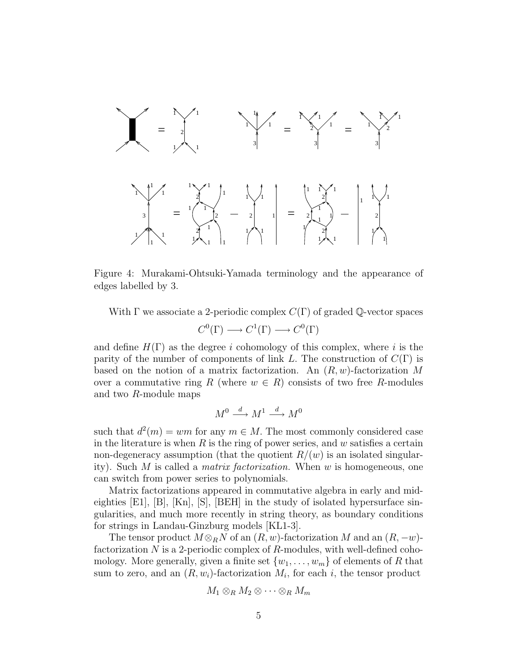

<span id="page-4-0"></span>Figure 4: Murakami-Ohtsuki-Yamada terminology and the appearance of edges labelled by 3.

With  $\Gamma$  we associate a 2-periodic complex  $C(\Gamma)$  of graded  $\mathbb{Q}$ -vector spaces  $C^0(\Gamma) \longrightarrow C^1(\Gamma) \longrightarrow C^0(\Gamma)$ 

and define  $H(\Gamma)$  as the degree i cohomology of this complex, where i is the parity of the number of components of link L. The construction of  $C(\Gamma)$  is based on the notion of a matrix factorization. An  $(R, w)$ -factorization M over a commutative ring R (where  $w \in R$ ) consists of two free R-modules and two R-module maps

$$
M^0 \xrightarrow{d} M^1 \xrightarrow{d} M^0
$$

such that  $d^2(m) = wm$  for any  $m \in M$ . The most commonly considered case in the literature is when  $R$  is the ring of power series, and  $w$  satisfies a certain non-degeneracy assumption (that the quotient  $R/(w)$  is an isolated singularity). Such M is called a *matrix factorization.* When w is homogeneous, one can switch from power series to polynomials.

Matrix factorizations appeared in commutative algebra in early and mideighties  $[E1], [B], [Kn], [S], [BEH]$  in the study of isolated hypersurface singularities, and much more recently in string theory, as boundary conditions for strings in Landau-Ginzburg models [KL1-3].

The tensor product  $M \otimes_R N$  of an  $(R, w)$ -factorization M and an  $(R, -w)$ factorization  $N$  is a 2-periodic complex of  $R$ -modules, with well-defined cohomology. More generally, given a finite set  $\{w_1, \ldots, w_m\}$  of elements of R that sum to zero, and an  $(R, w_i)$ -factorization  $M_i$ , for each i, the tensor product

$$
M_1\otimes_R M_2\otimes \cdots \otimes_R M_m
$$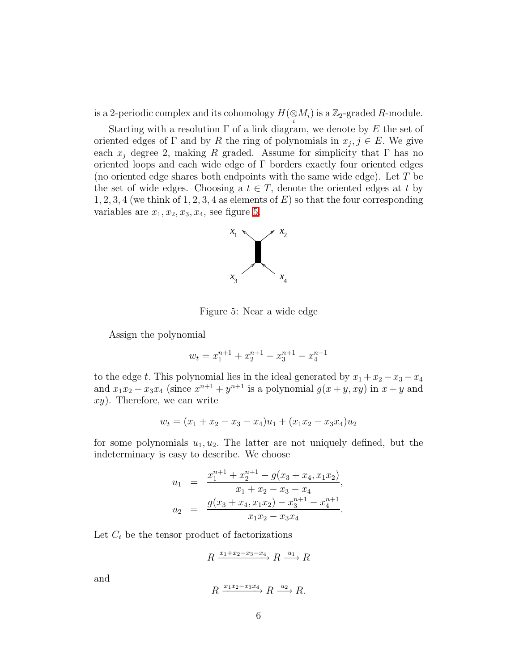is a 2-periodic complex and its cohomology  $H({\displaystyle \mathop{\otimes} M_{i}})$  is a  ${\mathbb Z}_{2}$ -graded  $R$ -module.

Starting with a resolution  $\Gamma$  of a link diagram, we denote by E the set of oriented edges of  $\Gamma$  and by R the ring of polynomials in  $x_j, j \in E$ . We give each  $x_i$  degree 2, making R graded. Assume for simplicity that  $\Gamma$  has no oriented loops and each wide edge of Γ borders exactly four oriented edges (no oriented edge shares both endpoints with the same wide edge). Let T be the set of wide edges. Choosing a  $t \in T$ , denote the oriented edges at t by  $1, 2, 3, 4$  (we think of 1, 2, 3, 4 as elements of E) so that the four corresponding variables are  $x_1, x_2, x_3, x_4$ , see figure [5.](#page-5-0)



<span id="page-5-0"></span>Figure 5: Near a wide edge

Assign the polynomial

$$
w_t = x_1^{n+1} + x_2^{n+1} - x_3^{n+1} - x_4^{n+1}
$$

to the edge t. This polynomial lies in the ideal generated by  $x_1 + x_2 - x_3 - x_4$ and  $x_1x_2 - x_3x_4$  (since  $x^{n+1} + y^{n+1}$  is a polynomial  $g(x+y, xy)$  in  $x+y$  and  $xy$ ). Therefore, we can write

$$
w_t = (x_1 + x_2 - x_3 - x_4)u_1 + (x_1x_2 - x_3x_4)u_2
$$

for some polynomials  $u_1, u_2$ . The latter are not uniquely defined, but the indeterminacy is easy to describe. We choose

$$
u_1 = \frac{x_1^{n+1} + x_2^{n+1} - g(x_3 + x_4, x_1x_2)}{x_1 + x_2 - x_3 - x_4},
$$
  
\n
$$
u_2 = \frac{g(x_3 + x_4, x_1x_2) - x_3^{n+1} - x_4^{n+1}}{x_1x_2 - x_3x_4}.
$$

Let  $C_t$  be the tensor product of factorizations

$$
R \xrightarrow{x_1 + x_2 - x_3 - x_4} R \xrightarrow{u_1} R
$$

and

$$
R \xrightarrow{x_1x_2-x_3x_4} R \xrightarrow{u_2} R.
$$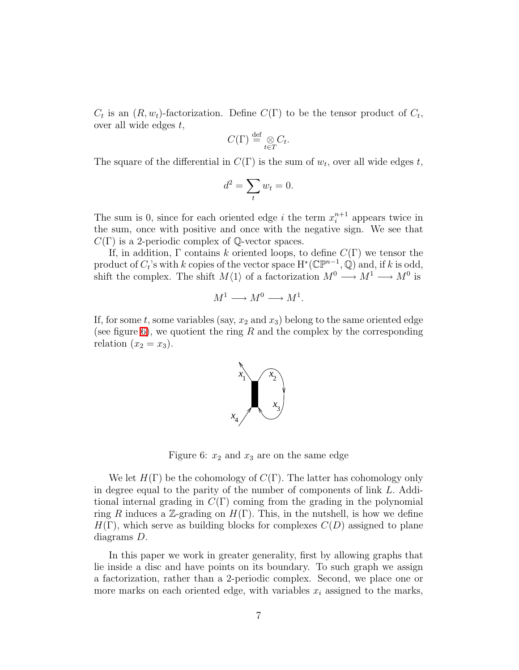$C_t$  is an  $(R, w_t)$ -factorization. Define  $C(\Gamma)$  to be the tensor product of  $C_t$ , over all wide edges  $t$ ,

$$
C(\Gamma) \stackrel{\text{def}}{=} \underset{t \in T}{\otimes} C_t.
$$

The square of the differential in  $C(\Gamma)$  is the sum of  $w_t$ , over all wide edges t,

$$
d^2 = \sum_t w_t = 0.
$$

The sum is 0, since for each oriented edge *i* the term  $x_i^{n+1}$  $i^{n+1}$  appears twice in the sum, once with positive and once with the negative sign. We see that  $C(\Gamma)$  is a 2-periodic complex of Q-vector spaces.

If, in addition,  $\Gamma$  contains k oriented loops, to define  $C(\Gamma)$  we tensor the product of  $C_t$ 's with k copies of the vector space  $H^*(\mathbb{CP}^{n-1}, \mathbb{Q})$  and, if k is odd, shift the complex. The shift  $M\langle 1\rangle$  of a factorization  $M^0 \longrightarrow M^1 \longrightarrow M^0$  is

$$
M^1 \longrightarrow M^0 \longrightarrow M^1.
$$

If, for some t, some variables (say,  $x_2$  and  $x_3$ ) belong to the same oriented edge (see figure [6\)](#page-6-0), we quotient the ring R and the complex by the corresponding relation  $(x_2 = x_3)$ .



<span id="page-6-0"></span>Figure 6:  $x_2$  and  $x_3$  are on the same edge

We let  $H(\Gamma)$  be the cohomology of  $C(\Gamma)$ . The latter has cohomology only in degree equal to the parity of the number of components of link L. Additional internal grading in  $C(\Gamma)$  coming from the grading in the polynomial ring R induces a Z-grading on  $H(\Gamma)$ . This, in the nutshell, is how we define  $H(\Gamma)$ , which serve as building blocks for complexes  $C(D)$  assigned to plane diagrams D.

In this paper we work in greater generality, first by allowing graphs that lie inside a disc and have points on its boundary. To such graph we assign a factorization, rather than a 2-periodic complex. Second, we place one or more marks on each oriented edge, with variables  $x_i$  assigned to the marks,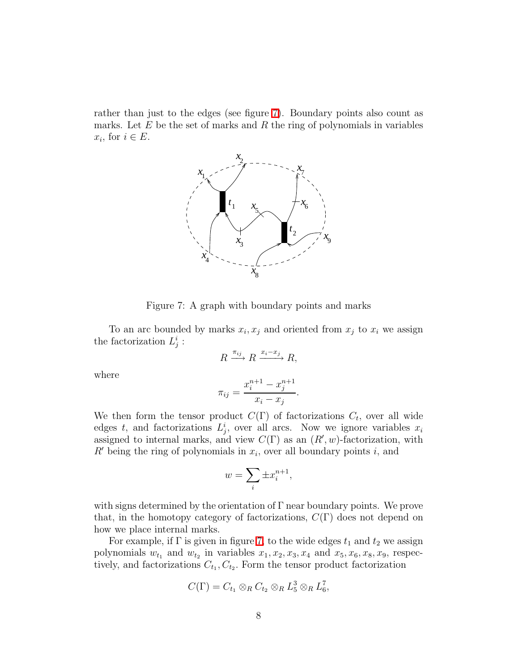rather than just to the edges (see figure [7\)](#page-7-0). Boundary points also count as marks. Let  $E$  be the set of marks and  $R$  the ring of polynomials in variables  $x_i$ , for  $i \in E$ .



<span id="page-7-0"></span>Figure 7: A graph with boundary points and marks

To an arc bounded by marks  $x_i, x_j$  and oriented from  $x_j$  to  $x_i$  we assign the factorization  $L_j^i$ :

$$
R \xrightarrow{\pi_{ij}} R \xrightarrow{x_i - x_j} R,
$$

where

$$
\pi_{ij} = \frac{x_i^{n+1} - x_j^{n+1}}{x_i - x_j}.
$$

We then form the tensor product  $C(\Gamma)$  of factorizations  $C_t$ , over all wide edges t, and factorizations  $L_j^i$ , over all arcs. Now we ignore variables  $x_i$ assigned to internal marks, and view  $C(\Gamma)$  as an  $(R', w)$ -factorization, with  $R'$  being the ring of polynomials in  $x_i$ , over all boundary points i, and

$$
w = \sum_{i} \pm x_i^{n+1},
$$

with signs determined by the orientation of  $\Gamma$  near boundary points. We prove that, in the homotopy category of factorizations,  $C(\Gamma)$  does not depend on how we place internal marks.

For example, if  $\Gamma$  is given in figure [7,](#page-7-0) to the wide edges  $t_1$  and  $t_2$  we assign polynomials  $w_{t_1}$  and  $w_{t_2}$  in variables  $x_1, x_2, x_3, x_4$  and  $x_5, x_6, x_8, x_9$ , respectively, and factorizations  $C_{t_1}, C_{t_2}$ . Form the tensor product factorization

$$
C(\Gamma) = C_{t_1} \otimes_R C_{t_2} \otimes_R L_5^3 \otimes_R L_6^7,
$$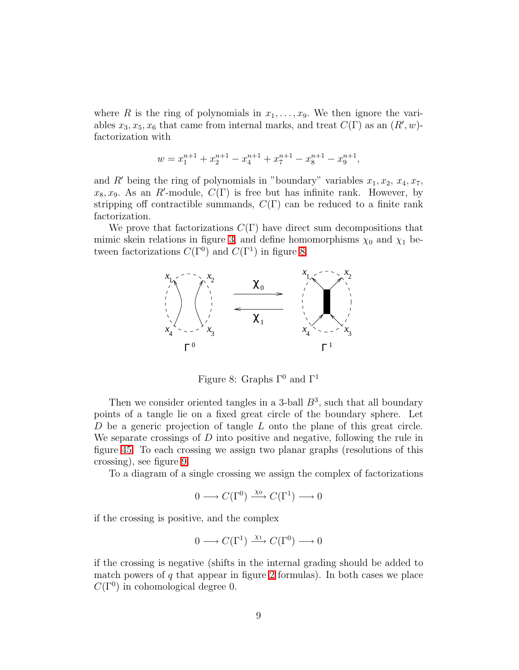where R is the ring of polynomials in  $x_1, \ldots, x_9$ . We then ignore the variables  $x_3, x_5, x_6$  that came from internal marks, and treat  $C(\Gamma)$  as an  $(R', w)$ factorization with

$$
w=x_1^{n+1}+x_2^{n+1}-x_4^{n+1}+x_7^{n+1}-x_8^{n+1}-x_9^{n+1},\\
$$

and R' being the ring of polynomials in "boundary" variables  $x_1, x_2, x_4, x_7$ ,  $x_8, x_9$ . As an R'-module,  $C(\Gamma)$  is free but has infinite rank. However, by stripping off contractible summands,  $C(\Gamma)$  can be reduced to a finite rank factorization.

We prove that factorizations  $C(\Gamma)$  have direct sum decompositions that mimic skein relations in figure [3,](#page-3-0) and define homomorphisms  $\chi_0$  and  $\chi_1$  between factorizations  $C(\Gamma^0)$  and  $C(\Gamma^1)$  in figure [8.](#page-8-0)



<span id="page-8-0"></span>Figure 8: Graphs  $\Gamma^0$  and  $\Gamma^1$ 

Then we consider oriented tangles in a 3-ball  $B^3$ , such that all boundary points of a tangle lie on a fixed great circle of the boundary sphere. Let D be a generic projection of tangle L onto the plane of this great circle. We separate crossings of  $D$  into positive and negative, following the rule in figure [45.](#page-80-0) To each crossing we assign two planar graphs (resolutions of this crossing), see figure [9.](#page-9-0)

To a diagram of a single crossing we assign the complex of factorizations

$$
0 \longrightarrow C(\Gamma^0) \xrightarrow{\chi_0} C(\Gamma^1) \longrightarrow 0
$$

if the crossing is positive, and the complex

$$
0 \longrightarrow C(\Gamma^1) \xrightarrow{\chi_1} C(\Gamma^0) \longrightarrow 0
$$

if the crossing is negative (shifts in the internal grading should be added to match powers of  $q$  that appear in figure [2](#page-2-0) formulas). In both cases we place  $C(\Gamma^0)$  in cohomological degree 0.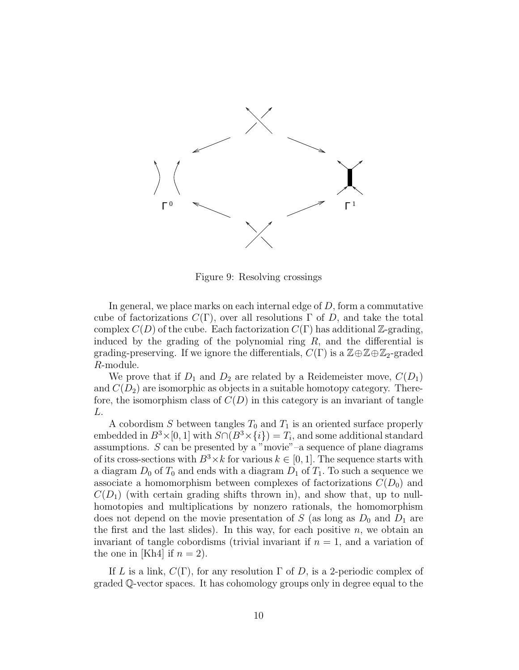

<span id="page-9-0"></span>Figure 9: Resolving crossings

In general, we place marks on each internal edge of  $D$ , form a commutative cube of factorizations  $C(\Gamma)$ , over all resolutions  $\Gamma$  of D, and take the total complex  $C(D)$  of the cube. Each factorization  $C(\Gamma)$  has additional Z-grading, induced by the grading of the polynomial ring  $R$ , and the differential is grading-preserving. If we ignore the differentials,  $C(\Gamma)$  is a  $\mathbb{Z}\oplus\mathbb{Z}_2$ -graded R-module.

We prove that if  $D_1$  and  $D_2$  are related by a Reidemeister move,  $C(D_1)$ and  $C(D_2)$  are isomorphic as objects in a suitable homotopy category. Therefore, the isomorphism class of  $C(D)$  in this category is an invariant of tangle L.

A cobordism S between tangles  $T_0$  and  $T_1$  is an oriented surface properly embedded in  $B^3 \times [0, 1]$  with  $S \cap (B^3 \times \{i\}) = T_i$ , and some additional standard assumptions. S can be presented by a "movie"–a sequence of plane diagrams of its cross-sections with  $B^3 \times k$  for various  $k \in [0, 1]$ . The sequence starts with a diagram  $D_0$  of  $T_0$  and ends with a diagram  $D_1$  of  $T_1$ . To such a sequence we associate a homomorphism between complexes of factorizations  $C(D_0)$  and  $C(D_1)$  (with certain grading shifts thrown in), and show that, up to nullhomotopies and multiplications by nonzero rationals, the homomorphism does not depend on the movie presentation of S (as long as  $D_0$  and  $D_1$  are the first and the last slides). In this way, for each positive  $n$ , we obtain an invariant of tangle cobordisms (trivial invariant if  $n = 1$ , and a variation of the one in [Kh4] if  $n = 2$ ).

If L is a link,  $C(\Gamma)$ , for any resolution  $\Gamma$  of D, is a 2-periodic complex of graded Q-vector spaces. It has cohomology groups only in degree equal to the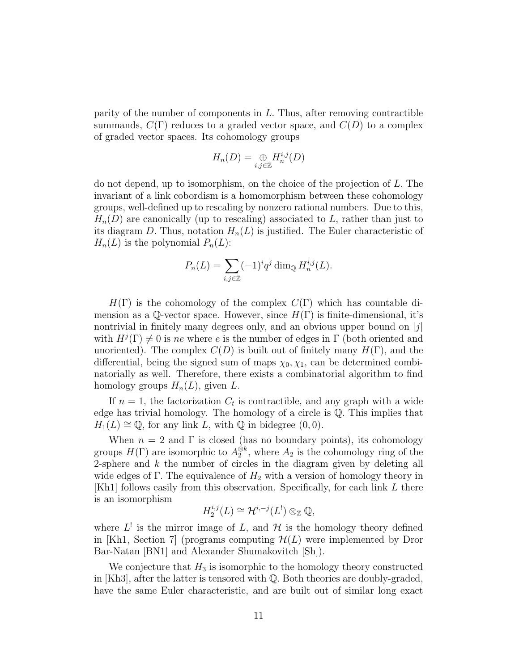parity of the number of components in L. Thus, after removing contractible summands,  $C(\Gamma)$  reduces to a graded vector space, and  $C(D)$  to a complex of graded vector spaces. Its cohomology groups

$$
H_n(D) = \bigoplus_{i,j \in \mathbb{Z}} H_n^{i,j}(D)
$$

do not depend, up to isomorphism, on the choice of the projection of L. The invariant of a link cobordism is a homomorphism between these cohomology groups, well-defined up to rescaling by nonzero rational numbers. Due to this,  $H_n(D)$  are canonically (up to rescaling) associated to L, rather than just to its diagram D. Thus, notation  $H_n(L)$  is justified. The Euler characteristic of  $H_n(L)$  is the polynomial  $P_n(L)$ :

$$
P_n(L) = \sum_{i,j \in \mathbb{Z}} (-1)^i q^j \dim_{\mathbb{Q}} H_n^{i,j}(L).
$$

 $H(\Gamma)$  is the cohomology of the complex  $C(\Gamma)$  which has countable dimension as a Q-vector space. However, since  $H(\Gamma)$  is finite-dimensional, it's nontrivial in finitely many degrees only, and an obvious upper bound on  $|j|$ with  $H^{j}(\Gamma) \neq 0$  is ne where e is the number of edges in  $\Gamma$  (both oriented and unoriented). The complex  $C(D)$  is built out of finitely many  $H(\Gamma)$ , and the differential, being the signed sum of maps  $\chi_0, \chi_1$ , can be determined combinatorially as well. Therefore, there exists a combinatorial algorithm to find homology groups  $H_n(L)$ , given L.

If  $n = 1$ , the factorization  $C_t$  is contractible, and any graph with a wide edge has trivial homology. The homology of a circle is Q. This implies that  $H_1(L) \cong \mathbb{Q}$ , for any link L, with  $\mathbb{Q}$  in bidegree  $(0, 0)$ .

When  $n = 2$  and  $\Gamma$  is closed (has no boundary points), its cohomology groups  $H(\Gamma)$  are isomorphic to  $A_2^{\otimes k}$ , where  $A_2$  is the cohomology ring of the 2-sphere and  $k$  the number of circles in the diagram given by deleting all wide edges of Γ. The equivalence of  $H_2$  with a version of homology theory in [Kh1] follows easily from this observation. Specifically, for each link L there is an isomorphism

$$
H_2^{i,j}(L) \cong \mathcal{H}^{i,-j}(L^!) \otimes_{\mathbb{Z}} \mathbb{Q},
$$

where  $L^!$  is the mirror image of L, and H is the homology theory defined in [Kh1, Section 7] (programs computing  $\mathcal{H}(L)$  were implemented by Dror Bar-Natan [BN1] and Alexander Shumakovitch [Sh]).

We conjecture that  $H_3$  is isomorphic to the homology theory constructed in  $[Kh3]$ , after the latter is tensored with  $\mathbb Q$ . Both theories are doubly-graded, have the same Euler characteristic, and are built out of similar long exact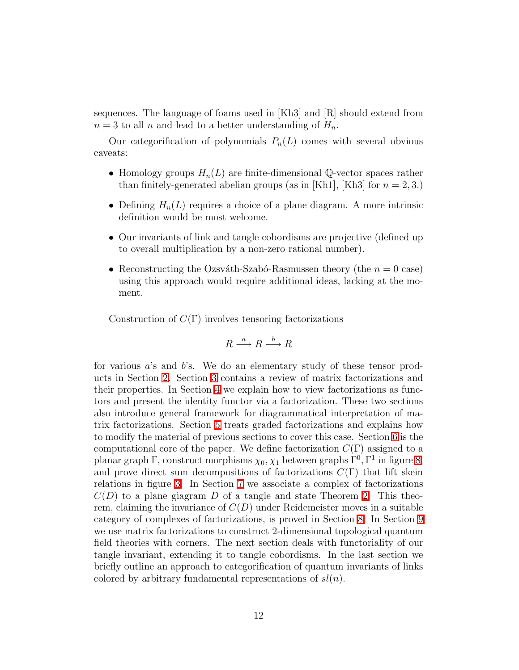sequences. The language of foams used in  $[Kh3]$  and  $[R]$  should extend from  $n = 3$  to all n and lead to a better understanding of  $H_n$ .

Our categorification of polynomials  $P_n(L)$  comes with several obvious caveats:

- Homology groups  $H_n(L)$  are finite-dimensional Q-vector spaces rather than finitely-generated abelian groups (as in [Kh1], [Kh3] for  $n = 2, 3$ .)
- Defining  $H_n(L)$  requires a choice of a plane diagram. A more intrinsic definition would be most welcome.
- Our invariants of link and tangle cobordisms are projective (defined up to overall multiplication by a non-zero rational number).
- Reconstructing the Ozsváth-Szabó-Rasmussen theory (the  $n = 0$  case) using this approach would require additional ideas, lacking at the moment.

Construction of  $C(\Gamma)$  involves tensoring factorizations

$$
R \xrightarrow{a} R \xrightarrow{b} R
$$

for various a's and b's. We do an elementary study of these tensor products in Section [2.](#page-12-0) Section [3](#page-16-0) contains a review of matrix factorizations and their properties. In Section [4](#page-27-0) we explain how to view factorizations as functors and present the identity functor via a factorization. These two sections also introduce general framework for diagrammatical interpretation of matrix factorizations. Section [5](#page-43-0) treats graded factorizations and explains how to modify the material of previous sections to cover this case. Section [6](#page-46-0) is the computational core of the paper. We define factorization  $C(\Gamma)$  assigned to a planar graph  $\Gamma$ , construct morphisms  $\chi_0, \chi_1$  between graphs  $\Gamma^0, \Gamma^1$  in figure [8,](#page-8-0) and prove direct sum decompositions of factorizations  $C(\Gamma)$  that lift skein relations in figure [3.](#page-3-0) In Section [7](#page-78-0) we associate a complex of factorizations  $C(D)$  to a plane giagram D of a tangle and state Theorem [2.](#page-81-0) This theorem, claiming the invariance of  $C(D)$  under Reidemeister moves in a suitable category of complexes of factorizations, is proved in Section [8.](#page-82-0) In Section [9](#page-93-0) we use matrix factorizations to construct 2-dimensional topological quantum field theories with corners. The next section deals with functoriality of our tangle invariant, extending it to tangle cobordisms. In the last section we briefly outline an approach to categorification of quantum invariants of links colored by arbitrary fundamental representations of  $sl(n)$ .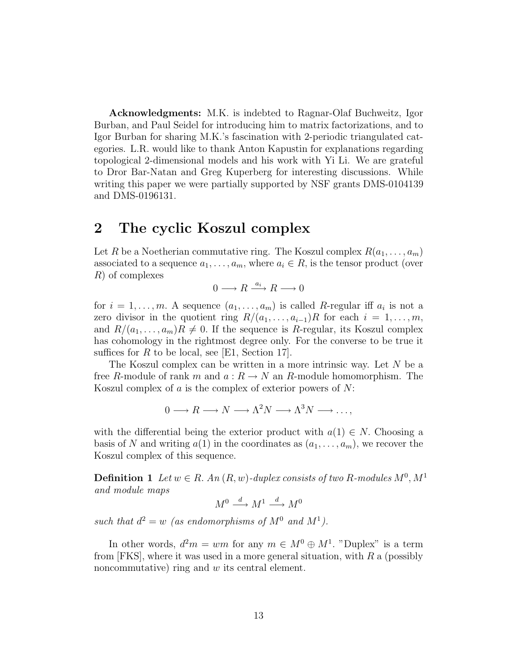Acknowledgments: M.K. is indebted to Ragnar-Olaf Buchweitz, Igor Burban, and Paul Seidel for introducing him to matrix factorizations, and to Igor Burban for sharing M.K.'s fascination with 2-periodic triangulated categories. L.R. would like to thank Anton Kapustin for explanations regarding topological 2-dimensional models and his work with Yi Li. We are grateful to Dror Bar-Natan and Greg Kuperberg for interesting discussions. While writing this paper we were partially supported by NSF grants DMS-0104139 and DMS-0196131.

# <span id="page-12-0"></span>2 The cyclic Koszul complex

Let R be a Noetherian commutative ring. The Koszul complex  $R(a_1, \ldots, a_m)$ associated to a sequence  $a_1, \ldots, a_m$ , where  $a_i \in R$ , is the tensor product (over R) of complexes

 $0 \longrightarrow R \stackrel{a_i}{\longrightarrow} R \longrightarrow 0$ 

for  $i = 1, \ldots, m$ . A sequence  $(a_1, \ldots, a_m)$  is called R-regular iff  $a_i$  is not a zero divisor in the quotient ring  $R/(a_1, \ldots, a_{i-1})R$  for each  $i = 1, \ldots, m$ , and  $R/(a_1, \ldots, a_m)R \neq 0$ . If the sequence is R-regular, its Koszul complex has cohomology in the rightmost degree only. For the converse to be true it suffices for  $R$  to be local, see [E1, Section 17].

The Koszul complex can be written in a more intrinsic way. Let  $N$  be a free R-module of rank m and  $a: R \to N$  an R-module homomorphism. The Koszul complex of  $a$  is the complex of exterior powers of  $N$ :

$$
0 \longrightarrow R \longrightarrow N \longrightarrow \Lambda^2 N \longrightarrow \Lambda^3 N \longrightarrow \dots,
$$

with the differential being the exterior product with  $a(1) \in N$ . Choosing a basis of N and writing  $a(1)$  in the coordinates as  $(a_1, \ldots, a_m)$ , we recover the Koszul complex of this sequence.

**Definition 1** Let  $w \in R$ . An  $(R, w)$ -duplex consists of two R-modules  $M^0, M^1$ *and module maps*

$$
M^0 \xrightarrow{d} M^1 \xrightarrow{d} M^0
$$

such that  $d^2 = w$  (as endomorphisms of  $M^0$  and  $M^1$ ).

In other words,  $d^2m = w m$  for any  $m \in M^0 \oplus M^1$ . "Duplex" is a term from  $[FKS]$ , where it was used in a more general situation, with  $R$  a (possibly noncommutative) ring and  $w$  its central element.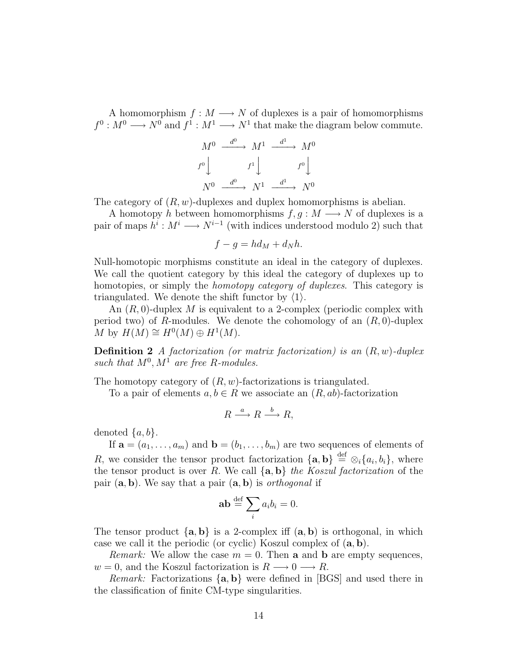A homomorphism  $f : M \longrightarrow N$  of duplexes is a pair of homomorphisms  $f^0: M^0 \longrightarrow N^0$  and  $f^1: M^1 \longrightarrow N^1$  that make the diagram below commute.

$$
M^{0} \xrightarrow{d^{0}} M^{1} \xrightarrow{d^{1}} M^{0}
$$

$$
f^{0} \downarrow f^{1} \downarrow f^{0} \downarrow
$$

$$
N^{0} \xrightarrow{d^{0}} N^{1} \xrightarrow{d^{1}} N^{0}
$$

The category of  $(R, w)$ -duplexes and duplex homomorphisms is abelian.

A homotopy h between homomorphisms  $f, g: M \longrightarrow N$  of duplexes is a pair of maps  $h^i: M^i \longrightarrow N^{i-1}$  (with indices understood modulo 2) such that

$$
f - g = hd_M + d_Nh.
$$

Null-homotopic morphisms constitute an ideal in the category of duplexes. We call the quotient category by this ideal the category of duplexes up to homotopies, or simply the *homotopy category of duplexes*. This category is triangulated. We denote the shift functor by  $\langle 1 \rangle$ .

An  $(R, 0)$ -duplex M is equivalent to a 2-complex (periodic complex with period two) of R-modules. We denote the cohomology of an  $(R, 0)$ -duplex M by  $H(M) \cong H^0(M) \oplus H^1(M)$ .

Definition 2 *A factorization (or matrix factorization) is an* (R, w)*-duplex* such that  $M^0, M^1$  are free R-modules.

The homotopy category of  $(R, w)$ -factorizations is triangulated.

To a pair of elements  $a, b \in R$  we associate an  $(R, ab)$ -factorization

$$
R \xrightarrow{a} R \xrightarrow{b} R,
$$

denoted  $\{a, b\}$ .

If  $\mathbf{a} = (a_1, \ldots, a_m)$  and  $\mathbf{b} = (b_1, \ldots, b_m)$  are two sequences of elements of R, we consider the tensor product factorization  $\{a, b\} \stackrel{\text{def}}{=} \otimes_i \{a_i, b_i\}$ , where the tensor product is over R. We call  $\{a, b\}$  *the Koszul factorization* of the pair (a, b). We say that a pair (a, b) is *orthogonal* if

$$
\mathbf{ab} \stackrel{\text{def}}{=} \sum_i a_i b_i = 0.
$$

The tensor product  $\{a, b\}$  is a 2-complex iff  $(a, b)$  is orthogonal, in which case we call it the periodic (or cyclic) Koszul complex of (a, b).

*Remark:* We allow the case  $m = 0$ . Then **a** and **b** are empty sequences,  $w = 0$ , and the Koszul factorization is  $R \longrightarrow 0 \longrightarrow R$ .

*Remark:* Factorizations {a, b} were defined in [BGS] and used there in the classification of finite CM-type singularities.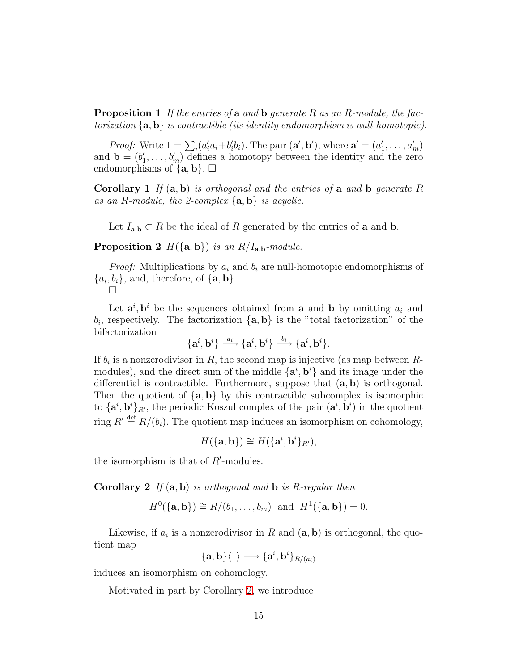Proposition 1 *If the entries of* a *and* b *generate* R *as an* R*-module, the factorization* {a, b} *is contractible (its identity endomorphism is null-homotopic).*

*Proof:* Write  $1 = \sum_i (a'_i a_i + b'_i b_i)$ . The pair  $(\mathbf{a}', \mathbf{b}')$ , where  $\mathbf{a}' = (a'_1, \dots, a'_m)$ and  $\mathbf{b} = (b'_1, \ldots, b'_m)$  defines a homotopy between the identity and the zero endomorphisms of  $\{a, b\}$ .  $\Box$ 

Corollary 1 *If* (a, b) *is orthogonal and the entries of* a *and* b *generate* R *as an* R*-module, the 2-complex* {a, b} *is acyclic.*

Let  $I_{\mathbf{a},\mathbf{b}} \subset R$  be the ideal of R generated by the entries of **a** and **b**.

**Proposition 2**  $H({\{a,b\}})$  *is an R/I<sub>a,b</sub>-module.* 

*Proof:* Multiplications by  $a_i$  and  $b_i$  are null-homotopic endomorphisms of  $\{a_i, b_i\}$ , and, therefore, of  $\{\mathbf{a}, \mathbf{b}\}.$  $\Box$ 

Let  $\mathbf{a}^i, \mathbf{b}^i$  be the sequences obtained from **a** and **b** by omitting  $a_i$  and  $b_i$ , respectively. The factorization  $\{a, b\}$  is the "total factorization" of the bifactorization

$$
\{{\mathbf a}^i,{\mathbf b}^i\}\stackrel{a_i}{\longrightarrow} \{{\mathbf a}^i,{\mathbf b}^i\}\stackrel{b_i}{\longrightarrow} \{{\mathbf a}^i,{\mathbf b}^i\}.
$$

If  $b_i$  is a nonzerodivisor in R, the second map is injective (as map between Rmodules), and the direct sum of the middle  $\{a^i, b^i\}$  and its image under the differential is contractible. Furthermore, suppose that  $(a, b)$  is orthogonal. Then the quotient of  $\{a, b\}$  by this contractible subcomplex is isomorphic to  $\{a^i, b^i\}_{R'}$ , the periodic Koszul complex of the pair  $(a^i, b^i)$  in the quotient ring  $R' \stackrel{\text{def}}{=} R/(b_i)$ . The quotient map induces an isomorphism on cohomology,

$$
H(\{\mathbf{a},\mathbf{b}\}) \cong H(\{\mathbf{a}^i,\mathbf{b}^i\}_{R'}),
$$

<span id="page-14-0"></span>the isomorphism is that of  $R'$ -modules.

Corollary 2 *If* (a, b) *is orthogonal and* b *is* R*-regular then*

$$
H^0(\{\mathbf{a}, \mathbf{b}\}) \cong R/(b_1, \ldots, b_m)
$$
 and  $H^1(\{\mathbf{a}, \mathbf{b}\}) = 0$ .

Likewise, if  $a_i$  is a nonzerodivisor in R and  $(a, b)$  is orthogonal, the quotient map

 $\{{\bf a},{\bf b}\}\langle 1\rangle \longrightarrow \{{\bf a}^i,{\bf b}^i\}_{R/(a_i)}$ 

induces an isomorphism on cohomology.

Motivated in part by Corollary [2,](#page-14-0) we introduce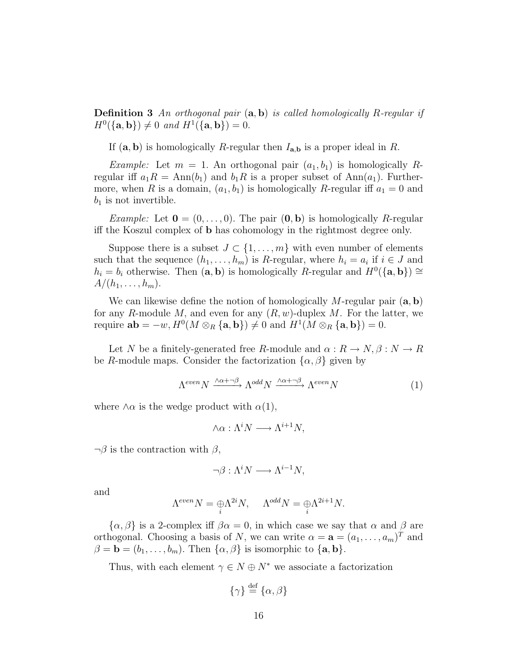Definition 3 *An orthogonal pair* (a, b) *is called homologically* R*-regular if*  $H^0({\{a, b\}}) \neq 0$  and  $H^1({\{a, b\}}) = 0$ .

If  $(a, b)$  is homologically R-regular then  $I_{a,b}$  is a proper ideal in R.

*Example:* Let  $m = 1$ . An orthogonal pair  $(a_1, b_1)$  is homologically Rregular iff  $a_1R = \text{Ann}(b_1)$  and  $b_1R$  is a proper subset of  $\text{Ann}(a_1)$ . Furthermore, when R is a domain,  $(a_1, b_1)$  is homologically R-regular iff  $a_1 = 0$  and  $b_1$  is not invertible.

*Example:* Let  $\mathbf{0} = (0, \ldots, 0)$ . The pair  $(\mathbf{0}, \mathbf{b})$  is homologically R-regular iff the Koszul complex of b has cohomology in the rightmost degree only.

Suppose there is a subset  $J \subset \{1, \ldots, m\}$  with even number of elements such that the sequence  $(h_1, \ldots, h_m)$  is R-regular, where  $h_i = a_i$  if  $i \in J$  and  $h_i = b_i$  otherwise. Then  $(a, b)$  is homologically R-regular and  $H^0({a, b}) \cong$  $A/(h_1, \ldots, h_m).$ 

We can likewise define the notion of homologically M-regular pair  $(a, b)$ for any R-module M, and even for any  $(R, w)$ -duplex M. For the latter, we require  $ab = -w$ ,  $H^0(M \otimes_R {\{a, b\}}) \neq 0$  and  $H^1(M \otimes_R {\{a, b\}}) = 0$ .

Let N be a finitely-generated free R-module and  $\alpha: R \to N, \beta: N \to R$ be R-module maps. Consider the factorization  $\{\alpha, \beta\}$  given by

$$
\Lambda^{even} N \xrightarrow{\wedge \alpha + \neg \beta} \Lambda^{odd} N \xrightarrow{\wedge \alpha + \neg \beta} \Lambda^{even} N \tag{1}
$$

where  $\wedge \alpha$  is the wedge product with  $\alpha(1)$ ,

$$
\wedge \alpha : \Lambda^i N \longrightarrow \Lambda^{i+1} N,
$$

 $\neg \beta$  is the contraction with  $\beta$ ,

$$
\neg \beta : \Lambda^i N \longrightarrow \Lambda^{i-1} N,
$$

and

$$
\Lambda^{even}N=\underset{i}{\oplus}\Lambda^{2i}N,\quad \ \Lambda^{odd}N=\underset{i}{\oplus}\Lambda^{2i+1}N.
$$

 $\{\alpha,\beta\}$  is a 2-complex iff  $\beta\alpha=0$ , in which case we say that  $\alpha$  and  $\beta$  are orthogonal. Choosing a basis of N, we can write  $\alpha = \mathbf{a} = (a_1, \dots, a_m)^T$  and  $\beta = \mathbf{b} = (b_1, \ldots, b_m)$ . Then  $\{\alpha, \beta\}$  is isomorphic to  $\{\mathbf{a}, \mathbf{b}\}.$ 

Thus, with each element  $\gamma \in N \oplus N^*$  we associate a factorization

$$
\{\gamma\} \stackrel{\text{def}}{=} \{\alpha, \beta\}
$$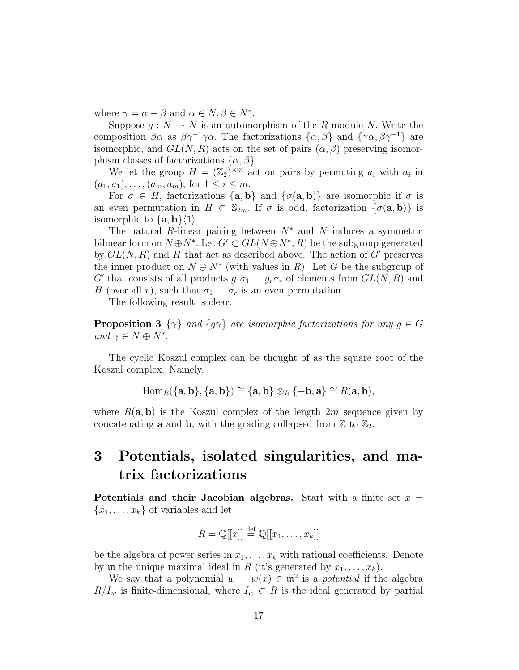where  $\gamma = \alpha + \beta$  and  $\alpha \in N, \beta \in N^*$ .

Suppose  $g: N \to N$  is an automorphism of the R-module N. Write the composition  $\beta \alpha$  as  $\beta \gamma^{-1} \gamma \alpha$ . The factorizations  $\{\alpha, \beta\}$  and  $\{\gamma \alpha, \beta \gamma^{-1}\}$  are isomorphic, and  $GL(N, R)$  acts on the set of pairs  $(\alpha, \beta)$  preserving isomorphism classes of factorizations  $\{\alpha, \beta\}.$ 

We let the group  $H = (\mathbb{Z}_2)^{\times m}$  act on pairs by permuting  $a_i$  with  $a_i$  in  $(a_1, a_1), \ldots, (a_m, a_m)$ , for  $1 \leq i \leq m$ .

For  $\sigma \in H$ , factorizations  $\{a, b\}$  and  $\{\sigma(a, b)\}\$ are isomorphic if  $\sigma$  is an even permutation in  $H \subset \mathbb{S}_{2m}$ . If  $\sigma$  is odd, factorization  $\{\sigma(\mathbf{a}, \mathbf{b})\}$  is isomorphic to  $\{a, b\}\langle 1\rangle$ .

The natural R-linear pairing between  $N^*$  and N induces a symmetric bilinear form on  $N \oplus N^*$ . Let  $G' \subset GL(N \oplus N^*, R)$  be the subgroup generated by  $GL(N, R)$  and H that act as described above. The action of G' preserves the inner product on  $N \oplus N^*$  (with values in R). Let G be the subgroup of G' that consists of all products  $g_1 \sigma_1 \ldots g_r \sigma_r$  of elements from  $GL(N, R)$  and H (over all r), such that  $\sigma_1 \ldots \sigma_r$  is an even permutation.

The following result is clear.

**Proposition 3**  $\{\gamma\}$  *and*  $\{g\gamma\}$  *are isomorphic factorizations for any*  $g \in G$ *and*  $\gamma \in N \oplus N^*$ .

The cyclic Koszul complex can be thought of as the square root of the Koszul complex. Namely,

$$
\operatorname{Hom}_R(\{a,b\},\{a,b\}) \cong \{a,b\} \otimes_R \{-b,a\} \cong R(a,b),
$$

where  $R(\mathbf{a}, \mathbf{b})$  is the Koszul complex of the length  $2m$  sequence given by concatenating **a** and **b**, with the grading collapsed from  $\mathbb{Z}$  to  $\mathbb{Z}_2$ .

# <span id="page-16-0"></span>3 Potentials, isolated singularities, and matrix factorizations

Potentials and their Jacobian algebras. Start with a finite set  $x =$  ${x_1, \ldots, x_k}$  of variables and let

$$
R = \mathbb{Q}[[x]] \stackrel{\text{def}}{=} \mathbb{Q}[[x_1, \dots, x_k]]
$$

be the algebra of power series in  $x_1, \ldots, x_k$  with rational coefficients. Denote by **m** the unique maximal ideal in R (it's generated by  $x_1, \ldots, x_k$ ).

We say that a polynomial  $w = w(x) \in \mathfrak{m}^2$  is a *potential* if the algebra  $R/I_w$  is finite-dimensional, where  $I_w \subset R$  is the ideal generated by partial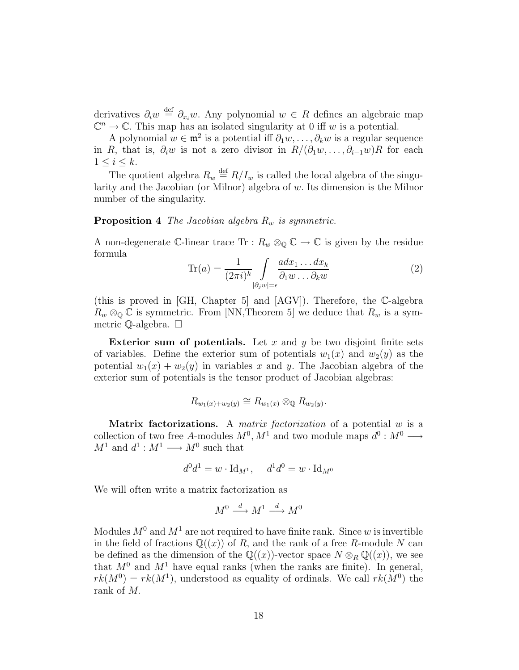derivatives  $\partial_i w \stackrel{\text{def}}{=} \partial_{x_i} w$ . Any polynomial  $w \in R$  defines an algebraic map  $\mathbb{C}^n \to \mathbb{C}$ . This map has an isolated singularity at 0 iff w is a potential.

A polynomial  $w \in \mathfrak{m}^2$  is a potential iff  $\partial_1 w, \dots, \partial_k w$  is a regular sequence in R, that is,  $\partial_i w$  is not a zero divisor in  $R/(\partial_1 w, \ldots, \partial_{i-1} w)R$  for each  $1 \leq i \leq k$ .

The quotient algebra  $R_w \stackrel{\text{def}}{=} R/I_w$  is called the local algebra of the singularity and the Jacobian (or Milnor) algebra of  $w$ . Its dimension is the Milnor number of the singularity.

### Proposition 4 *The Jacobian algebra*  $R_w$  *is symmetric.*

A non-degenerate C-linear trace Tr :  $R_w \otimes_{\mathbb{Q}} \mathbb{C} \to \mathbb{C}$  is given by the residue formula

$$
\text{Tr}(a) = \frac{1}{(2\pi i)^k} \int\limits_{|\partial_j w|=\epsilon} \frac{a dx_1 \dots dx_k}{\partial_1 w \dots \partial_k w} \tag{2}
$$

(this is proved in [GH, Chapter 5] and [AGV]). Therefore, the C-algebra  $R_w \otimes_{\mathbb{Q}} \mathbb{C}$  is symmetric. From [NN,Theorem 5] we deduce that  $R_w$  is a symmetric Q-algebra.

Exterior sum of potentials. Let x and y be two disjoint finite sets of variables. Define the exterior sum of potentials  $w_1(x)$  and  $w_2(y)$  as the potential  $w_1(x) + w_2(y)$  in variables x and y. The Jacobian algebra of the exterior sum of potentials is the tensor product of Jacobian algebras:

$$
R_{w_1(x)+w_2(y)} \cong R_{w_1(x)} \otimes_{\mathbb{Q}} R_{w_2(y)}.
$$

Matrix factorizations. A *matrix factorization* of a potential w is a collection of two free A-modules  $M^0$ ,  $M^1$  and two module maps  $d^0$ :  $M^0 \longrightarrow$  $M^1$  and  $d^1: M^1 \longrightarrow M^0$  such that

$$
d^0 d^1 = w \cdot \text{Id}_{M^1}, \quad d^1 d^0 = w \cdot \text{Id}_{M^0}
$$

We will often write a matrix factorization as

$$
M^0 \xrightarrow{d} M^1 \xrightarrow{d} M^0
$$

Modules  $M^0$  and  $M^1$  are not required to have finite rank. Since w is invertible in the field of fractions  $\mathbb{Q}((x))$  of R, and the rank of a free R-module N can be defined as the dimension of the  $\mathbb{Q}((x))$ -vector space  $N \otimes_R \mathbb{Q}((x))$ , we see that  $M^0$  and  $M^1$  have equal ranks (when the ranks are finite). In general,  $rk(M^0)=rk(M^1)$ , understood as equality of ordinals. We call  $rk(M^0)$  the rank of M.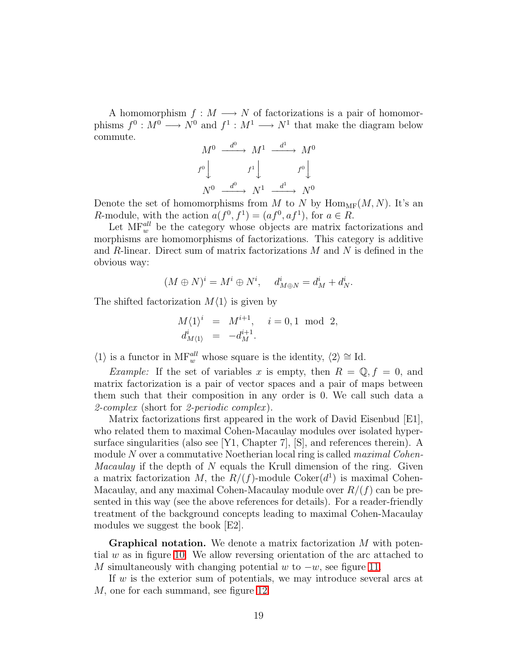A homomorphism  $f : M \longrightarrow N$  of factorizations is a pair of homomorphisms  $f^0: M^0 \longrightarrow N^0$  and  $f^1: M^1 \longrightarrow N^1$  that make the diagram below commute.

$$
M^{0} \xrightarrow{d^{0}} M^{1} \xrightarrow{d^{1}} M^{0}
$$

$$
f^{0} \downarrow f^{1} \downarrow f^{0} \downarrow
$$

$$
N^{0} \xrightarrow{d^{0}} N^{1} \xrightarrow{d^{1}} N^{0}
$$

Denote the set of homomorphisms from M to N by  $\text{Hom}_{\text{MF}}(M, N)$ . It's an R-module, with the action  $a(f^0, f^1) = (af^0, af^1)$ , for  $a \in R$ .

Let  $\text{MF}_{w}^{all}$  be the category whose objects are matrix factorizations and morphisms are homomorphisms of factorizations. This category is additive and  $R$ -linear. Direct sum of matrix factorizations  $M$  and  $N$  is defined in the obvious way:

$$
(M \oplus N)^i = M^i \oplus N^i, \quad d^i_{M \oplus N} = d^i_M + d^i_N.
$$

The shifted factorization  $M\langle 1 \rangle$  is given by

$$
M\langle 1 \rangle^i = M^{i+1}, \quad i = 0, 1 \text{ mod } 2, d^i_{M\langle 1 \rangle} = -d^{i+1}_M.
$$

 $\langle 1 \rangle$  is a functor in MF<sup>all</sup> whose square is the identity,  $\langle 2 \rangle \cong$  Id.

*Example:* If the set of variables x is empty, then  $R = \mathbb{Q}, f = 0$ , and matrix factorization is a pair of vector spaces and a pair of maps between them such that their composition in any order is 0. We call such data a *2-complex* (short for *2-periodic complex* ).

Matrix factorizations first appeared in the work of David Eisenbud [E1], who related them to maximal Cohen-Macaulay modules over isolated hypersurface singularities (also see [Y1, Chapter 7], [S], and references therein). A module N over a commutative Noetherian local ring is called *maximal Cohen-Macaulay* if the depth of N equals the Krull dimension of the ring. Given a matrix factorization M, the  $R/(f)$ -module  $Coker(d<sup>1</sup>)$  is maximal Cohen-Macaulay, and any maximal Cohen-Macaulay module over  $R/(f)$  can be presented in this way (see the above references for details). For a reader-friendly treatment of the background concepts leading to maximal Cohen-Macaulay modules we suggest the book [E2].

**Graphical notation.** We denote a matrix factorization  $M$  with potential  $w$  as in figure [10.](#page-19-0) We allow reversing orientation of the arc attached to M simultaneously with changing potential w to  $-w$ , see figure [11.](#page-19-1)

If  $w$  is the exterior sum of potentials, we may introduce several arcs at M, one for each summand, see figure [12.](#page-20-0)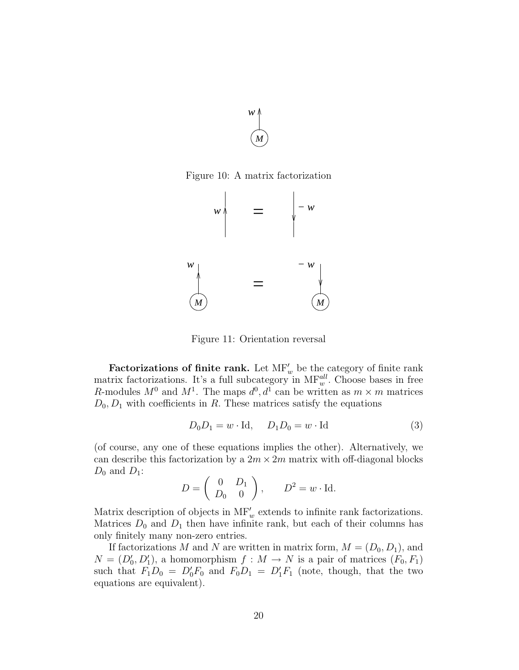

<span id="page-19-0"></span>Figure 10: A matrix factorization



<span id="page-19-1"></span>Figure 11: Orientation reversal

Factorizations of finite rank. Let  $MF'_{w}$  be the category of finite rank matrix factorizations. It's a full subcategory in  $\text{MF}_{w}^{all}$ . Choose bases in free R-modules  $M^0$  and  $M^1$ . The maps  $d^0$ ,  $d^1$  can be written as  $m \times m$  matrices  $D_0, D_1$  with coefficients in R. These matrices satisfy the equations

$$
D_0 D_1 = w \cdot \text{Id}, \quad D_1 D_0 = w \cdot \text{Id} \tag{3}
$$

(of course, any one of these equations implies the other). Alternatively, we can describe this factorization by a  $2m \times 2m$  matrix with off-diagonal blocks  $D_0$  and  $D_1$ :

$$
D = \begin{pmatrix} 0 & D_1 \\ D_0 & 0 \end{pmatrix}, \qquad D^2 = w \cdot \text{Id}.
$$

Matrix description of objects in  $\text{MF}'_w$  extends to infinite rank factorizations. Matrices  $D_0$  and  $D_1$  then have infinite rank, but each of their columns has only finitely many non-zero entries.

If factorizations M and N are written in matrix form,  $M = (D_0, D_1)$ , and  $N = (D'_0, D'_1)$ , a homomorphism  $f : M \to N$  is a pair of matrices  $(F_0, F_1)$ such that  $F_1D_0 = D'_0F_0$  and  $F_0D_1 = D'_1F_1$  (note, though, that the two equations are equivalent).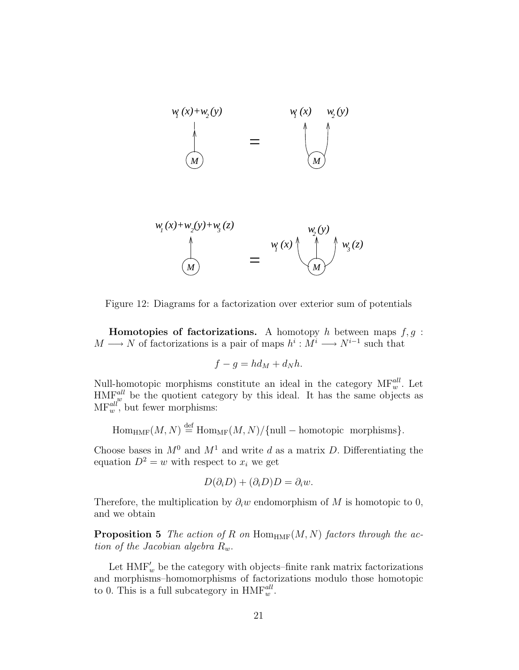

$$
w_1(x) + w_2(y) + w_3(z)
$$
  
\n
$$
w_2(y)
$$
  
\n
$$
w_2(y)
$$
  
\n
$$
w_2(y)
$$
  
\n
$$
w_3(z)
$$
  
\n
$$
w_3(z)
$$

<span id="page-20-0"></span>Figure 12: Diagrams for a factorization over exterior sum of potentials

**Homotopies of factorizations.** A homotopy h between maps  $f, g$ :  $M \longrightarrow N$  of factorizations is a pair of maps  $h^i : M^i \longrightarrow N^{i-1}$  such that

$$
f - g = hd_M + d_Nh.
$$

Null-homotopic morphisms constitute an ideal in the category  $\text{MF}_{w}^{all}$ . Let  $\text{HMF}_{w}^{all}$  be the quotient category by this ideal. It has the same objects as  $MF_w^{all}$ , but fewer morphisms:

 $\text{Hom}_{\text{HMF}}(M, N) \stackrel{\text{def}}{=} \text{Hom}_{\text{MF}}(M, N) / \{\text{null} - \text{homotopic morphisms}\}.$ 

Choose bases in  $M^0$  and  $M^1$  and write d as a matrix D. Differentiating the equation  $D^2 = w$  with respect to  $x_i$  we get

$$
D(\partial_i D) + (\partial_i D)D = \partial_i w.
$$

<span id="page-20-1"></span>Therefore, the multiplication by  $\partial_i w$  endomorphism of M is homotopic to 0, and we obtain

**Proposition 5** *The action of R on*  $\text{Hom}_{\text{HMF}}(M, N)$  *factors through the action of the Jacobian algebra*  $R_w$ .

Let  $\mathop{\rm HMF}\nolimits_w'$  be the category with objects–finite rank matrix factorizations and morphisms–homomorphisms of factorizations modulo those homotopic to 0. This is a full subcategory in  $HMF_w^{all}$ .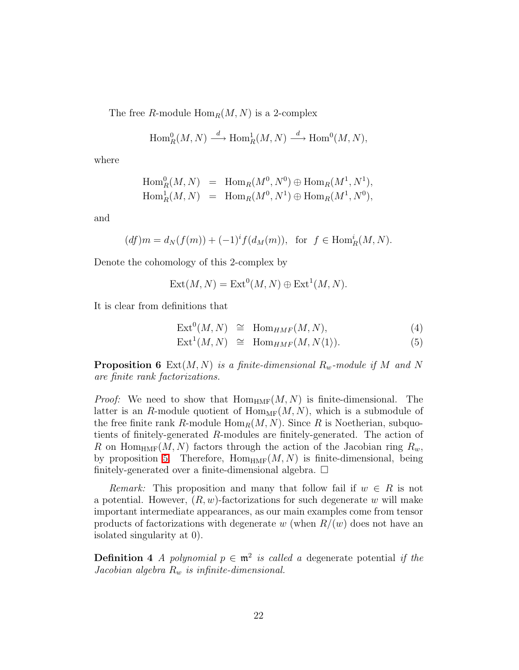The free R-module  $\text{Hom}_R(M, N)$  is a 2-complex

$$
\operatorname{Hom}_R^0(M,N) \stackrel{d}{\longrightarrow} \operatorname{Hom}_R^1(M,N) \stackrel{d}{\longrightarrow} \operatorname{Hom}^0(M,N),
$$

where

$$
\text{Hom}_R^0(M, N) = \text{Hom}_R(M^0, N^0) \oplus \text{Hom}_R(M^1, N^1),
$$
  
\n
$$
\text{Hom}_R^1(M, N) = \text{Hom}_R(M^0, N^1) \oplus \text{Hom}_R(M^1, N^0),
$$

and

$$
(df)m = d_N(f(m)) + (-1)^i f(d_M(m)),
$$
 for  $f \in \text{Hom}_R^i(M, N)$ .

Denote the cohomology of this 2-complex by

$$
Ext(M, N) = Ext^{0}(M, N) \oplus Ext^{1}(M, N).
$$

It is clear from definitions that

$$
Ext0(M, N) \cong HomHMF(M, N),
$$
\n(4)

$$
Ext1(M, N) \cong Hom_{HMF}(M, N\langle 1 \rangle).
$$
 (5)

**Proposition 6** Ext $(M, N)$  *is a finite-dimensional*  $R_w$ -module if M and N *are finite rank factorizations.*

*Proof:* We need to show that  $Hom_{HMF}(M, N)$  is finite-dimensional. The latter is an R-module quotient of  $\text{Hom}_{MF}(M, N)$ , which is a submodule of the free finite rank R-module  $\text{Hom}_R(M, N)$ . Since R is Noetherian, subquotients of finitely-generated R-modules are finitely-generated. The action of R on Hom<sub>HMF</sub>(M, N) factors through the action of the Jacobian ring  $R_w$ , by proposition [5.](#page-20-1) Therefore,  $\text{Hom}_{\text{HMF}}(M, N)$  is finite-dimensional, being finitely-generated over a finite-dimensional algebra.  $\Box$ 

*Remark:* This proposition and many that follow fail if  $w \in R$  is not a potential. However,  $(R, w)$ -factorizations for such degenerate w will make important intermediate appearances, as our main examples come from tensor products of factorizations with degenerate w (when  $R/(w)$  does not have an isolated singularity at 0).

**Definition 4** *A polynomial*  $p \in \mathfrak{m}^2$  *is called a* degenerate potential *if the Jacobian algebra*  $R_w$  *is infinite-dimensional.*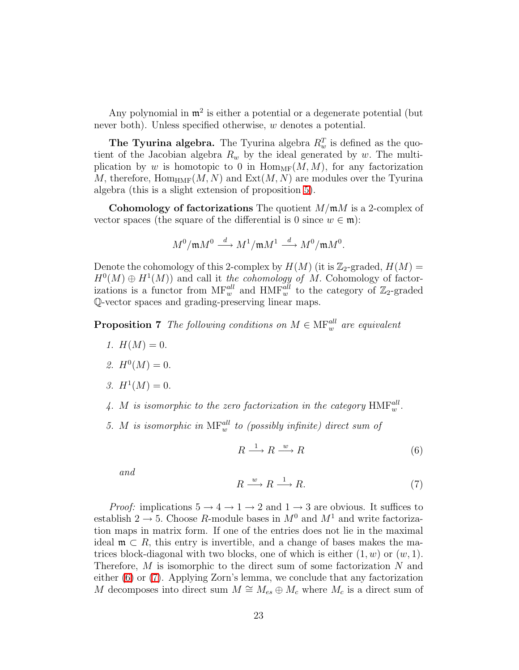Any polynomial in  $\mathfrak{m}^2$  is either a potential or a degenerate potential (but never both). Unless specified otherwise, w denotes a potential.

**The Tyurina algebra.** The Tyurina algebra  $R_w^T$  is defined as the quotient of the Jacobian algebra  $R_w$  by the ideal generated by w. The multiplication by w is homotopic to 0 in  $\text{Hom}_{MF}(M, M)$ , for any factorization M, therefore,  $\text{Hom}_{\text{HMF}}(M, N)$  and  $\text{Ext}(M, N)$  are modules over the Tyurina algebra (this is a slight extension of proposition [5\)](#page-20-1).

**Cohomology of factorizations** The quotient  $M/\mathfrak{m}M$  is a 2-complex of vector spaces (the square of the differential is 0 since  $w \in \mathfrak{m}$ ):

$$
M^0/\mathfrak{m} M^0 \stackrel{d}{\longrightarrow} M^1/\mathfrak{m} M^1 \stackrel{d}{\longrightarrow} M^0/\mathfrak{m} M^0.
$$

Denote the cohomology of this 2-complex by  $H(M)$  (it is  $\mathbb{Z}_2$ -graded,  $H(M)$  =  $H^0(M) \oplus H^1(M)$  and call it *the cohomology of M*. Cohomology of factorizations is a functor from  $\text{MF}_{w}^{all}$  and  $\text{HMF}_{w}^{all}$  to the category of  $\mathbb{Z}_2$ -graded Q-vector spaces and grading-preserving linear maps.

<span id="page-22-2"></span>**Proposition 7** The following conditions on  $M \in \text{MF}_{w}^{all}$  are equivalent

- *1.*  $H(M) = 0$ .
- 2.  $H^0(M) = 0$ .
- 3.  $H^1(M) = 0$ .
- 4. M is isomorphic to the zero factorization in the category  $HMF_w^{all}$ .
- 5. *M* is isomorphic in  $\text{MF}^{\text{all}}_w$  to (possibly infinite) direct sum of

<span id="page-22-0"></span>
$$
R \xrightarrow{1} R \xrightarrow{w} R \tag{6}
$$

<span id="page-22-1"></span>*and*

$$
R \xrightarrow{w} R \xrightarrow{1} R. \tag{7}
$$

*Proof:* implications  $5 \rightarrow 4 \rightarrow 1 \rightarrow 2$  and  $1 \rightarrow 3$  are obvious. It suffices to establish  $2 \rightarrow 5$ . Choose R-module bases in  $M^0$  and  $M^1$  and write factorization maps in matrix form. If one of the entries does not lie in the maximal ideal  $\mathfrak{m} \subset R$ , this entry is invertible, and a change of bases makes the matrices block-diagonal with two blocks, one of which is either  $(1, w)$  or  $(w, 1)$ . Therefore, M is isomorphic to the direct sum of some factorization N and either [\(6\)](#page-22-0) or [\(7\)](#page-22-1). Applying Zorn's lemma, we conclude that any factorization M decomposes into direct sum  $M \cong M_{es} \oplus M_c$  where  $M_c$  is a direct sum of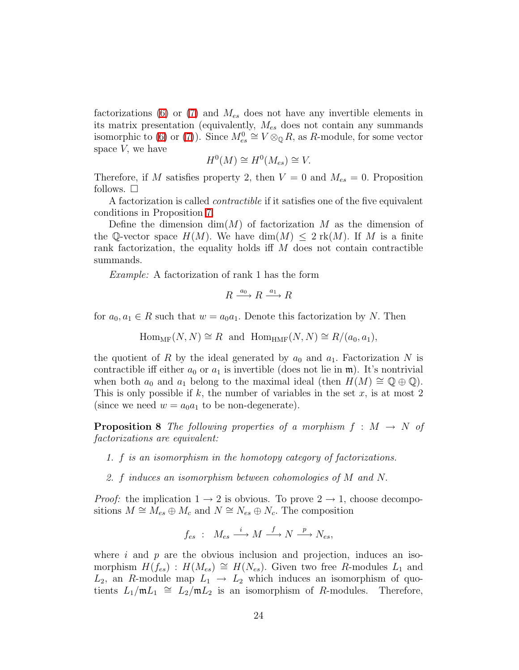factorizations [\(6\)](#page-22-0) or [\(7\)](#page-22-1) and  $M_{es}$  does not have any invertible elements in its matrix presentation (equivalently,  $M_{es}$  does not contain any summands isomorphic to [\(6\)](#page-22-0) or [\(7\)](#page-22-1)). Since  $M_{es}^0 \cong V \otimes_{\mathbb{Q}} R$ , as R-module, for some vector space  $V$ , we have

$$
H^0(M) \cong H^0(M_{es}) \cong V.
$$

Therefore, if M satisfies property 2, then  $V = 0$  and  $M_{es} = 0$ . Proposition follows.  $\square$ 

A factorization is called *contractible* if it satisfies one of the five equivalent conditions in Proposition [7.](#page-22-2)

Define the dimension  $\dim(M)$  of factorization M as the dimension of the Q-vector space  $H(M)$ . We have  $\dim(M) \leq 2 \text{ rk}(M)$ . If M is a finite rank factorization, the equality holds if  $M$  does not contain contractible summands.

*Example:* A factorization of rank 1 has the form

$$
R \xrightarrow{a_0} R \xrightarrow{a_1} R
$$

for  $a_0, a_1 \in R$  such that  $w = a_0 a_1$ . Denote this factorization by N. Then

 $\text{Hom}_{MF}(N, N) \cong R$  and  $\text{Hom}_{HMF}(N, N) \cong R/(a_0, a_1),$ 

the quotient of R by the ideal generated by  $a_0$  and  $a_1$ . Factorization N is contractible iff either  $a_0$  or  $a_1$  is invertible (does not lie in  $\mathfrak{m}$ ). It's nontrivial when both  $a_0$  and  $a_1$  belong to the maximal ideal (then  $H(M) \cong \mathbb{Q} \oplus \mathbb{Q}$ ). This is only possible if k, the number of variables in the set  $x$ , is at most 2 (since we need  $w = a_0a_1$  to be non-degenerate).

<span id="page-23-0"></span>**Proposition 8** The following properties of a morphism  $f : M \to N$  of *factorizations are equivalent:*

- *1.* f *is an isomorphism in the homotopy category of factorizations.*
- *2.* f *induces an isomorphism between cohomologies of* M *and* N.

*Proof:* the implication  $1 \rightarrow 2$  is obvious. To prove  $2 \rightarrow 1$ , choose decompositions  $M \cong M_{es} \oplus M_c$  and  $N \cong N_{es} \oplus N_c$ . The composition

$$
f_{es} : M_{es} \xrightarrow{i} M \xrightarrow{f} N \xrightarrow{p} N_{es},
$$

where i and p are the obvious inclusion and projection, induces an isomorphism  $H(f_{es})$ :  $H(M_{es}) \cong H(N_{es})$ . Given two free R-modules  $L_1$  and  $L_2$ , an R-module map  $L_1 \rightarrow L_2$  which induces an isomorphism of quotients  $L_1/\mathfrak{m} L_1 \cong L_2/\mathfrak{m} L_2$  is an isomorphism of R-modules. Therefore,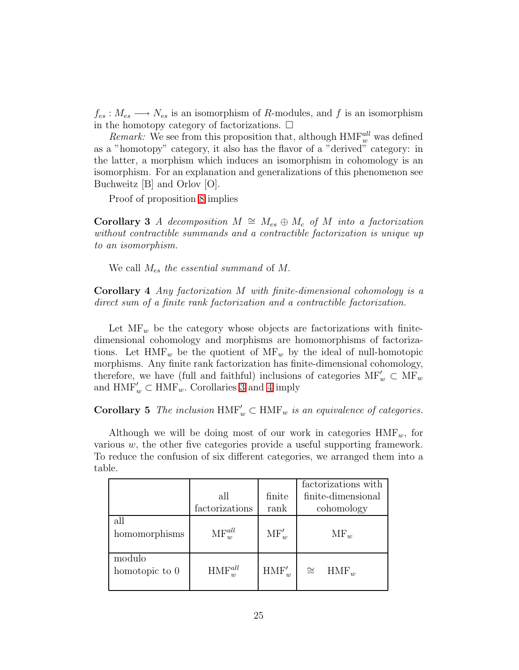$f_{es}: M_{es} \longrightarrow N_{es}$  is an isomorphism of R-modules, and f is an isomorphism in the homotopy category of factorizations.  $\Box$ 

*Remark:* We see from this proposition that, although  $HMF_w^{all}$  was defined as a "homotopy" category, it also has the flavor of a "derived" category: in the latter, a morphism which induces an isomorphism in cohomology is an isomorphism. For an explanation and generalizations of this phenomenon see Buchweitz [B] and Orlov [O].

Proof of proposition [8](#page-23-0) implies

<span id="page-24-0"></span>Corollary 3 *A decomposition*  $M \cong M_{es} \oplus M_c$  *of*  $M$  *into a factorization without contractible summands and a contractible factorization is unique up to an isomorphism.*

We call Mes *the essential summand* of M.

<span id="page-24-1"></span>Corollary 4 *Any factorization* M *with finite-dimensional cohomology is a direct sum of a finite rank factorization and a contractible factorization.*

Let  $\text{MF}_{w}$  be the category whose objects are factorizations with finitedimensional cohomology and morphisms are homomorphisms of factorizations. Let  $HMF_w$  be the quotient of  $MF_w$  by the ideal of null-homotopic morphisms. Any finite rank factorization has finite-dimensional cohomology, therefore, we have (full and faithful) inclusions of categories  $\text{MF}'_w \subset \text{MF}_w$ and  $\mathop{\rm HMF}\nolimits'_w\subset\mathop{\rm HMF}\nolimits_w.$  Corollaries [3](#page-24-0) and [4](#page-24-1) imply

**Corollary 5** *The inclusion*  $\text{HMF}'_w \subset \text{HMF}_w$  *is an equivalence of categories.* 

Although we will be doing most of our work in categories  $HMF_w$ , for various  $w$ , the other five categories provide a useful supporting framework. To reduce the confusion of six different categories, we arranged them into a table.

|                          |                       |                | factorizations with  |
|--------------------------|-----------------------|----------------|----------------------|
|                          | all                   | finite         | finite-dimensional   |
|                          | factorizations        | rank           | cohomology           |
| all<br>homomorphisms     | $\text{MF}_{w}^{all}$ | $\text{MF}'_w$ | $\text{MF}_w$        |
| modulo<br>homotopic to 0 | $HMF_w^{all}$         | $HMF'_{w}$     | $\cong$<br>$HMF_{w}$ |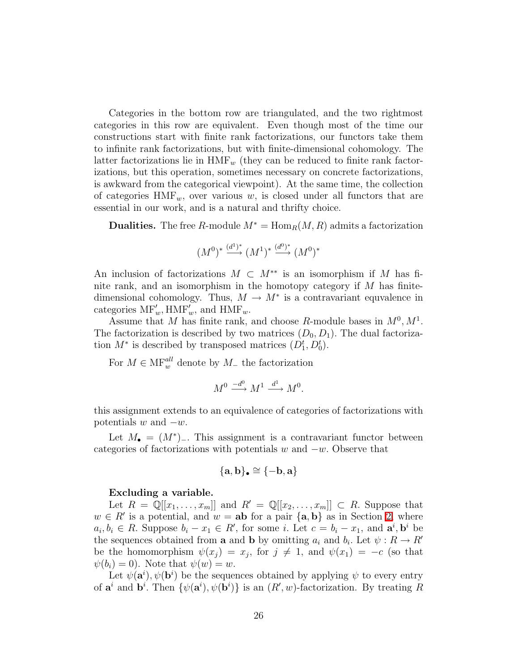Categories in the bottom row are triangulated, and the two rightmost categories in this row are equivalent. Even though most of the time our constructions start with finite rank factorizations, our functors take them to infinite rank factorizations, but with finite-dimensional cohomology. The latter factorizations lie in  $HMF_w$  (they can be reduced to finite rank factorizations, but this operation, sometimes necessary on concrete factorizations, is awkward from the categorical viewpoint). At the same time, the collection of categories  $HMF_w$ , over various w, is closed under all functors that are essential in our work, and is a natural and thrifty choice.

**Dualities.** The free R-module  $M^* = \text{Hom}_R(M, R)$  admits a factorization

$$
(M^0)^* \xrightarrow{(d^1)^*} (M^1)^* \xrightarrow{(d^0)^*} (M^0)^*
$$

An inclusion of factorizations  $M \subset M^{**}$  is an isomorphism if M has finite rank, and an isomorphism in the homotopy category if  $M$  has finitedimensional cohomology. Thus,  $M \to M^*$  is a contravariant equvalence in categories  $\text{MF}'_w$ ,  $\text{HMF}'_w$ , and  $\text{HMF}_w$ .

Assume that M has finite rank, and choose R-module bases in  $M^0, M^1$ . The factorization is described by two matrices  $(D_0, D_1)$ . The dual factorization  $M^*$  is described by transposed matrices  $(D_1^t, D_0^t)$ .

For  $M \in \mathcal{MF}^{all}_{w}$  denote by  $M_{-}$  the factorization

$$
M^0 \xrightarrow{-d^0} M^1 \xrightarrow{d^1} M^0.
$$

this assignment extends to an equivalence of categories of factorizations with potentials  $w$  and  $-w$ .

Let  $M_{\bullet} = (M^*)$ . This assignment is a contravariant functor between categories of factorizations with potentials w and  $-w$ . Observe that

$$
\{\mathbf a,\mathbf b\}_\bullet\cong\{-\mathbf b,\mathbf a\}
$$

### Excluding a variable.

Let  $R = \mathbb{Q}[[x_1, \ldots, x_m]]$  and  $R' = \mathbb{Q}[[x_2, \ldots, x_m]] \subset R$ . Suppose that  $w \in R'$  is a potential, and  $w = ab$  for a pair  ${a, b}$  as in Section [2,](#page-12-0) where  $a_i, b_i \in R$ . Suppose  $b_i - x_1 \in R'$ , for some i. Let  $c = b_i - x_1$ , and  $\mathbf{a}^i, \mathbf{b}^i$  be the sequences obtained from **a** and **b** by omitting  $a_i$  and  $b_i$ . Let  $\psi : R \to R'$ be the homomorphism  $\psi(x_j) = x_j$ , for  $j \neq 1$ , and  $\psi(x_1) = -c$  (so that  $\psi(b_i) = 0$ . Note that  $\psi(w) = w$ .

Let  $\psi(\mathbf{a}^i), \psi(\mathbf{b}^i)$  be the sequences obtained by applying  $\psi$  to every entry of  $\mathbf{a}^i$  and  $\mathbf{b}^i$ . Then  $\{\psi(\mathbf{a}^i), \psi(\mathbf{b}^i)\}\$ is an  $(R', w)$ -factorization. By treating R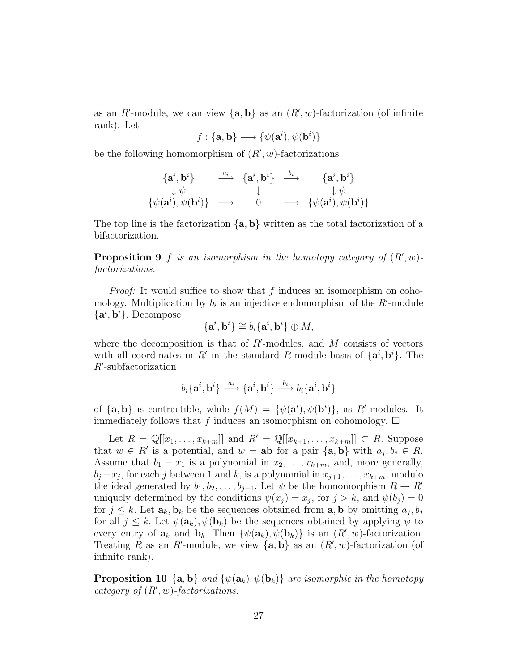as an R'-module, we can view  $\{a, b\}$  as an  $(R', w)$ -factorization (of infinite rank). Let

$$
f: \{ \mathbf{a}, \mathbf{b} \} \longrightarrow \{ \psi(\mathbf{a}^i), \psi(\mathbf{b}^i) \}
$$

be the following homomorphism of  $(R', w)$ -factorizations

$$
\begin{array}{ccccc}\n\{\mathbf{a}^i, \mathbf{b}^i\} & \xrightarrow{a_i} & \{\mathbf{a}^i, \mathbf{b}^i\} & \xrightarrow{b_i} & \{\mathbf{a}^i, \mathbf{b}^i\} \\
\downarrow \psi & & \downarrow & & \downarrow \psi \\
\{\psi(\mathbf{a}^i), \psi(\mathbf{b}^i)\} & \longrightarrow & 0 & \longrightarrow & \{\psi(\mathbf{a}^i), \psi(\mathbf{b}^i)\}\n\end{array}
$$

The top line is the factorization  $\{a, b\}$  written as the total factorization of a bifactorization.

**Proposition 9** f is an isomorphism in the homotopy category of  $(R', w)$ *factorizations.*

*Proof:* It would suffice to show that f induces an isomorphism on cohomology. Multiplication by  $b_i$  is an injective endomorphism of the  $R'$ -module  ${a^i, b^i}$ . Decompose

$$
\{{\bf a}^i, {\bf b}^i\} \cong b_i\{{\bf a}^i, {\bf b}^i\} \oplus M,
$$

where the decomposition is that of  $R'$ -modules, and  $M$  consists of vectors with all coordinates in R' in the standard R-module basis of  $\{a^i, b^i\}$ . The R′ -subfactorization

$$
b_i\{\mathbf{a}^i,\mathbf{b}^i\}\stackrel{a_i}{\longrightarrow}\{\mathbf{a}^i,\mathbf{b}^i\}\stackrel{b_i}{\longrightarrow}b_i\{\mathbf{a}^i,\mathbf{b}^i\}
$$

of  $\{a, b\}$  is contractible, while  $f(M) = \{\psi(a^i), \psi(b^i)\}\$ , as R'-modules. It immediately follows that f induces an isomorphism on cohomology.  $\Box$ 

Let  $R = \mathbb{Q}[[x_1,\ldots,x_{k+m}]]$  and  $R' = \mathbb{Q}[[x_{k+1},\ldots,x_{k+m}]] \subset R$ . Suppose that  $w \in R'$  is a potential, and  $w = ab$  for a pair  $\{a, b\}$  with  $a_j, b_j \in R$ . Assume that  $b_1 - x_1$  is a polynomial in  $x_2, \ldots, x_{k+m}$ , and, more generally,  $b_j - x_j$ , for each j between 1 and k, is a polynomial in  $x_{j+1}, \ldots, x_{k+m}$ , modulo the ideal generated by  $b_1, b_2, \ldots, b_{j-1}$ . Let  $\psi$  be the homomorphism  $R \to R'$ uniquely determined by the conditions  $\psi(x_j) = x_j$ , for  $j > k$ , and  $\psi(b_j) = 0$ for  $j \leq k$ . Let  $\mathbf{a}_k, \mathbf{b}_k$  be the sequences obtained from  $\mathbf{a}, \mathbf{b}$  by omitting  $a_j, b_j$ for all  $j \leq k$ . Let  $\psi(\mathbf{a}_k), \psi(\mathbf{b}_k)$  be the sequences obtained by applying  $\psi$  to every entry of  $\mathbf{a}_k$  and  $\mathbf{b}_k$ . Then  $\{\psi(\mathbf{a}_k), \psi(\mathbf{b}_k)\}\$ is an  $(R', w)$ -factorization. Treating R as an R'-module, we view  $\{a, b\}$  as an  $(R', w)$ -factorization (of infinite rank).

**Proposition 10** { $\mathbf{a}, \mathbf{b}$ } *and* { $\psi(\mathbf{a}_k), \psi(\mathbf{b}_k)$ } *are isomorphic in the homotopy category of* (R′ , w)*-factorizations.*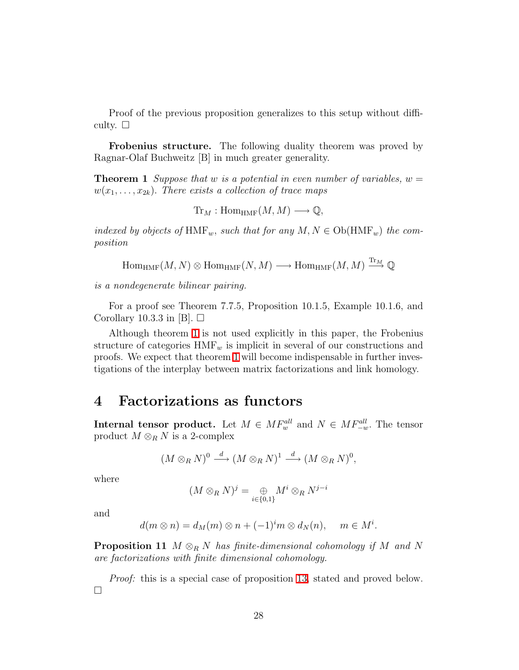Proof of the previous proposition generalizes to this setup without difficulty.  $\square$ 

<span id="page-27-1"></span>Frobenius structure. The following duality theorem was proved by Ragnar-Olaf Buchweitz [B] in much greater generality.

Theorem 1 *Suppose that* w *is a potential in even number of variables,* w =  $w(x_1, \ldots, x_{2k})$ . There exists a collection of trace maps

 $\text{Tr}_M : \text{Hom}_{\text{HMF}}(M, M) \longrightarrow \mathbb{Q},$ 

*indexed by objects of*  $HMF_w$ , *such that for any*  $M, N \in Ob(HMF_w)$  *the composition*

 $\mathrm{Hom}_{\mathrm{HMF}}(M,N)\otimes \mathrm{Hom}_{\mathrm{HMF}}(N,M)\longrightarrow \mathrm{Hom}_{\mathrm{HMF}}(M,M)\stackrel{\mathrm{Tr}_M}{\longrightarrow} \mathbb{Q}$ 

*is a nondegenerate bilinear pairing.*

For a proof see Theorem 7.7.5, Proposition 10.1.5, Example 10.1.6, and Corollary 10.3.3 in [B].  $\Box$ 

Although theorem [1](#page-27-1) is not used explicitly in this paper, the Frobenius structure of categories  $HMF_w$  is implicit in several of our constructions and proofs. We expect that theorem [1](#page-27-1) will become indispensable in further investigations of the interplay between matrix factorizations and link homology.

# <span id="page-27-0"></span>4 Factorizations as functors

**Internal tensor product.** Let  $M \in MF_w^{all}$  and  $N \in MF_{-w}^{all}$ . The tensor product  $M \otimes_R N$  is a 2-complex

$$
(M\otimes_R N)^0 \stackrel{d}{\longrightarrow} (M\otimes_R N)^1 \stackrel{d}{\longrightarrow} (M\otimes_R N)^0,
$$

where

$$
(M\otimes_R N)^j=\underset{i\in\{0,1\}}{\oplus} M^i\otimes_R N^{j-i}
$$

and

$$
d(m \otimes n) = d_M(m) \otimes n + (-1)^i m \otimes d_N(n), \quad m \in M^i.
$$

Proposition 11 M ⊗<sup>R</sup> N *has finite-dimensional cohomology if* M *and* N *are factorizations with finite dimensional cohomology.*

*Proof:* this is a special case of proposition [13,](#page-29-0) stated and proved below.  $\Box$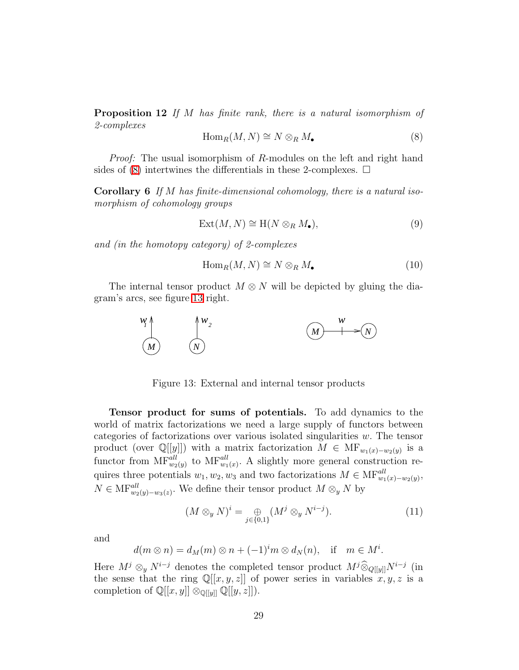<span id="page-28-0"></span>Proposition 12 *If* M *has finite rank, there is a natural isomorphism of 2-complexes*

$$
\operatorname{Hom}_R(M, N) \cong N \otimes_R M_{\bullet}
$$
 (8)

*Proof:* The usual isomorphism of R-modules on the left and right hand sides of [\(8\)](#page-28-0) intertwines the differentials in these 2-complexes.  $\Box$ 

Corollary 6 *If* M *has finite-dimensional cohomology, there is a natural isomorphism of cohomology groups*

$$
Ext(M, N) \cong H(N \otimes_R M_{\bullet}), \tag{9}
$$

*and (in the homotopy category) of 2-complexes*

$$
\operatorname{Hom}_R(M, N) \cong N \otimes_R M_{\bullet}
$$
 (10)

The internal tensor product  $M \otimes N$  will be depicted by gluing the diagram's arcs, see figure [13](#page-28-1) right.



<span id="page-28-1"></span>Figure 13: External and internal tensor products

Tensor product for sums of potentials. To add dynamics to the world of matrix factorizations we need a large supply of functors between categories of factorizations over various isolated singularities  $w$ . The tensor product (over  $\mathbb{Q}[[y]]$ ) with a matrix factorization  $M \in \mathrm{MF}_{w_1(x)-w_2(y)}$  is a functor from  $MF_{w_2(y)}^{all}$  to  $MF_{w_1(x)}^{all}$ . A slightly more general construction requires three potentials  $w_1, w_2, w_3$  and two factorizations  $M \in \text{MF}_{w_1(x)-w_2(y)}^{all}$ ,  $N \in \text{MF}_{w_2(y)-w_3(z)}^{all}$ . We define their tensor product  $M \otimes_{y} N$  by

$$
(M \otimes_y N)^i = \bigoplus_{j \in \{0,1\}} (M^j \otimes_y N^{i-j}). \tag{11}
$$

and

$$
d(m\otimes n)=d_M(m)\otimes n+(-1)^{i}m\otimes d_N(n), \text{ if } m\in M^i.
$$

Here  $M^j \otimes_y N^{i-j}$  denotes the completed tensor product  $M^j \hat{\otimes}_{Q[[y]]} N^{i-j}$  (in the sense that the ring  $\mathbb{Q}[[x, y, z]]$  of power series in variables  $\overline{x}, \overline{y}, \overline{z}$  is a completion of  $\mathbb{Q}[[x,y]] \otimes_{\mathbb{Q}[[y]]} \mathbb{Q}[[y,z]]$ .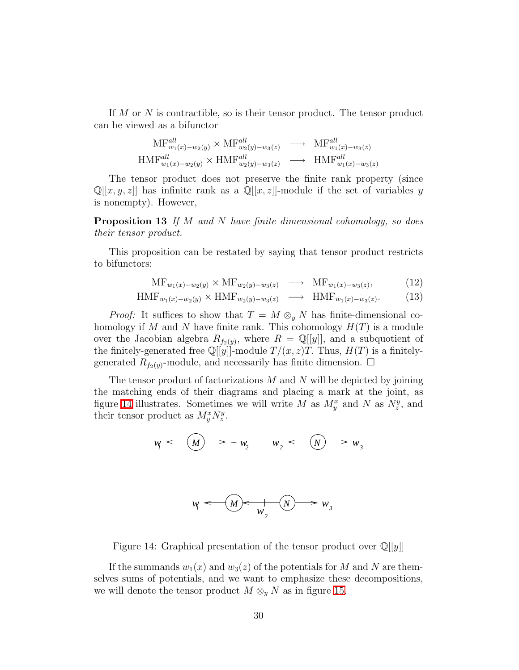If M or N is contractible, so is their tensor product. The tensor product can be viewed as a bifunctor

$$
MF_{w_1(x)-w_2(y)}^{all} \times MF_{w_2(y)-w_3(z)}^{all} \longrightarrow \text{MF}_{w_1(x)-w_3(z)}^{all}
$$
  

$$
HMF_{w_1(x)-w_2(y)}^{all} \times HMF_{w_2(y)-w_3(z)}^{all} \longrightarrow \text{HMF}_{w_1(x)-w_3(z)}^{all}
$$

The tensor product does not preserve the finite rank property (since  $\mathbb{Q}[[x,y,z]]$  has infinite rank as a  $\mathbb{Q}[[x,z]]$ -module if the set of variables y is nonempty). However,

<span id="page-29-0"></span>Proposition 13 *If* M *and* N *have finite dimensional cohomology, so does their tensor product.*

This proposition can be restated by saying that tensor product restricts to bifunctors:

$$
\mathrm{MF}_{w_1(x)-w_2(y)} \times \mathrm{MF}_{w_2(y)-w_3(z)} \longrightarrow \mathrm{MF}_{w_1(x)-w_3(z)}, \tag{12}
$$

$$
HMF_{w_1(x)-w_2(y)} \times HMF_{w_2(y)-w_3(z)} \longrightarrow HMF_{w_1(x)-w_3(z)}.
$$
 (13)

*Proof:* It suffices to show that  $T = M \otimes_y N$  has finite-dimensional cohomology if M and N have finite rank. This cohomology  $H(T)$  is a module over the Jacobian algebra  $R_{f_2(y)}$ , where  $R = \mathbb{Q}[[y]]$ , and a subquotient of the finitely-generated free  $\mathbb{Q}[[y]]$ -module  $T/(x, z)T$ . Thus,  $H(T)$  is a finitelygenerated  $R_{f_2(y)}$ -module, and necessarily has finite dimension.  $\Box$ 

The tensor product of factorizations  $M$  and  $N$  will be depicted by joining the matching ends of their diagrams and placing a mark at the joint, as figure [14](#page-29-1) illustrates. Sometimes we will write M as  $M_y^x$  and N as  $N_z^y$ , and their tensor product as  $M_y^x N_z^y$ .

$$
w_j \leftarrow \boxed{M} \implies -w_j \qquad w_j \leftarrow \boxed{N} \implies w_j
$$

$$
w_j \xleftarrow{\text{w}} w_j \xleftarrow{\text{w}} w_j \xleftarrow{\text{w}} w_j
$$

<span id="page-29-1"></span>Figure 14: Graphical presentation of the tensor product over  $\mathbb{Q}[[y]]$ 

If the summands  $w_1(x)$  and  $w_3(z)$  of the potentials for M and N are themselves sums of potentials, and we want to emphasize these decompositions, we will denote the tensor product  $M \otimes_{y} N$  as in figure [15.](#page-30-0)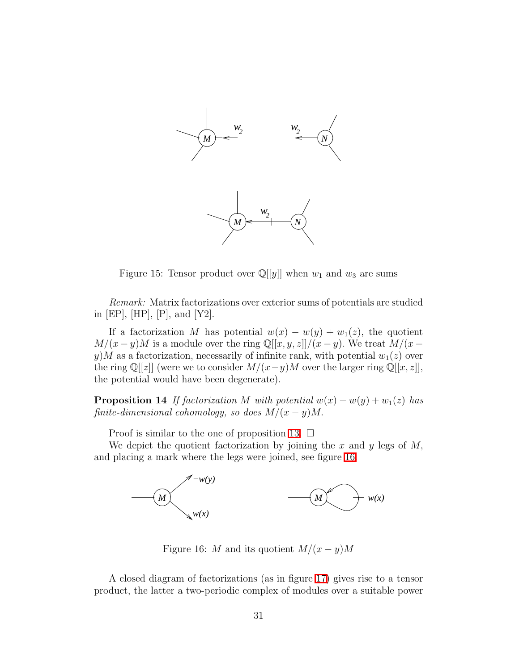

<span id="page-30-0"></span>Figure 15: Tensor product over  $\mathbb{Q}[[y]]$  when  $w_1$  and  $w_3$  are sums

*Remark:* Matrix factorizations over exterior sums of potentials are studied in [EP], [HP], [P], and [Y2].

If a factorization M has potential  $w(x) - w(y) + w_1(z)$ , the quotient  $M/(x-y)M$  is a module over the ring Q[[x, y, z]]/ $(x-y)$ . We treat  $M/(x-y)$ y) M as a factorization, necessarily of infinite rank, with potential  $w_1(z)$  over the ring Q[[z]] (were we to consider  $M/(x-y)M$  over the larger ring Q[[x, z]], the potential would have been degenerate).

**Proposition 14** *If factorization* M *with potential*  $w(x) - w(y) + w_1(z)$  *has finite-dimensional cohomology, so does*  $M/(x - y)M$ .

Proof is similar to the one of proposition [13.](#page-29-0)  $\Box$ 

We depict the quotient factorization by joining the  $x$  and  $y$  legs of  $M$ , and placing a mark where the legs were joined, see figure [16.](#page-30-1)



<span id="page-30-1"></span>Figure 16: M and its quotient  $M/(x - y)M$ 

A closed diagram of factorizations (as in figure [17\)](#page-31-0) gives rise to a tensor product, the latter a two-periodic complex of modules over a suitable power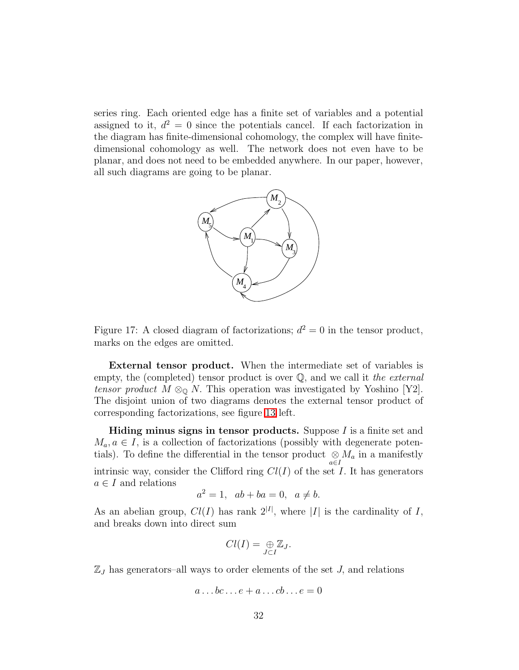series ring. Each oriented edge has a finite set of variables and a potential assigned to it,  $d^2 = 0$  since the potentials cancel. If each factorization in the diagram has finite-dimensional cohomology, the complex will have finitedimensional cohomology as well. The network does not even have to be planar, and does not need to be embedded anywhere. In our paper, however, all such diagrams are going to be planar.



<span id="page-31-0"></span>Figure 17: A closed diagram of factorizations;  $d^2 = 0$  in the tensor product, marks on the edges are omitted.

External tensor product. When the intermediate set of variables is empty, the (completed) tensor product is over Q, and we call it *the external tensor product*  $M \otimes_{\mathbb{Q}} N$ . This operation was investigated by Yoshino [Y2]. The disjoint union of two diagrams denotes the external tensor product of corresponding factorizations, see figure [13](#page-28-1) left.

Hiding minus signs in tensor products. Suppose I is a finite set and  $M_a, a \in I$ , is a collection of factorizations (possibly with degenerate potentials). To define the differential in the tensor product  $\underset{a \in I}{\otimes} M_a$  in a manifestly intrinsic way, consider the Clifford ring  $Cl(I)$  of the set I. It has generators  $a \in I$  and relations

$$
a^2 = 1, \quad ab + ba = 0, \quad a \neq b.
$$

As an abelian group,  $Cl(I)$  has rank  $2^{|I|}$ , where |I| is the cardinality of I, and breaks down into direct sum

$$
Cl(I) = \underset{J \subset I}{\oplus} \mathbb{Z}_J.
$$

 $\mathbb{Z}_J$  has generators–all ways to order elements of the set  $J$ , and relations

$$
a \dots bc \dots e + a \dots cb \dots e = 0
$$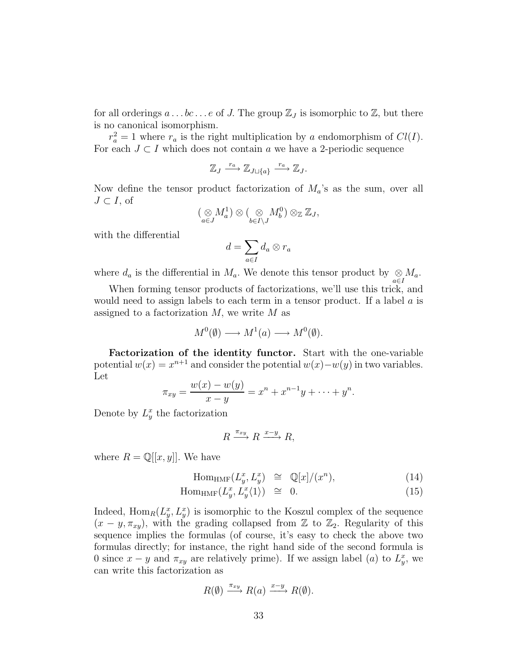for all orderings  $a \dots bc \dots e$  of J. The group  $\mathbb{Z}_J$  is isomorphic to  $\mathbb{Z}$ , but there is no canonical isomorphism.

 $r_a^2 = 1$  where  $r_a$  is the right multiplication by a endomorphism of  $Cl(I)$ . For each  $J \subset I$  which does not contain a we have a 2-periodic sequence

$$
\mathbb{Z}_J \xrightarrow{r_a} \mathbb{Z}_{J \sqcup \{a\}} \xrightarrow{r_a} \mathbb{Z}_J.
$$

Now define the tensor product factorization of  $M_a$ 's as the sum, over all  $J \subset I$ , of

$$
(\underset{a\in J}{\otimes}M_a^1)\otimes(\underset{b\in I\setminus J}{\otimes}M_b^0)\otimes_{\mathbb{Z}}\mathbb{Z}_J,
$$

with the differential

$$
d = \sum_{a \in I} d_a \otimes r_a
$$

where  $d_a$  is the differential in  $M_a$ . We denote this tensor product by  $\underset{a \in I}{\otimes} M_a$ .

When forming tensor products of factorizations, we'll use this trick, and would need to assign labels to each term in a tensor product. If a label  $a$  is assigned to a factorization  $M$ , we write  $M$  as

$$
M^0(\emptyset) \longrightarrow M^1(a) \longrightarrow M^0(\emptyset).
$$

Factorization of the identity functor. Start with the one-variable potential  $w(x) = x^{n+1}$  and consider the potential  $w(x) - w(y)$  in two variables. Let

$$
\pi_{xy} = \frac{w(x) - w(y)}{x - y} = x^n + x^{n-1}y + \dots + y^n.
$$

Denote by  $L_y^x$  the factorization

$$
R \xrightarrow{\pi_{xy}} R \xrightarrow{x-y} R,
$$

where  $R = \mathbb{Q}[[x, y]]$ . We have

$$
\text{Hom}_{\text{HMF}}(L_y^x, L_y^x) \cong \mathbb{Q}[x]/(x^n), \tag{14}
$$

$$
\text{Hom}_{\text{HMF}}(L_y^x, L_y^x \langle 1 \rangle) \quad \cong \quad 0. \tag{15}
$$

Indeed,  $\text{Hom}_R(L_y^x, L_y^x)$  is isomorphic to the Koszul complex of the sequence  $(x - y, \pi_{xy})$ , with the grading collapsed from Z to Z<sub>2</sub>. Regularity of this sequence implies the formulas (of course, it's easy to check the above two formulas directly; for instance, the right hand side of the second formula is 0 since  $x - y$  and  $\pi_{xy}$  are relatively prime). If we assign label (*a*) to  $L_y^x$ , we can write this factorization as

$$
R(\emptyset) \xrightarrow{\pi_{xy}} R(a) \xrightarrow{x-y} R(\emptyset).
$$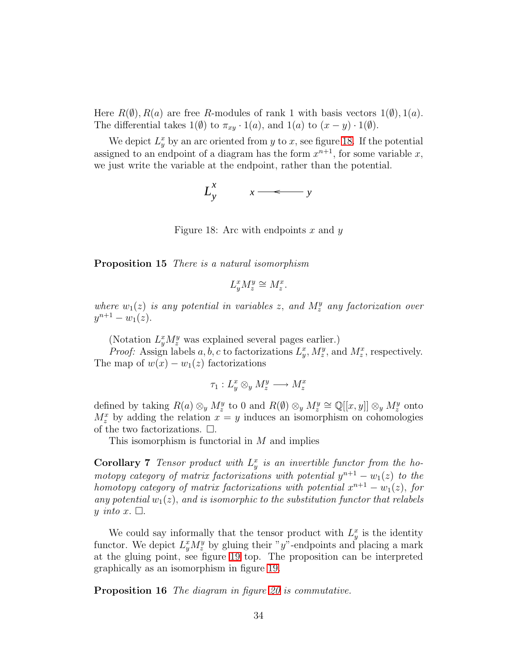Here  $R(\emptyset), R(a)$  are free R-modules of rank 1 with basis vectors  $1(\emptyset), 1(a)$ . The differential takes  $1(\emptyset)$  to  $\pi_{xy} \cdot 1(a)$ , and  $1(a)$  to  $(x - y) \cdot 1(\emptyset)$ .

We depict  $L_y^x$  by an arc oriented from y to x, see figure [18.](#page-33-0) If the potential assigned to an endpoint of a diagram has the form  $x^{n+1}$ , for some variable x, we just write the variable at the endpoint, rather than the potential.



<span id="page-33-0"></span>Figure 18: Arc with endpoints x and y

Proposition 15 *There is a natural isomorphism*

$$
L_y^x M_z^y \cong M_z^x.
$$

where  $w_1(z)$  *is any potential in variables z, and*  $M_z^y$  *any factorization over*  $y^{n+1} - w_1(z)$ .

(Notation  $L_y^x M_z^y$  was explained several pages earlier.)

*Proof:* Assign labels a, b, c to factorizations  $L_y^x$ ,  $M_z^y$ , and  $M_z^x$ , respectively. The map of  $w(x) - w_1(z)$  factorizations

$$
\tau_1: L_y^x \otimes_y M_z^y \longrightarrow M_z^x
$$

defined by taking  $R(a) \otimes_y M_z^y$  to 0 and  $R(\emptyset) \otimes_y M_z^y \cong \mathbb{Q}[[x, y]] \otimes_y M_z^y$  onto  $M_z^x$  by adding the relation  $x = y$  induces an isomorphism on cohomologies of the two factorizations.  $\Box$ .

This isomorphism is functorial in M and implies

**Corollary 7** Tensor product with  $L_y^x$  is an invertible functor from the ho*motopy category of matrix factorizations with potential*  $y^{n+1} - w_1(z)$  *to the homotopy category of matrix factorizations with potential*  $x^{n+1} - w_1(z)$ , *for* any potential  $w_1(z)$ , and is isomorphic to the substitution functor that relabels y *into* x.  $\Box$ .

We could say informally that the tensor product with  $L_y^x$  is the identity functor. We depict  $L_y^x M_z^y$  by gluing their "y"-endpoints and placing a mark at the gluing point, see figure [19](#page-34-0) top. The proposition can be interpreted graphically as an isomorphism in figure [19.](#page-34-0)

Proposition 16 *The diagram in figure [20](#page-35-0) is commutative.*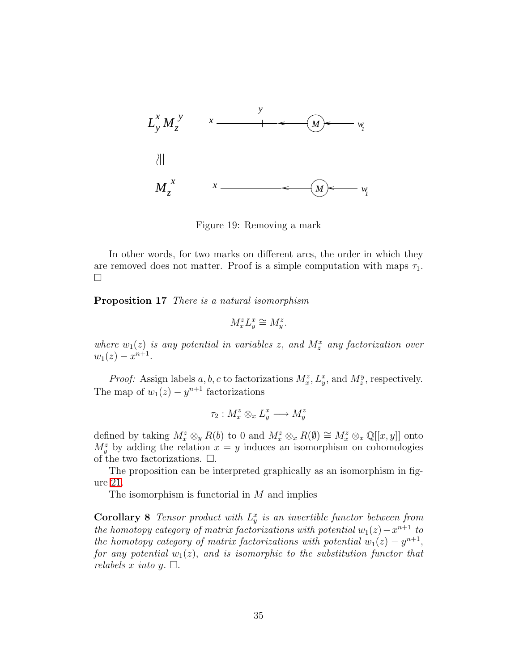

<span id="page-34-0"></span>Figure 19: Removing a mark

In other words, for two marks on different arcs, the order in which they are removed does not matter. Proof is a simple computation with maps  $\tau_1$ .  $\Box$ 

Proposition 17 *There is a natural isomorphism*

$$
M_x^z L_y^x \cong M_y^z.
$$

where  $w_1(z)$  is any potential in variables z, and  $M_z^x$  any factorization over  $w_1(z) - x^{n+1}$ .

*Proof:* Assign labels a, b, c to factorizations  $M_x^z$ ,  $L_y^x$ , and  $M_z^y$ , respectively. The map of  $w_1(z) - y^{n+1}$  factorizations

$$
\tau_2: M_x^z \otimes_x L_y^x \longrightarrow M_y^z
$$

defined by taking  $M_x^z \otimes_y R(b)$  to 0 and  $M_x^z \otimes_x R(b) \cong M_x^z \otimes_x \mathbb{Q}[[x, y]]$  onto  $M_y^z$  by adding the relation  $x = y$  induces an isomorphism on cohomologies of the two factorizations.  $\Box$ .

The proposition can be interpreted graphically as an isomorphism in figure [21.](#page-35-1)

The isomorphism is functorial in  $M$  and implies

**Corollary 8** Tensor product with  $L_y^x$  is an invertible functor between from *the homotopy category of matrix factorizations with potential*  $w_1(z) - x^{n+1}$  *to the homotopy category of matrix factorizations with potential*  $w_1(z) - y^{n+1}$ , *for any potential*  $w_1(z)$ *, and is isomorphic to the substitution functor that relabels* x *into* y.  $\Box$ .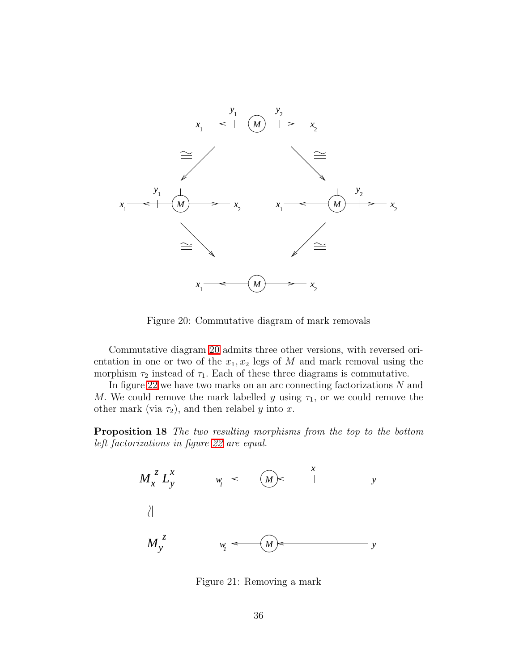

<span id="page-35-0"></span>Figure 20: Commutative diagram of mark removals

Commutative diagram [20](#page-35-0) admits three other versions, with reversed orientation in one or two of the  $x_1, x_2$  legs of M and mark removal using the morphism  $\tau_2$  instead of  $\tau_1$ . Each of these three diagrams is commutative.

In figure [22](#page-36-0) we have two marks on an arc connecting factorizations  $N$  and M. We could remove the mark labelled y using  $\tau_1$ , or we could remove the other mark (via  $\tau_2$ ), and then relabel y into x.

Proposition 18 *The two resulting morphisms from the top to the bottom left factorizations in figure [22](#page-36-0) are equal.*



<span id="page-35-1"></span>Figure 21: Removing a mark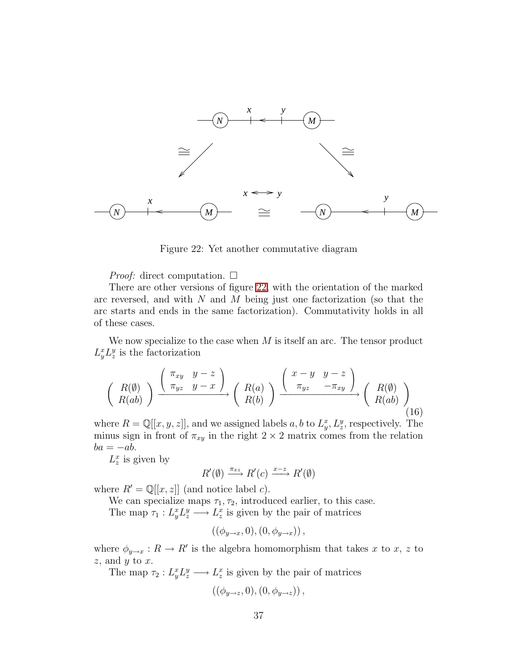

<span id="page-36-0"></span>Figure 22: Yet another commutative diagram

*Proof:* direct computation. □

There are other versions of figure [22,](#page-36-0) with the orientation of the marked arc reversed, and with  $N$  and  $M$  being just one factorization (so that the arc starts and ends in the same factorization). Commutativity holds in all of these cases.

We now specialize to the case when  $M$  is itself an arc. The tensor product  $L_y^x L_z^y$  is the factorization

$$
\begin{pmatrix}\nR(\emptyset) \\
R(ab)\n\end{pmatrix}\n\xrightarrow{\begin{pmatrix}\n\pi_{xy} & y-z \\
\pi_{yz} & y-x\n\end{pmatrix}}\n\begin{pmatrix}\nR(a) \\
R(b)\n\end{pmatrix}\n\xrightarrow{\begin{pmatrix}\nx-y & y-z \\
\pi_{yz} & -\pi_{xy}\n\end{pmatrix}}\n\begin{pmatrix}\nR(\emptyset) \\
R(ab)\n\end{pmatrix}
$$
\n(16)

where  $R = \mathbb{Q}[[x, y, z]]$ , and we assigned labels a, b to  $L_y^x, L_z^y$ , respectively. The minus sign in front of  $\pi_{xy}$  in the right  $2 \times 2$  matrix comes from the relation  $ba = -ab.$ 

 $L_z^x$  is given by

$$
R'(\emptyset) \xrightarrow{\pi_{xz}} R'(c) \xrightarrow{x-z} R'(\emptyset)
$$

where  $R' = \mathbb{Q}[[x, z]]$  (and notice label c).

We can specialize maps  $\tau_1, \tau_2$ , introduced earlier, to this case. The map  $\tau_1: L_y^x L_z^y \longrightarrow L_z^x$  is given by the pair of matrices

$$
((\phi_{y\to x},0),(0,\phi_{y\to x}))
$$

where  $\phi_{y\to x}: R \to R'$  is the algebra homomorphism that takes x to x, z to  $z$ , and  $y$  to  $x$ .

The map  $\tau_2: L_y^x L_z^y \longrightarrow L_z^x$  is given by the pair of matrices

$$
((\phi_{y\to z},0),(0,\phi_{y\to z}))
$$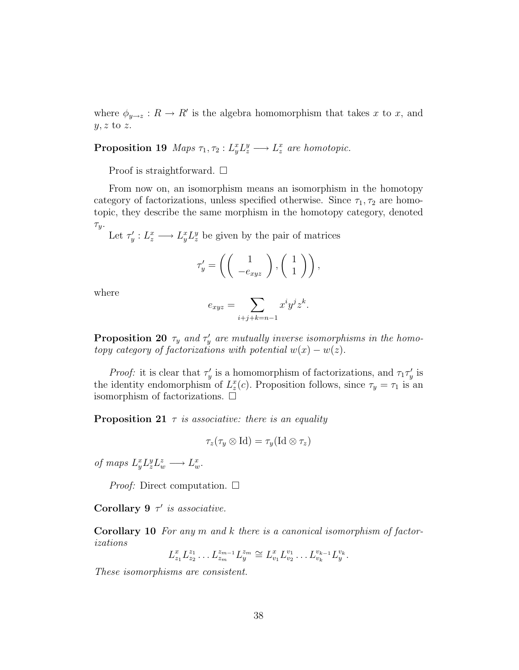where  $\phi_{y\to z}: R \to R'$  is the algebra homomorphism that takes x to x, and  $y, z$  to z.

**Proposition 19** Maps  $\tau_1, \tau_2 : L_y^x L_z^y \longrightarrow L_z^x$  are homotopic.

Proof is straightforward.  $\Box$ 

From now on, an isomorphism means an isomorphism in the homotopy category of factorizations, unless specified otherwise. Since  $\tau_1, \tau_2$  are homotopic, they describe the same morphism in the homotopy category, denoted  $\tau_y$ .

Let  $\tau'_y: L_z^x \longrightarrow L_y^x L_z^y$  be given by the pair of matrices

$$
\tau'_{y} = \left( \left( \begin{array}{c} 1 \\ -e_{xyz} \end{array} \right), \left( \begin{array}{c} 1 \\ 1 \end{array} \right) \right),
$$

where

$$
e_{xyz} = \sum_{i+j+k=n-1} x^i y^j z^k.
$$

<span id="page-37-0"></span>**Proposition 20**  $\tau_y$  and  $\tau'_y$  are mutually inverse isomorphisms in the homo*topy category of factorizations with potential*  $w(x) - w(z)$ .

*Proof:* it is clear that  $\tau'_y$  is a homomorphism of factorizations, and  $\tau_1 \tau'_y$  is the identity endomorphism of  $L_z^x(c)$ . Proposition follows, since  $\tau_y = \tau_1$  is an isomorphism of factorizations.  $\Box$ 

<span id="page-37-1"></span>Proposition 21 τ *is associative: there is an equality*

$$
\tau_z(\tau_y\otimes\mathrm{Id})=\tau_y(\mathrm{Id}\otimes\tau_z)
$$

*of maps*  $L_y^x L_z^y L_w^z \longrightarrow L_w^x$ .

*Proof:* Direct computation. □

Corollary 9 τ ′ *is associative.*

<span id="page-37-2"></span>Corollary 10 *For any* m *and* k *there is a canonical isomorphism of factorizations*

$$
L_{z_1}^x L_{z_2}^{z_1} \dots L_{z_m}^{z_{m-1}} L_{y}^{z_m} \cong L_{v_1}^x L_{v_2}^{v_1} \dots L_{v_k}^{v_{k-1}} L_{y}^{v_k}.
$$

*These isomorphisms are consistent.*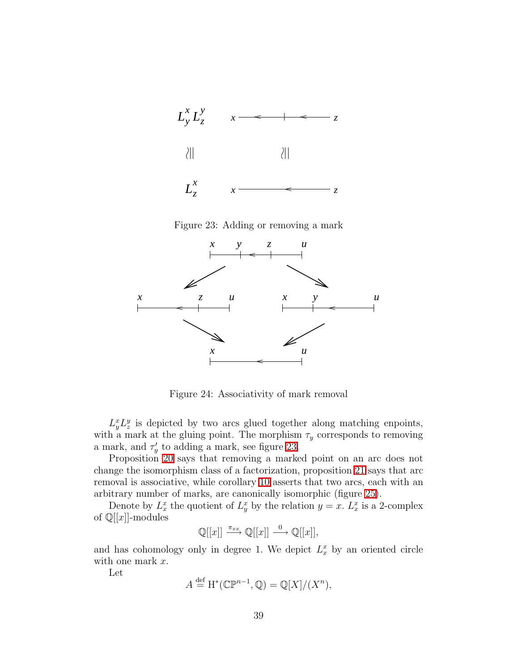

<span id="page-38-0"></span>Figure 23: Adding or removing a mark



Figure 24: Associativity of mark removal

 $L_y^x L_z^y$  is depicted by two arcs glued together along matching enpoints, with a mark at the gluing point. The morphism  $\tau_y$  corresponds to removing a mark, and  $\tau'_y$  to adding a mark, see figure [23.](#page-38-0)

Proposition [20](#page-37-0) says that removing a marked point on an arc does not change the isomorphism class of a factorization, proposition [21](#page-37-1) says that arc removal is associative, while corollary [10](#page-37-2) asserts that two arcs, each with an arbitrary number of marks, are canonically isomorphic (figure [25\)](#page-39-0).

Denote by  $L_x^x$  the quotient of  $L_y^x$  by the relation  $y = x$ .  $L_x^x$  is a 2-complex of  $\mathbb{Q}[[x]]$ -modules

$$
\mathbb{Q}[[x]] \xrightarrow{\pi_{xx}} \mathbb{Q}[[x]] \xrightarrow{0} \mathbb{Q}[[x]],
$$

and has cohomology only in degree 1. We depict  $L_x^x$  by an oriented circle with one mark  $x$ .

Let

$$
A \stackrel{\text{def}}{=} \mathrm{H}^*(\mathbb{CP}^{n-1}, \mathbb{Q}) = \mathbb{Q}[X]/(X^n),
$$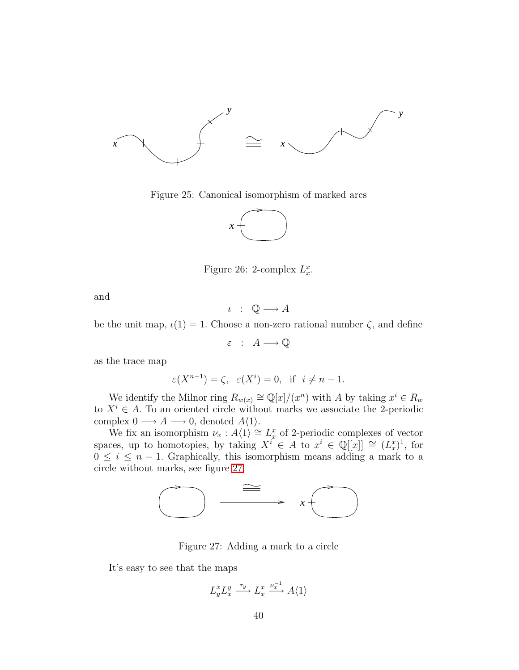

<span id="page-39-0"></span>Figure 25: Canonical isomorphism of marked arcs



Figure 26: 2-complex  $L_x^x$ .

and

$$
\iota \; : \; \mathbb{Q} \longrightarrow A
$$

be the unit map,  $\iota(1) = 1$ . Choose a non-zero rational number  $\zeta$ , and define

$$
\varepsilon \ : \ A \longrightarrow \mathbb{Q}
$$

as the trace map

$$
\varepsilon(X^{n-1}) = \zeta
$$
,  $\varepsilon(X^i) = 0$ , if  $i \neq n-1$ .

We identify the Milnor ring  $R_{w(x)} \cong \mathbb{Q}[x]/(x^n)$  with A by taking  $x^i \in R_w$ to  $X^i \in A$ . To an oriented circle without marks we associate the 2-periodic complex  $0 \longrightarrow A \longrightarrow 0$ , denoted  $A\langle 1 \rangle$ .

We fix an isomorphism  $\nu_x : A\langle 1 \rangle \cong L_x^x$  of 2-periodic complexes of vector spaces, up to homotopies, by taking  $X^{i} \in A$  to  $x^{i} \in \mathbb{Q}[[x]] \cong (L_{x}^{x})^{1}$ , for  $0 \leq i \leq n-1$ . Graphically, this isomorphism means adding a mark to a circle without marks, see figure [27.](#page-39-1)



<span id="page-39-1"></span>Figure 27: Adding a mark to a circle

It's easy to see that the maps

$$
L_y^x L_x^y \xrightarrow{\tau_y} L_x^x \xrightarrow{\nu_x^{-1}} A \langle 1 \rangle
$$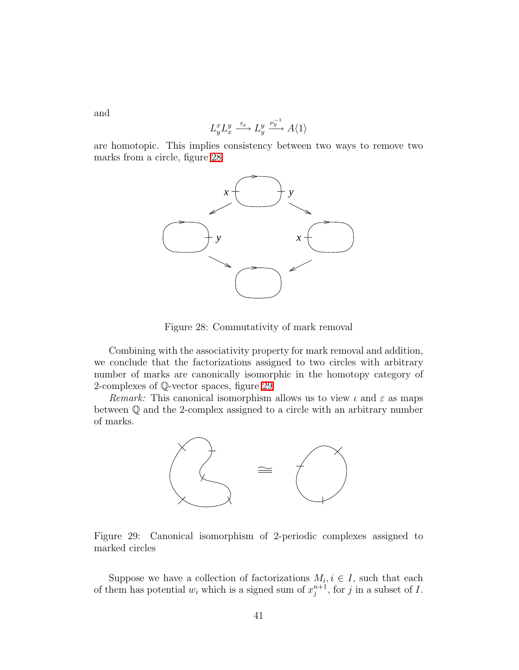and

$$
L_y^x L_x^y \xrightarrow{\tau_x} L_y^y \xrightarrow{\nu_y^{-1}} A \langle 1 \rangle
$$

are homotopic. This implies consistency between two ways to remove two marks from a circle, figure [28.](#page-40-0)



<span id="page-40-0"></span>Figure 28: Commutativity of mark removal

Combining with the associativity property for mark removal and addition, we conclude that the factorizations assigned to two circles with arbitrary number of marks are canonically isomorphic in the homotopy category of 2-complexes of Q-vector spaces, figure [29.](#page-40-1)

*Remark:* This canonical isomorphism allows us to view  $\iota$  and  $\varepsilon$  as maps between Q and the 2-complex assigned to a circle with an arbitrary number of marks.



<span id="page-40-1"></span>Figure 29: Canonical isomorphism of 2-periodic complexes assigned to marked circles

Suppose we have a collection of factorizations  $M_i, i \in I$ , such that each of them has potential  $w_i$  which is a signed sum of  $x_j^{n+1}$ , for j in a subset of I.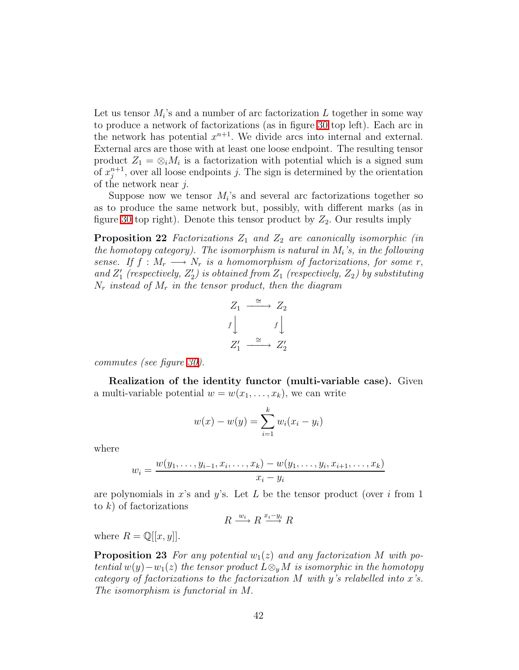Let us tensor  $M_i$ 's and a number of arc factorization L together in some way to produce a network of factorizations (as in figure [30](#page-42-0) top left). Each arc in the network has potential  $x^{n+1}$ . We divide arcs into internal and external. External arcs are those with at least one loose endpoint. The resulting tensor product  $Z_1 = \otimes_i M_i$  is a factorization with potential which is a signed sum of  $x_i^{n+1}$  $j^{n+1}_{j}$ , over all loose endpoints j. The sign is determined by the orientation of the network near j.

Suppose now we tensor  $M_i$ 's and several arc factorizations together so as to produce the same network but, possibly, with different marks (as in figure [30](#page-42-0) top right). Denote this tensor product by  $Z_2$ . Our results imply

<span id="page-41-1"></span>**Proposition 22** *Factorizations*  $Z_1$  *and*  $Z_2$  *are canonically isomorphic (in the homotopy category). The isomorphism is natural in* M<sup>i</sup> *'s, in the following sense.* If  $f : M_r \longrightarrow N_r$  *is a homomorphism of factorizations, for some* r, and  $Z'_1$  (respectively,  $Z'_2$ ) is obtained from  $Z_1$  (respectively,  $Z_2$ ) by substituting N<sup>r</sup> *instead of* M<sup>r</sup> *in the tensor product, then the diagram*

$$
Z_1 \xrightarrow{\cong} Z_2
$$
  

$$
f \downarrow \qquad f \downarrow
$$
  

$$
Z'_1 \xrightarrow{\cong} Z'_2
$$

*commutes (see figure [30\)](#page-42-0).*

Realization of the identity functor (multi-variable case). Given a multi-variable potential  $w = w(x_1, \ldots, x_k)$ , we can write

$$
w(x) - w(y) = \sum_{i=1}^{k} w_i (x_i - y_i)
$$

where

$$
w_i = \frac{w(y_1, \dots, y_{i-1}, x_i, \dots, x_k) - w(y_1, \dots, y_i, x_{i+1}, \dots, x_k)}{x_i - y_i}
$$

are polynomials in x's and y's. Let L be the tensor product (over i from 1) to  $k$ ) of factorizations

$$
R \xrightarrow{w_i} R \xrightarrow{x_i - y_i} R
$$

<span id="page-41-0"></span>where  $R = \mathbb{Q}[[x, y]].$ 

**Proposition 23** For any potential  $w_1(z)$  and any factorization M with po*tential*  $w(y) - w_1(z)$  *the tensor product*  $L \otimes_y M$  *is isomorphic in the homotopy category of factorizations to the factorization* M *with* y*'s relabelled into* x*'s. The isomorphism is functorial in* M.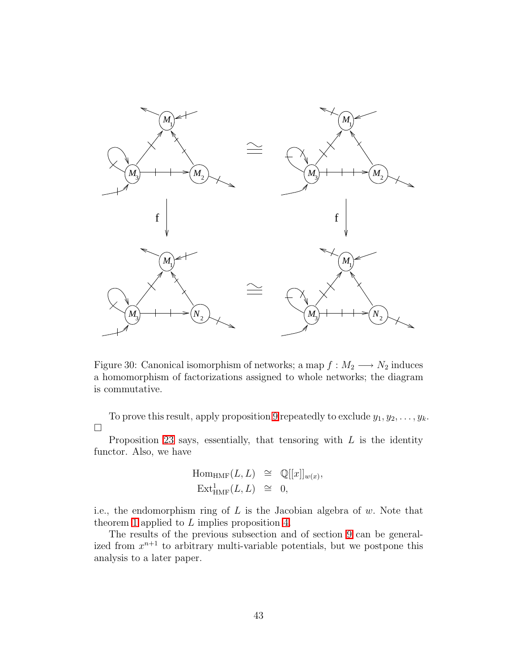

<span id="page-42-0"></span>Figure 30: Canonical isomorphism of networks; a map  $f : M_2 \longrightarrow N_2$  induces a homomorphism of factorizations assigned to whole networks; the diagram is commutative.

To prove this result, apply proposition [9](#page-26-0) repeatedly to exclude  $y_1, y_2, \ldots, y_k$ .  $\Box$ 

Proposition [23](#page-41-0) says, essentially, that tensoring with  $L$  is the identity functor. Also, we have

$$
\text{Hom}_{\text{HMF}}(L, L) \cong \mathbb{Q}[[x]]_{w(x)},
$$
  

$$
\text{Ext}^1_{\text{HMF}}(L, L) \cong 0,
$$

i.e., the endomorphism ring of  $L$  is the Jacobian algebra of  $w$ . Note that theorem [1](#page-27-0) applied to  $L$  implies proposition [4.](#page-17-0)

The results of the previous subsection and of section [9](#page-93-0) can be generalized from  $x^{n+1}$  to arbitrary multi-variable potentials, but we postpone this analysis to a later paper.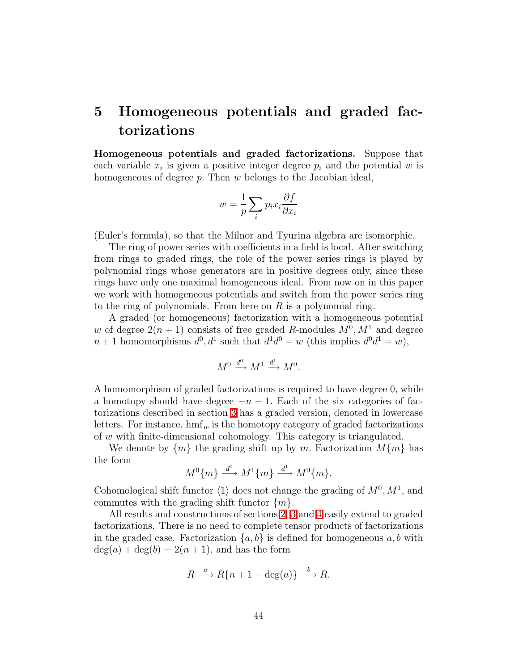# 5 Homogeneous potentials and graded factorizations

Homogeneous potentials and graded factorizations. Suppose that each variable  $x_i$  is given a positive integer degree  $p_i$  and the potential w is homogeneous of degree  $p$ . Then  $w$  belongs to the Jacobian ideal,

$$
w = \frac{1}{p} \sum_{i} p_i x_i \frac{\partial f}{\partial x_i}
$$

(Euler's formula), so that the Milnor and Tyurina algebra are isomorphic.

The ring of power series with coefficients in a field is local. After switching from rings to graded rings, the role of the power series rings is played by polynomial rings whose generators are in positive degrees only, since these rings have only one maximal homogeneous ideal. From now on in this paper we work with homogeneous potentials and switch from the power series ring to the ring of polynomials. From here on  $R$  is a polynomial ring.

A graded (or homogeneous) factorization with a homogeneous potential w of degree  $2(n+1)$  consists of free graded R-modules  $M^0, M^1$  and degree  $n+1$  homomorphisms  $d^0, d^1$  such that  $d^1d^0 = w$  (this implies  $d^0d^1 = w$ ),

$$
M^0 \xrightarrow{d^0} M^1 \xrightarrow{d^1} M^0.
$$

A homomorphism of graded factorizations is required to have degree 0, while a homotopy should have degree  $-n-1$ . Each of the six categories of factorizations described in section [3](#page-16-0) has a graded version, denoted in lowercase letters. For instance,  $\text{hmf}_w$  is the homotopy category of graded factorizations of w with finite-dimensional cohomology. This category is triangulated.

We denote by  $\{m\}$  the grading shift up by m. Factorization  $M\{m\}$  has the form

$$
M^{0}\{m\} \xrightarrow{d^{0}} M^{1}\{m\} \xrightarrow{d^{1}} M^{0}\{m\}.
$$

Cohomological shift functor  $\langle 1 \rangle$  does not change the grading of  $M^0, M^1$ , and commutes with the grading shift functor  $\{m\}$ .

All results and constructions of sections [2,](#page-12-0) [3](#page-16-0) and [4](#page-27-1) easily extend to graded factorizations. There is no need to complete tensor products of factorizations in the graded case. Factorization  $\{a, b\}$  is defined for homogeneous  $a, b$  with  $deg(a) + deg(b) = 2(n + 1)$ , and has the form

$$
R \xrightarrow{a} R\{n+1-\deg(a)\} \xrightarrow{b} R.
$$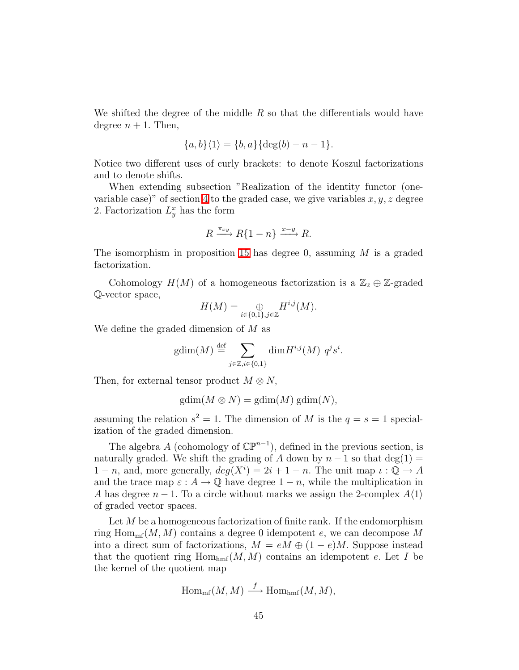We shifted the degree of the middle  $R$  so that the differentials would have degree  $n + 1$ . Then,

$$
{a, b} \langle 1 \rangle = {b, a} \{ \deg(b) - n - 1 \}.
$$

Notice two different uses of curly brackets: to denote Koszul factorizations and to denote shifts.

When extending subsection "Realization of the identity functor (one-variable case)" of section [4](#page-27-1) to the graded case, we give variables  $x, y, z$  degree 2. Factorization  $L_y^x$  has the form

$$
R \xrightarrow{\pi_{xy}} R\{1-n\} \xrightarrow{x-y} R.
$$

The isomorphism in proposition [15](#page-33-0) has degree 0, assuming  $M$  is a graded factorization.

Cohomology  $H(M)$  of a homogeneous factorization is a  $\mathbb{Z}_2 \oplus \mathbb{Z}$ -graded Q-vector space,

$$
H(M) = \bigoplus_{i \in \{0,1\}, j \in \mathbb{Z}} H^{i,j}(M).
$$

We define the graded dimension of M as

$$
\text{gdim}(M) \stackrel{\text{def}}{=} \sum_{j \in \mathbb{Z}, i \in \{0, 1\}} \text{dim} H^{i, j}(M) \ q^j s^i.
$$

Then, for external tensor product  $M \otimes N$ ,

$$
gdim(M \otimes N) = gdim(M) gdim(N),
$$

assuming the relation  $s^2 = 1$ . The dimension of M is the  $q = s = 1$  specialization of the graded dimension.

The algebra A (cohomology of  $\mathbb{CP}^{n-1}$ ), defined in the previous section, is naturally graded. We shift the grading of A down by  $n-1$  so that deg(1) =  $1 - n$ , and, more generally,  $deg(X^i) = 2i + 1 - n$ . The unit map  $\iota : \mathbb{Q} \to A$ and the trace map  $\varepsilon : A \to \mathbb{Q}$  have degree  $1 - n$ , while the multiplication in A has degree  $n-1$ . To a circle without marks we assign the 2-complex  $A(1)$ of graded vector spaces.

Let  $M$  be a homogeneous factorization of finite rank. If the endomorphism ring  $\text{Hom}_{\text{mf}}(M, M)$  contains a degree 0 idempotent e, we can decompose M into a direct sum of factorizations,  $M = eM \oplus (1 - e)M$ . Suppose instead that the quotient ring  $\text{Hom}_{\text{hmf}}(M, M)$  contains an idempotent e. Let I be the kernel of the quotient map

$$
\operatorname{Hom}_{\mathrm{mf}}(M,M)\stackrel{f}{\longrightarrow} \operatorname{Hom}_{\mathrm{hmf}}(M,M),
$$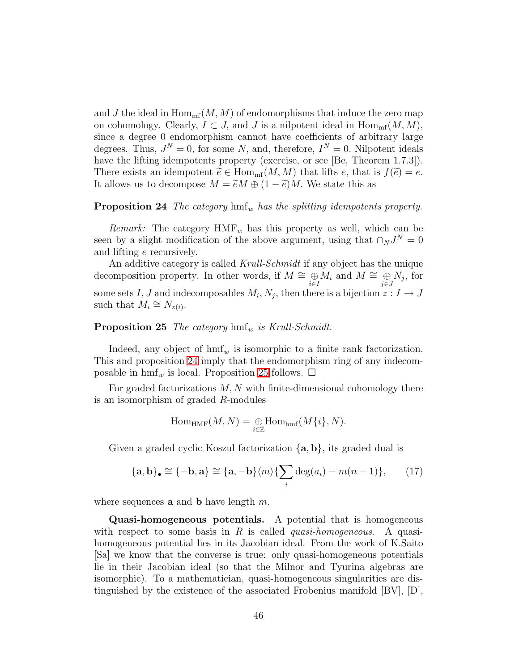and J the ideal in  $\text{Hom}_{\text{mf}}(M, M)$  of endomorphisms that induce the zero map on cohomology. Clearly,  $I \subset J$ , and J is a nilpotent ideal in  $\text{Hom}_{\text{mf}}(M, M)$ , since a degree 0 endomorphism cannot have coefficients of arbitrary large degrees. Thus,  $J^N = 0$ , for some N, and, therefore,  $I^N = 0$ . Nilpotent ideals have the lifting idempotents property (exercise, or see [Be, Theorem 1.7.3]). There exists an idempotent  $\widetilde{e} \in \text{Hom}_{\text{mf}}(M, M)$  that lifts e, that is  $f(\widetilde{e}) = e$ . It allows us to decompose  $M = \widetilde{e}M \oplus (1 - \widetilde{e})M$ . We state this as

#### <span id="page-45-0"></span>**Proposition 24** *The category*  $\text{hmf}_w$  *has the splitting idempotents property.*

*Remark:* The category  $HMF_w$  has this property as well, which can be seen by a slight modification of the above argument, using that  $\cap_N J^N = 0$ and lifting e recursively.

An additive category is called *Krull-Schmidt* if any object has the unique decomposition property. In other words, if  $M \cong \bigoplus_{i \in I} M_i$  and  $M \cong \bigoplus_{j \in J} N_j$ , for some sets I, J and indecomposables  $M_i, N_j$ , then there is a bijection  $z: I \to J$ such that  $M_i \cong N_{z(i)}$ .

#### <span id="page-45-1"></span>**Proposition 25** *The category*  $hmf_w$  *is Krull-Schmidt.*

Indeed, any object of  $\text{hmf}_w$  is isomorphic to a finite rank factorization. This and proposition [24](#page-45-0) imply that the endomorphism ring of any indecomposable in  $\text{hmf}_w$  is local. Proposition [25](#page-45-1) follows.  $\Box$ 

For graded factorizations  $M, N$  with finite-dimensional cohomology there is an isomorphism of graded R-modules

$$
\operatorname{Hom}_{\operatorname{HMF}}(M,N)=\underset{i\in\mathbb{Z}}{\oplus}\operatorname{Hom}_{\operatorname{hmf}}(M\{i\},N).
$$

Given a graded cyclic Koszul factorization  $\{a, b\}$ , its graded dual is

$$
\{\mathbf{a},\mathbf{b}\}_\bullet \cong \{-\mathbf{b},\mathbf{a}\} \cong \{\mathbf{a},-\mathbf{b}\}\langle m\rangle \{\sum_i \deg(a_i) - m(n+1)\},\qquad(17)
$$

where sequences **a** and **b** have length  $m$ .

Quasi-homogeneous potentials. A potential that is homogeneous with respect to some basis in R is called *quasi-homogeneous*. A quasihomogeneous potential lies in its Jacobian ideal. From the work of K.Saito [Sa] we know that the converse is true: only quasi-homogeneous potentials lie in their Jacobian ideal (so that the Milnor and Tyurina algebras are isomorphic). To a mathematician, quasi-homogeneous singularities are distinguished by the existence of the associated Frobenius manifold [BV], [D],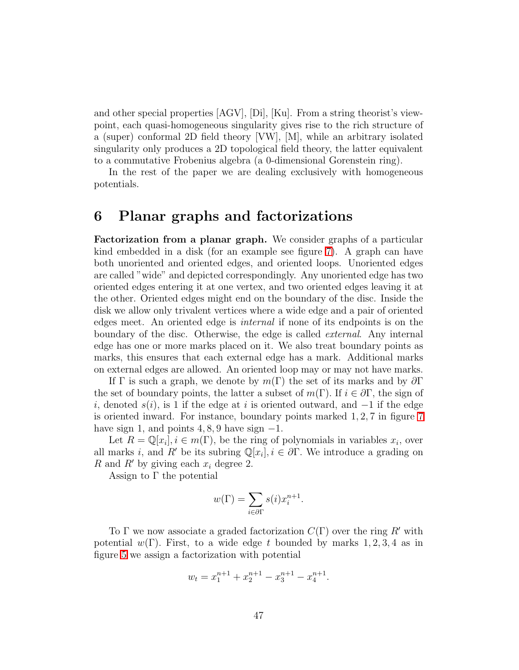and other special properties [AGV], [Di], [Ku]. From a string theorist's viewpoint, each quasi-homogeneous singularity gives rise to the rich structure of a (super) conformal 2D field theory [VW], [M], while an arbitrary isolated singularity only produces a 2D topological field theory, the latter equivalent to a commutative Frobenius algebra (a 0-dimensional Gorenstein ring).

In the rest of the paper we are dealing exclusively with homogeneous potentials.

## 6 Planar graphs and factorizations

Factorization from a planar graph. We consider graphs of a particular kind embedded in a disk (for an example see figure [7\)](#page-7-0). A graph can have both unoriented and oriented edges, and oriented loops. Unoriented edges are called "wide" and depicted correspondingly. Any unoriented edge has two oriented edges entering it at one vertex, and two oriented edges leaving it at the other. Oriented edges might end on the boundary of the disc. Inside the disk we allow only trivalent vertices where a wide edge and a pair of oriented edges meet. An oriented edge is *internal* if none of its endpoints is on the boundary of the disc. Otherwise, the edge is called *external*. Any internal edge has one or more marks placed on it. We also treat boundary points as marks, this ensures that each external edge has a mark. Additional marks on external edges are allowed. An oriented loop may or may not have marks.

If Γ is such a graph, we denote by  $m(\Gamma)$  the set of its marks and by  $\partial \Gamma$ the set of boundary points, the latter a subset of  $m(\Gamma)$ . If  $i \in \partial \Gamma$ , the sign of i, denoted  $s(i)$ , is 1 if the edge at i is oriented outward, and  $-1$  if the edge is oriented inward. For instance, boundary points marked 1, 2, 7 in figure [7](#page-7-0) have sign 1, and points  $4, 8, 9$  have sign  $-1$ .

Let  $R = \mathbb{Q}[x_i], i \in m(\Gamma)$ , be the ring of polynomials in variables  $x_i$ , over all marks i, and R' be its subring  $\mathbb{Q}[x_i], i \in \partial \Gamma$ . We introduce a grading on R and R' by giving each  $x_i$  degree 2.

Assign to  $\Gamma$  the potential

$$
w(\Gamma) = \sum_{i \in \partial \Gamma} s(i) x_i^{n+1}.
$$

To  $\Gamma$  we now associate a graded factorization  $C(\Gamma)$  over the ring R' with potential  $w(\Gamma)$ . First, to a wide edge t bounded by marks 1, 2, 3, 4 as in figure [5](#page-5-0) we assign a factorization with potential

$$
w_t = x_1^{n+1} + x_2^{n+1} - x_3^{n+1} - x_4^{n+1}.
$$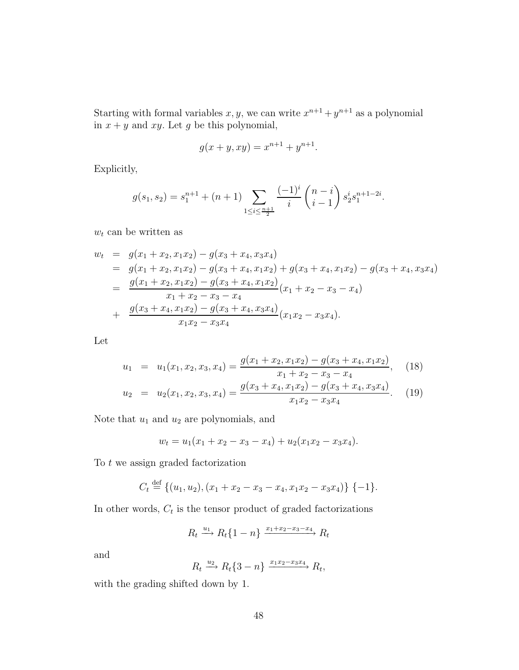Starting with formal variables  $x, y$ , we can write  $x^{n+1} + y^{n+1}$  as a polynomial in  $x + y$  and  $xy$ . Let g be this polynomial,

$$
g(x + y, xy) = x^{n+1} + y^{n+1}.
$$

Explicitly,

$$
g(s_1, s_2) = s_1^{n+1} + (n+1) \sum_{1 \le i \le \frac{n+1}{2}} \frac{(-1)^i}{i} \binom{n-i}{i-1} s_2^i s_1^{n+1-2i}.
$$

 $w_t$  can be written as

$$
w_{t} = g(x_{1} + x_{2}, x_{1}x_{2}) - g(x_{3} + x_{4}, x_{3}x_{4})
$$
  
\n
$$
= g(x_{1} + x_{2}, x_{1}x_{2}) - g(x_{3} + x_{4}, x_{1}x_{2}) + g(x_{3} + x_{4}, x_{1}x_{2}) - g(x_{3} + x_{4}, x_{3}x_{4})
$$
  
\n
$$
= \frac{g(x_{1} + x_{2}, x_{1}x_{2}) - g(x_{3} + x_{4}, x_{1}x_{2})}{x_{1} + x_{2} - x_{3} - x_{4}}(x_{1} + x_{2} - x_{3} - x_{4})
$$
  
\n
$$
+ \frac{g(x_{3} + x_{4}, x_{1}x_{2}) - g(x_{3} + x_{4}, x_{3}x_{4})}{x_{1}x_{2} - x_{3}x_{4}}(x_{1}x_{2} - x_{3}x_{4}).
$$

Let

$$
u_1 = u_1(x_1, x_2, x_3, x_4) = \frac{g(x_1 + x_2, x_1x_2) - g(x_3 + x_4, x_1x_2)}{x_1 + x_2 - x_3 - x_4}, \quad (18)
$$

$$
g(x_2 + x_4, x_1x_2) - g(x_2 + x_4, x_2x_4)
$$

$$
u_2 = u_2(x_1, x_2, x_3, x_4) = \frac{g(x_3 + x_4, x_1x_2) - g(x_3 + x_4, x_3x_4)}{x_1x_2 - x_3x_4}.
$$
 (19)

Note that  $u_1$  and  $u_2$  are polynomials, and

$$
w_t = u_1(x_1 + x_2 - x_3 - x_4) + u_2(x_1x_2 - x_3x_4).
$$

To  $t$  we assign graded factorization

$$
C_t \stackrel{\text{def}}{=} \{(u_1, u_2), (x_1 + x_2 - x_3 - x_4, x_1x_2 - x_3x_4)\} \{-1\}.
$$

In other words,  $C_t$  is the tensor product of graded factorizations

$$
R_t \xrightarrow{u_1} R_t \{1 - n\} \xrightarrow{x_1 + x_2 - x_3 - x_4} R_t
$$

and

$$
R_t \xrightarrow{u_2} R_t \{3 - n\} \xrightarrow{x_1 x_2 - x_3 x_4} R_t,
$$

with the grading shifted down by 1.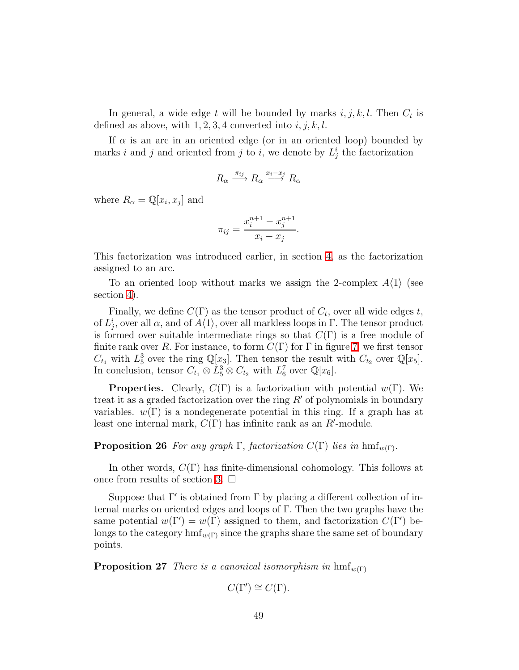In general, a wide edge t will be bounded by marks  $i, j, k, l$ . Then  $C_t$  is defined as above, with  $1, 2, 3, 4$  converted into  $i, j, k, l$ .

If  $\alpha$  is an arc in an oriented edge (or in an oriented loop) bounded by marks i and j and oriented from j to i, we denote by  $L_j^i$  the factorization

$$
R_{\alpha} \xrightarrow{\pi_{ij}} R_{\alpha} \xrightarrow{x_i - x_j} R_{\alpha}
$$

where  $R_{\alpha} = \mathbb{Q}[x_i, x_j]$  and

$$
\pi_{ij} = \frac{x_i^{n+1} - x_j^{n+1}}{x_i - x_j}.
$$

This factorization was introduced earlier, in section [4,](#page-27-1) as the factorization assigned to an arc.

To an oriented loop without marks we assign the 2-complex  $A(1)$  (see section [4\)](#page-27-1).

Finally, we define  $C(\Gamma)$  as the tensor product of  $C_t$ , over all wide edges t, of  $L_j^i$ , over all  $\alpha$ , and of  $A\langle 1\rangle$ , over all markless loops in  $\Gamma$ . The tensor product is formed over suitable intermediate rings so that  $C(\Gamma)$  is a free module of finite rank over R. For instance, to form  $C(\Gamma)$  for  $\Gamma$  in figure [7,](#page-7-0) we first tensor  $C_{t_1}$  with  $L_5^3$  over the ring  $\mathbb{Q}[x_3]$ . Then tensor the result with  $C_{t_2}$  over  $\mathbb{Q}[x_5]$ . In conclusion, tensor  $C_{t_1} \otimes L_5^3 \otimes C_{t_2}$  with  $L_6^7$  over  $\mathbb{Q}[x_6]$ .

**Properties.** Clearly,  $C(\Gamma)$  is a factorization with potential  $w(\Gamma)$ . We treat it as a graded factorization over the ring  $R'$  of polynomials in boundary variables.  $w(\Gamma)$  is a nondegenerate potential in this ring. If a graph has at least one internal mark,  $C(\Gamma)$  has infinite rank as an  $R'$ -module.

## **Proposition 26** *For any graph*  $\Gamma$ , *factorization*  $C(\Gamma)$  *lies in* hmf<sub>w(Γ)</sub>.

In other words,  $C(\Gamma)$  has finite-dimensional cohomology. This follows at once from results of section [3.](#page-16-0)  $\Box$ 

Suppose that  $\Gamma'$  is obtained from  $\Gamma$  by placing a different collection of internal marks on oriented edges and loops of Γ. Then the two graphs have the same potential  $w(\Gamma') = w(\Gamma)$  assigned to them, and factorization  $C(\Gamma')$  belongs to the category  $\text{hmf}_{w(\Gamma)}$  since the graphs share the same set of boundary points.

**Proposition 27** *There is a canonical isomorphism in*  $\text{hmf}_{w(\Gamma)}$ 

$$
C(\Gamma') \cong C(\Gamma).
$$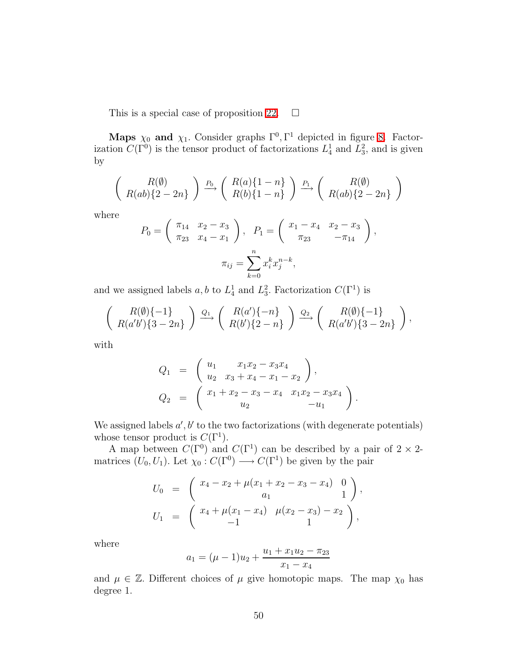This is a special case of proposition [22.](#page-41-1)  $\Box$ 

Maps  $\chi_0$  and  $\chi_1$ . Consider graphs  $\Gamma^0$ ,  $\Gamma^1$  depicted in figure [8.](#page-8-0) Factorization  $C(\Gamma^0)$  is the tensor product of factorizations  $L_4^1$  and  $L_3^2$ , and is given by

$$
\left(R(a)b\atop R(ab)\{2-2n\}\right) \xrightarrow{P_0} \left(R(a)\{1-n\}\atop R(b)\{1-n\}\right) \xrightarrow{P_1} \left(R(b)\atop R(ab)\{2-2n\}\right)
$$

where

$$
P_0 = \begin{pmatrix} \pi_{14} & x_2 - x_3 \\ \pi_{23} & x_4 - x_1 \end{pmatrix}, \quad P_1 = \begin{pmatrix} x_1 - x_4 & x_2 - x_3 \\ \pi_{23} & -\pi_{14} \end{pmatrix},
$$

$$
\pi_{ij} = \sum_{k=0}^n x_i^k x_j^{n-k},
$$

and we assigned labels  $a, b$  to  $L_4^1$  and  $L_3^2$ . Factorization  $C(\Gamma^1)$  is

$$
\left(R(\emptyset)\{-1\}\atop R(a'b')\{3-2n\}\right) \xrightarrow{Q_1} \left(R(a')\{-n\}\atop R(b')\{2-n\}\right) \xrightarrow{Q_2} \left(R(\emptyset)\{-1\}\atop R(a'b')\{3-2n\}\right),
$$

with

$$
Q_1 = \begin{pmatrix} u_1 & x_1x_2 - x_3x_4 \\ u_2 & x_3 + x_4 - x_1 - x_2 \end{pmatrix},
$$
  
\n
$$
Q_2 = \begin{pmatrix} x_1 + x_2 - x_3 - x_4 & x_1x_2 - x_3x_4 \\ u_2 & -u_1 \end{pmatrix}.
$$

We assigned labels  $a', b'$  to the two factorizations (with degenerate potentials) whose tensor product is  $C(\Gamma^1)$ .

A map between  $C(\Gamma^0)$  and  $C(\Gamma^1)$  can be described by a pair of  $2 \times 2$ matrices  $(U_0, U_1)$ . Let  $\chi_0: C(\Gamma^0) \longrightarrow C(\Gamma^1)$  be given by the pair

$$
U_0 = \begin{pmatrix} x_4 - x_2 + \mu(x_1 + x_2 - x_3 - x_4) & 0 \\ a_1 & 1 \end{pmatrix},
$$
  
\n
$$
U_1 = \begin{pmatrix} x_4 + \mu(x_1 - x_4) & \mu(x_2 - x_3) - x_2 \\ -1 & 1 \end{pmatrix},
$$

where

$$
a_1 = (\mu - 1)u_2 + \frac{u_1 + x_1u_2 - \pi_{23}}{x_1 - x_4}
$$

and  $\mu \in \mathbb{Z}$ . Different choices of  $\mu$  give homotopic maps. The map  $\chi_0$  has degree 1.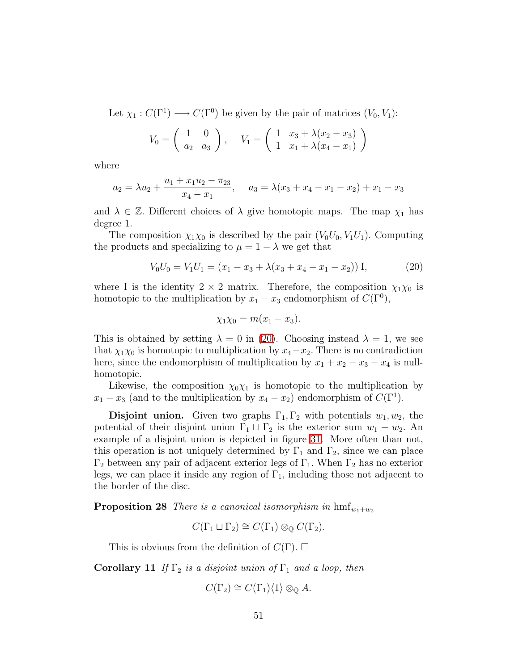Let  $\chi_1: C(\Gamma^1) \longrightarrow C(\Gamma^0)$  be given by the pair of matrices  $(V_0, V_1)$ :

$$
V_0 = \begin{pmatrix} 1 & 0 \\ a_2 & a_3 \end{pmatrix}, \quad V_1 = \begin{pmatrix} 1 & x_3 + \lambda(x_2 - x_3) \\ 1 & x_1 + \lambda(x_4 - x_1) \end{pmatrix}
$$

where

$$
a_2 = \lambda u_2 + \frac{u_1 + x_1 u_2 - \pi_{23}}{x_4 - x_1}, \quad a_3 = \lambda (x_3 + x_4 - x_1 - x_2) + x_1 - x_3
$$

and  $\lambda \in \mathbb{Z}$ . Different choices of  $\lambda$  give homotopic maps. The map  $\chi_1$  has degree 1.

The composition  $\chi_1\chi_0$  is described by the pair  $(V_0U_0, V_1U_1)$ . Computing the products and specializing to  $\mu = 1 - \lambda$  we get that

$$
V_0 U_0 = V_1 U_1 = (x_1 - x_3 + \lambda(x_3 + x_4 - x_1 - x_2)) \mathbf{I},\tag{20}
$$

where I is the identity  $2 \times 2$  matrix. Therefore, the composition  $\chi_1 \chi_0$  is homotopic to the multiplication by  $x_1 - x_3$  endomorphism of  $C(\Gamma^0)$ ,

<span id="page-50-0"></span>
$$
\chi_1\chi_0=m(x_1-x_3).
$$

This is obtained by setting  $\lambda = 0$  in [\(20\)](#page-50-0). Choosing instead  $\lambda = 1$ , we see that  $\chi_1\chi_0$  is homotopic to multiplication by  $x_4-x_2$ . There is no contradiction here, since the endomorphism of multiplication by  $x_1 + x_2 - x_3 - x_4$  is nullhomotopic.

Likewise, the composition  $\chi_0 \chi_1$  is homotopic to the multiplication by  $x_1 - x_3$  (and to the multiplication by  $x_4 - x_2$ ) endomorphism of  $C(\Gamma^1)$ .

**Disjoint union.** Given two graphs  $\Gamma_1, \Gamma_2$  with potentials  $w_1, w_2$ , the potential of their disjoint union  $\Gamma_1 \sqcup \Gamma_2$  is the exterior sum  $w_1 + w_2$ . An example of a disjoint union is depicted in figure [31.](#page-51-0) More often than not, this operation is not uniquely determined by  $\Gamma_1$  and  $\Gamma_2$ , since we can place  $Γ_2$  between any pair of adjacent exterior legs of  $Γ_1$ . When  $Γ_2$  has no exterior legs, we can place it inside any region of  $\Gamma_1$ , including those not adjacent to the border of the disc.

**Proposition 28** *There is a canonical isomorphism in*  $\text{hmf}_{w_1+w_2}$ 

$$
C(\Gamma_1 \sqcup \Gamma_2) \cong C(\Gamma_1) \otimes_{\mathbb{Q}} C(\Gamma_2).
$$

This is obvious from the definition of  $C(\Gamma)$ .  $\square$ 

Corollary 11 *If*  $\Gamma_2$  *is a disjoint union of*  $\Gamma_1$  *and a loop, then* 

$$
C(\Gamma_2) \cong C(\Gamma_1)\langle 1 \rangle \otimes_{\mathbb{Q}} A.
$$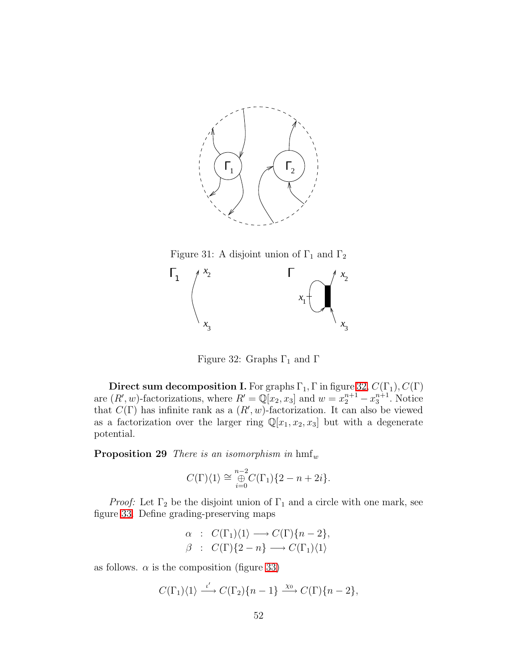

<span id="page-51-0"></span>Figure 31: A disjoint union of  $\Gamma_1$  and  $\Gamma_2$ 



<span id="page-51-1"></span>Figure 32: Graphs  $\Gamma_1$  and  $\Gamma$ 

**Direct sum decomposition I.** For graphs  $\Gamma_1, \Gamma$  in figure [32,](#page-51-1)  $C(\Gamma_1), C(\Gamma)$ are  $(R', w)$ -factorizations, where  $R' = \mathbb{Q}[x_2, x_3]$  and  $w = x_2^{n+1} - x_3^{n+1}$ . Notice that  $C(\Gamma)$  has infinite rank as a  $(R', w)$ -factorization. It can also be viewed as a factorization over the larger ring  $\mathbb{Q}[x_1, x_2, x_3]$  but with a degenerate potential.

<span id="page-51-2"></span>**Proposition 29** *There is an isomorphism in*  $hmf_w$ 

$$
C(\Gamma)\langle 1 \rangle \cong \bigoplus_{i=0}^{n-2} C(\Gamma_1)\{2-n+2i\}.
$$

*Proof:* Let  $\Gamma_2$  be the disjoint union of  $\Gamma_1$  and a circle with one mark, see figure [33.](#page-52-0) Define grading-preserving maps

$$
\alpha : C(\Gamma_1)\langle 1 \rangle \longrightarrow C(\Gamma)\{n-2\},
$$
  

$$
\beta : C(\Gamma)\{2-n\} \longrightarrow C(\Gamma_1)\langle 1 \rangle
$$

as follows.  $\alpha$  is the composition (figure [33\)](#page-52-0)

$$
C(\Gamma_1)\langle 1 \rangle \xrightarrow{\iota'} C(\Gamma_2)\{n-1\} \xrightarrow{\chi_0} C(\Gamma)\{n-2\},\
$$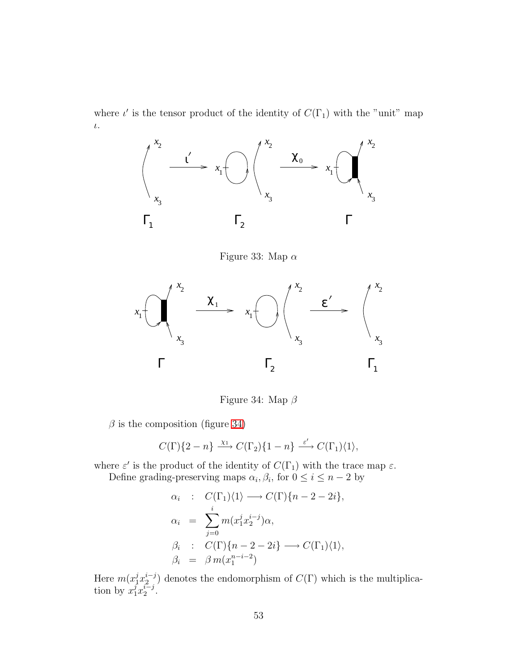where  $\iota'$  is the tensor product of the identity of  $C(\Gamma_1)$  with the "unit" map ι.



<span id="page-52-0"></span>Figure 33: Map  $\alpha$ 



<span id="page-52-1"></span>Figure 34: Map  $\beta$ 

 $\beta$  is the composition (figure [34\)](#page-52-1)

$$
C(\Gamma)\{2-n\} \xrightarrow{\chi_1} C(\Gamma_2)\{1-n\} \xrightarrow{\varepsilon'} C(\Gamma_1)\langle 1\rangle,
$$

where  $\varepsilon'$  is the product of the identity of  $C(\Gamma_1)$  with the trace map  $\varepsilon$ . Define grading-preserving maps  $\alpha_i, \beta_i$ , for  $0 \le i \le n-2$  by

$$
\alpha_i : C(\Gamma_1)\langle 1 \rangle \longrightarrow C(\Gamma)\{n-2-2i\},
$$
  
\n
$$
\alpha_i = \sum_{j=0}^i m(x_1^j x_2^{i-j})\alpha,
$$
  
\n
$$
\beta_i : C(\Gamma)\{n-2-2i\} \longrightarrow C(\Gamma_1)\langle 1 \rangle,
$$
  
\n
$$
\beta_i = \beta m(x_1^{n-i-2})
$$

<span id="page-52-2"></span>Here  $m(x_1^j x_2^{i-j})$  $2^{i-j}$  denotes the endomorphism of  $C(\Gamma)$  which is the multiplication by  $x_1^j x_2^{i-j}$  $\frac{i-j}{2}$ .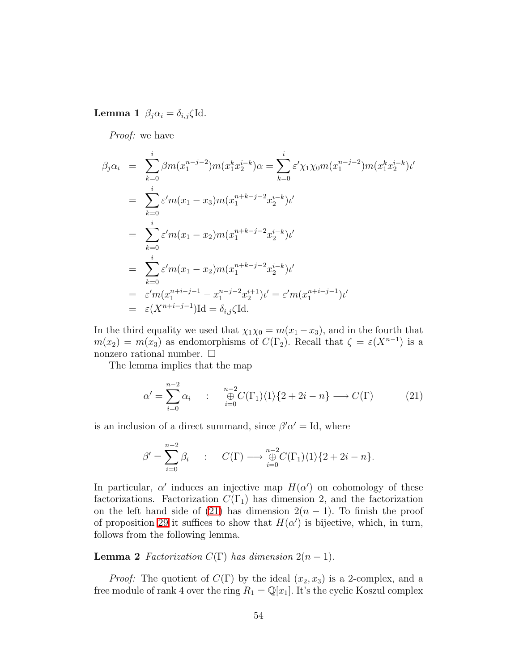Lemma 1  $\beta_j \alpha_i = \delta_{i,j} \zeta$ Id.

*Proof:* we have

$$
\beta_j \alpha_i = \sum_{k=0}^i \beta m(x_1^{n-j-2}) m(x_1^k x_2^{i-k}) \alpha = \sum_{k=0}^i \varepsilon' \chi_1 \chi_0 m(x_1^{n-j-2}) m(x_1^k x_2^{i-k}) \iota'
$$
  
\n
$$
= \sum_{k=0}^i \varepsilon' m(x_1 - x_3) m(x_1^{n+k-j-2} x_2^{i-k}) \iota'
$$
  
\n
$$
= \sum_{k=0}^i \varepsilon' m(x_1 - x_2) m(x_1^{n+k-j-2} x_2^{i-k}) \iota'
$$
  
\n
$$
= \sum_{k=0}^i \varepsilon' m(x_1 - x_2) m(x_1^{n+k-j-2} x_2^{i-k}) \iota'
$$
  
\n
$$
= \varepsilon' m(x_1^{n+i-j-1} - x_1^{n-j-2} x_2^{i+1}) \iota' = \varepsilon' m(x_1^{n+i-j-1}) \iota'
$$
  
\n
$$
= \varepsilon (X^{n+i-j-1}) \mathrm{Id} = \delta_{i,j} \zeta \mathrm{Id}.
$$

In the third equality we used that  $\chi_1 \chi_0 = m(x_1 - x_3)$ , and in the fourth that  $m(x_2) = m(x_3)$  as endomorphisms of  $C(\Gamma_2)$ . Recall that  $\zeta = \varepsilon(X^{n-1})$  is a nonzero rational number.  $\square$ 

The lemma implies that the map

<span id="page-53-0"></span>
$$
\alpha' = \sum_{i=0}^{n-2} \alpha_i \qquad : \qquad \underset{i=0}{\overset{n-2}{\oplus}} C(\Gamma_1) \langle 1 \rangle \{2 + 2i - n\} \longrightarrow C(\Gamma) \tag{21}
$$

is an inclusion of a direct summand, since  $\beta' \alpha' = Id$ , where

$$
\beta' = \sum_{i=0}^{n-2} \beta_i \qquad : \qquad C(\Gamma) \longrightarrow \bigoplus_{i=0}^{n-2} C(\Gamma_1) \langle 1 \rangle \{2 + 2i - n\}.
$$

In particular,  $\alpha'$  induces an injective map  $H(\alpha')$  on cohomology of these factorizations. Factorization  $C(\Gamma_1)$  has dimension 2, and the factorization on the left hand side of [\(21\)](#page-53-0) has dimension  $2(n - 1)$ . To finish the proof of proposition [29](#page-51-2) it suffices to show that  $H(\alpha')$  is bijective, which, in turn, follows from the following lemma.

**Lemma 2** *Factorization*  $C(\Gamma)$  *has dimension*  $2(n-1)$ *.* 

*Proof:* The quotient of  $C(\Gamma)$  by the ideal  $(x_2, x_3)$  is a 2-complex, and a free module of rank 4 over the ring  $R_1 = \mathbb{Q}[x_1]$ . It's the cyclic Koszul complex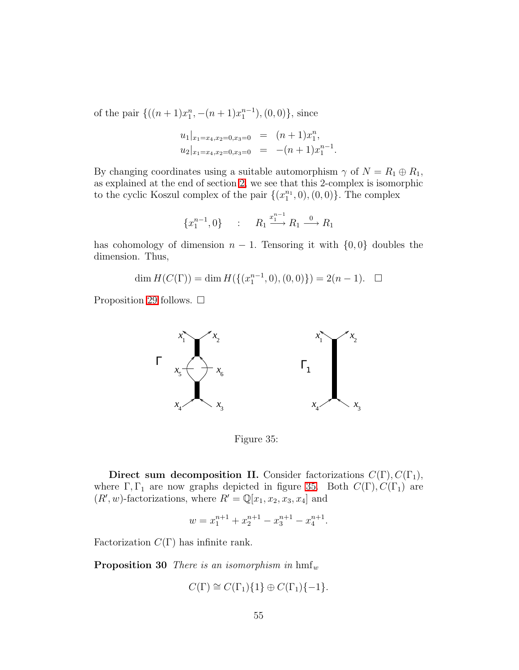of the pair  $\{((n+1)x_1^n, -(n+1)x_1^{n-1}), (0,0)\},\$  since

$$
u_1|_{x_1=x_4,x_2=0,x_3=0} = (n+1)x_1^n,
$$
  

$$
u_2|_{x_1=x_4,x_2=0,x_3=0} = -(n+1)x_1^{n-1}.
$$

By changing coordinates using a suitable automorphism  $\gamma$  of  $N = R_1 \oplus R_1$ , as explained at the end of section [2,](#page-12-0) we see that this 2-complex is isomorphic to the cyclic Koszul complex of the pair  $\{(x_1^{n_1})\}$  $_{1}^{n_{1}},0),(0,0)\}.$  The complex

$$
\{x_1^{n-1}, 0\} \qquad : \qquad R_1 \xrightarrow{x_1^{n-1}} R_1 \xrightarrow{0} R_1
$$

has cohomology of dimension  $n-1$ . Tensoring it with  $\{0,0\}$  doubles the dimension. Thus,

dim  $H(C(\Gamma)) = \dim H(\{(x_1^{n-1}, 0), (0, 0)\}) = 2(n-1).$ 

Proposition [29](#page-51-2) follows.  $\Box$ 



<span id="page-54-0"></span>Figure 35:

Direct sum decomposition II. Consider factorizations  $C(\Gamma), C(\Gamma_1)$ , where  $\Gamma, \Gamma_1$  are now graphs depicted in figure [35.](#page-54-0) Both  $C(\Gamma), C(\Gamma_1)$  are  $(R', w)$ -factorizations, where  $R' = \mathbb{Q}[x_1, x_2, x_3, x_4]$  and

$$
w = x_1^{n+1} + x_2^{n+1} - x_3^{n+1} - x_4^{n+1}.
$$

<span id="page-54-1"></span>Factorization  $C(\Gamma)$  has infinite rank.

**Proposition 30** *There is an isomorphism in*  $hmf_w$ 

$$
C(\Gamma) \cong C(\Gamma_1)\{1\} \oplus C(\Gamma_1)\{-1\}.
$$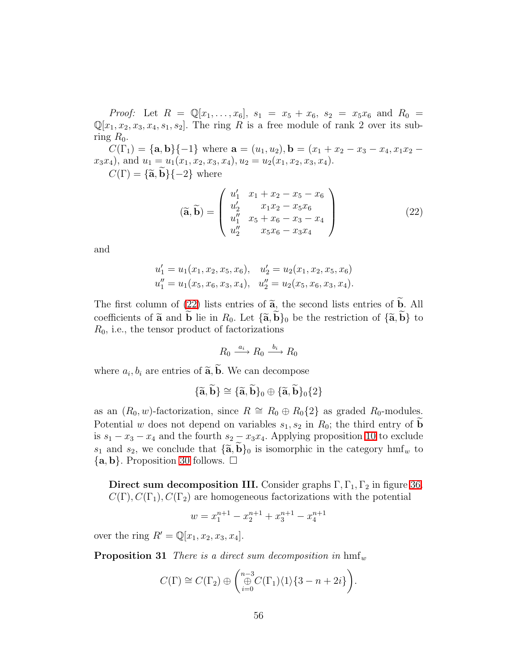*Proof:* Let  $R = \mathbb{Q}[x_1, \ldots, x_6], s_1 = x_5 + x_6, s_2 = x_5x_6$  and  $R_0 =$  $\mathbb{Q}[x_1, x_2, x_3, x_4, s_1, s_2]$ . The ring R is a free module of rank 2 over its subring  $R_0$ .

 $C(\Gamma_1) = {\bf{a},\bf{b}}{-1}$  where  $\bf{a} = (u_1, u_2), \bf{b} = (x_1 + x_2 - x_3 - x_4, x_1x_2 - x_1)$  $x_3x_4$ , and  $u_1 = u_1(x_1, x_2, x_3, x_4)$ ,  $u_2 = u_2(x_1, x_2, x_3, x_4)$ .

 $C(\Gamma) = {\mathbf{\{ \tilde{a}, \tilde{b} \} }\{-2\}}$  where

<span id="page-55-0"></span>
$$
(\widetilde{\mathbf{a}}, \widetilde{\mathbf{b}}) = \begin{pmatrix} u'_1 & x_1 + x_2 - x_5 - x_6 \\ u'_2 & x_1 x_2 - x_5 x_6 \\ u''_1 & x_5 + x_6 - x_3 - x_4 \\ u''_2 & x_5 x_6 - x_3 x_4 \end{pmatrix}
$$
(22)

and

$$
u'_1 = u_1(x_1, x_2, x_5, x_6), \quad u'_2 = u_2(x_1, x_2, x_5, x_6)
$$
  

$$
u''_1 = u_1(x_5, x_6, x_3, x_4), \quad u''_2 = u_2(x_5, x_6, x_3, x_4).
$$

The first column of [\(22\)](#page-55-0) lists entries of  $\tilde{a}$ , the second lists entries of  $\tilde{b}$ . All coefficients of  $\tilde{a}$  and **b** lie in  $R_0$ . Let  $\{\tilde{a}, b\}_0$  be the restriction of  $\{\tilde{a}, b\}$  to  $R_0$ , i.e., the tensor product of factorizations

$$
R_0 \xrightarrow{a_i} R_0 \xrightarrow{b_i} R_0
$$

where  $a_i, b_i$  are entries of  $\tilde{\mathbf{a}}, \mathbf{b}$ . We can decompose

$$
\{\widetilde{\mathbf{a}},\widetilde{\mathbf{b}}\}\cong\{\widetilde{\mathbf{a}},\widetilde{\mathbf{b}}\}_0\oplus\{\widetilde{\mathbf{a}},\widetilde{\mathbf{b}}\}_0\{2\}
$$

as an  $(R_0, w)$ -factorization, since  $R \cong R_0 \oplus R_0\{2\}$  as graded  $R_0$ -modules. Potential w does not depend on variables  $s_1, s_2$  in  $R_0$ ; the third entry of **b** is  $s_1 - x_3 - x_4$  and the fourth  $s_2 - x_3x_4$ . Applying proposition [10](#page-26-1) to exclude  $s_1$  and  $s_2$ , we conclude that  $\{\widetilde{\mathbf{a}}, \mathbf{b}\}_0$  is isomorphic in the category hmf<sub>w</sub> to  $\{a, b\}$ . Proposition [30](#page-54-1) follows.  $\Box$ 

Direct sum decomposition III. Consider graphs  $\Gamma, \Gamma_1, \Gamma_2$  in figure [36.](#page-56-0)  $C(\Gamma), C(\Gamma_1), C(\Gamma_2)$  are homogeneous factorizations with the potential

$$
w = x_1^{n+1} - x_2^{n+1} + x_3^{n+1} - x_4^{n+1}
$$

<span id="page-55-1"></span>over the ring  $R' = \mathbb{Q}[x_1, x_2, x_3, x_4]$ .

**Proposition 31** *There is a direct sum decomposition in*  $h$ mf<sub>w</sub>

$$
C(\Gamma) \cong C(\Gamma_2) \oplus \left( \bigoplus_{i=0}^{n-3} C(\Gamma_1) \langle 1 \rangle \{3-n+2i\} \right).
$$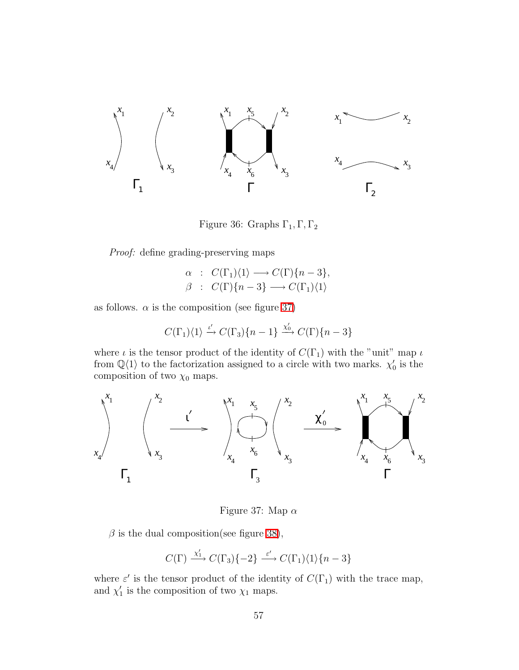

<span id="page-56-0"></span>Figure 36: Graphs  $\Gamma_1, \Gamma, \Gamma_2$ 

*Proof:* define grading-preserving maps

$$
\alpha : C(\Gamma_1)\langle 1 \rangle \longrightarrow C(\Gamma)\{n-3\},
$$
  

$$
\beta : C(\Gamma)\{n-3\} \longrightarrow C(\Gamma_1)\langle 1 \rangle
$$

as follows.  $\alpha$  is the composition (see figure [37\)](#page-56-1)

$$
C(\Gamma_1)\langle 1 \rangle \xrightarrow{\iota'} C(\Gamma_3)\{n-1\} \xrightarrow{\chi'_0} C(\Gamma)\{n-3\}
$$

where  $\iota$  is the tensor product of the identity of  $C(\Gamma_1)$  with the "unit" map  $\iota$ from  $\mathbb{Q}\langle 1 \rangle$  to the factorization assigned to a circle with two marks.  $\chi'_0$  is the composition of two  $\chi_0$  maps.



<span id="page-56-1"></span>Figure 37: Map  $\alpha$ 

 $\beta$  is the dual composition(see figure [38\)](#page-57-0),

$$
C(\Gamma) \xrightarrow{\chi_1'} C(\Gamma_3)\{-2\} \xrightarrow{\varepsilon'} C(\Gamma_1)\langle 1\rangle\{n-3\}
$$

where  $\varepsilon'$  is the tensor product of the identity of  $C(\Gamma_1)$  with the trace map, and  $\chi'_1$  is the composition of two  $\chi_1$  maps.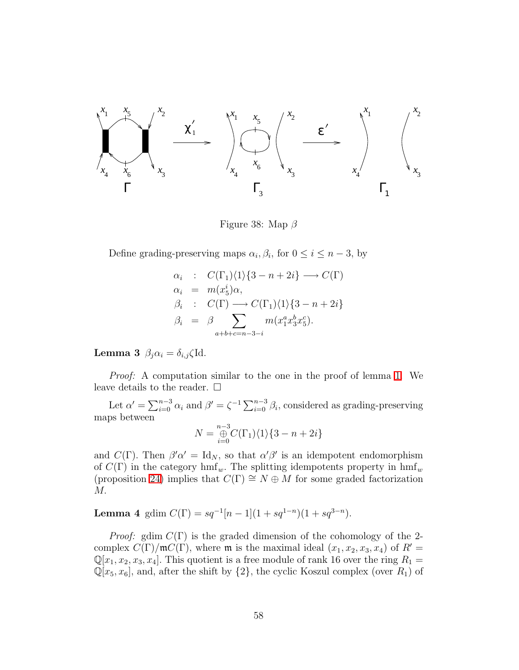

<span id="page-57-0"></span>Figure 38: Map  $\beta$ 

Define grading-preserving maps  $\alpha_i, \beta_i$ , for  $0 \le i \le n-3$ , by

$$
\alpha_i : C(\Gamma_1)\langle 1 \rangle \{3 - n + 2i\} \longrightarrow C(\Gamma)
$$
  
\n
$$
\alpha_i = m(x_5^i)\alpha,
$$
  
\n
$$
\beta_i : C(\Gamma) \longrightarrow C(\Gamma_1)\langle 1 \rangle \{3 - n + 2i\}
$$
  
\n
$$
\beta_i = \beta \sum_{a+b+c=n-3-i} m(x_1^a x_3^b x_5^c).
$$

Lemma 3  $\beta_i \alpha_i = \delta_{i,j} \zeta$ Id.

*Proof:* A computation similar to the one in the proof of lemma [1.](#page-52-2) We leave details to the reader.  $\Box$ 

Let  $\alpha' = \sum_{i=0}^{n-3} \alpha_i$  and  $\beta' = \zeta^{-1} \sum_{i=0}^{n-3} \beta_i$ , considered as grading-preserving maps between

$$
N = \bigoplus_{i=0}^{n-3} C(\Gamma_1)\langle 1 \rangle \{3 - n + 2i\}
$$

and  $C(\Gamma)$ . Then  $\beta'\alpha' = \text{Id}_N$ , so that  $\alpha'\beta'$  is an idempotent endomorphism of  $C(\Gamma)$  in the category hmf<sub>w</sub>. The splitting idempotents property in hmf<sub>w</sub> (proposition [24\)](#page-45-0) implies that  $C(\Gamma) \cong N \oplus M$  for some graded factorization M.

## <span id="page-57-1"></span>Lemma 4 gdim  $C(\Gamma) = sq^{-1}[n-1](1+sq^{1-n})(1+sq^{3-n}).$

*Proof:* gdim  $C(\Gamma)$  is the graded dimension of the cohomology of the 2complex  $C(\Gamma)/\mathfrak{m}C(\Gamma)$ , where  $\mathfrak{m}$  is the maximal ideal  $(x_1, x_2, x_3, x_4)$  of  $R' =$  $\mathbb{Q}[x_1, x_2, x_3, x_4]$ . This quotient is a free module of rank 16 over the ring  $R_1 =$  $\mathbb{Q}[x_5, x_6]$ , and, after the shift by  $\{2\}$ , the cyclic Koszul complex (over  $R_1$ ) of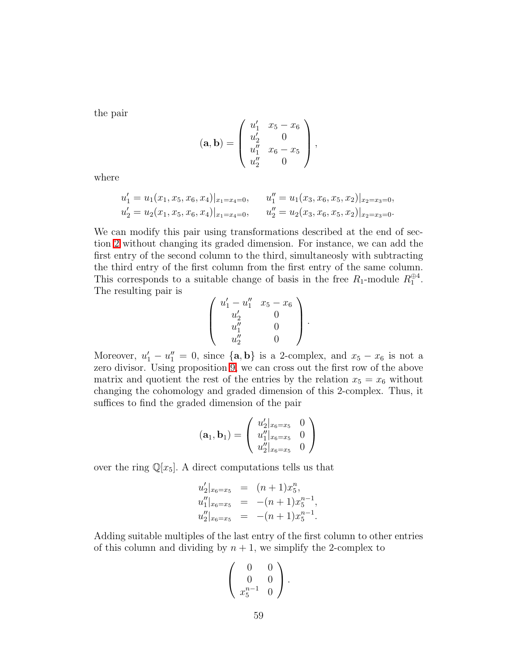the pair

$$
(\mathbf{a}, \mathbf{b}) = \begin{pmatrix} u'_1 & x_5 - x_6 \\ u'_2 & 0 \\ u''_1 & x_6 - x_5 \\ u''_2 & 0 \end{pmatrix},
$$

where

$$
u'_1 = u_1(x_1, x_5, x_6, x_4)|_{x_1 = x_4 = 0}, \t u''_1 = u_1(x_3, x_6, x_5, x_2)|_{x_2 = x_3 = 0},
$$
  

$$
u'_2 = u_2(x_1, x_5, x_6, x_4)|_{x_1 = x_4 = 0}, \t u''_2 = u_2(x_3, x_6, x_5, x_2)|_{x_2 = x_3 = 0}.
$$

We can modify this pair using transformations described at the end of section [2](#page-12-0) without changing its graded dimension. For instance, we can add the first entry of the second column to the third, simultaneosly with subtracting the third entry of the first column from the first entry of the same column. This corresponds to a suitable change of basis in the free  $R_1$ -module  $R_1^{\oplus 4}$ . The resulting pair is

$$
\left(\begin{array}{ccc} u'_1-u''_1 & x_5-x_6\\ u'_2 & 0\\ u''_1 & 0\\ u''_2 & 0 \end{array}\right).
$$

Moreover,  $u'_1 - u''_1 = 0$ , since  $\{a, b\}$  is a 2-complex, and  $x_5 - x_6$  is not a zero divisor. Using proposition [9,](#page-26-0) we can cross out the first row of the above matrix and quotient the rest of the entries by the relation  $x_5 = x_6$  without changing the cohomology and graded dimension of this 2-complex. Thus, it suffices to find the graded dimension of the pair

$$
(\mathbf{a}_1, \mathbf{b}_1) = \left( \begin{array}{cc} u'_2|_{x_6=x_5} & 0 \\ u''_1|_{x_6=x_5} & 0 \\ u''_2|_{x_6=x_5} & 0 \end{array} \right)
$$

over the ring  $\mathbb{Q}[x_5]$ . A direct computations tells us that

$$
u_2'|_{x_6=x_5} = (n+1)x_5^n,
$$
  
\n
$$
u_1''|_{x_6=x_5} = -(n+1)x_5^{n-1},
$$
  
\n
$$
u_2''|_{x_6=x_5} = -(n+1)x_5^{n-1}.
$$

Adding suitable multiples of the last entry of the first column to other entries of this column and dividing by  $n + 1$ , we simplify the 2-complex to

$$
\left(\begin{array}{cc}0&0\\0&0\\x_5^{n-1}&0\end{array}\right).
$$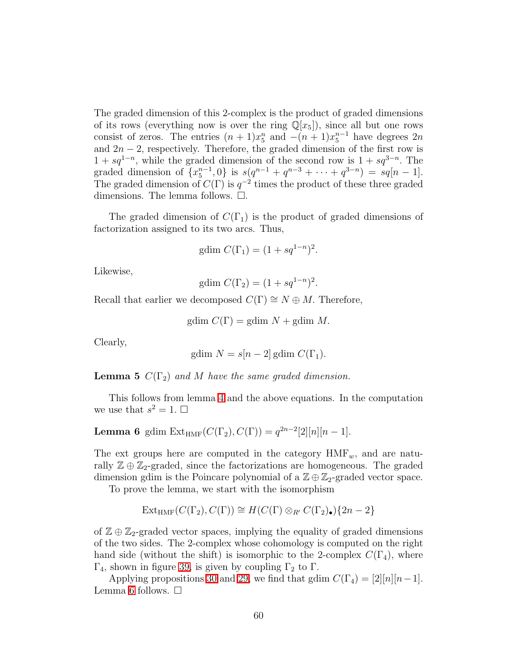The graded dimension of this 2-complex is the product of graded dimensions of its rows (everything now is over the ring  $\mathbb{Q}[x_5]$ ), since all but one rows consist of zeros. The entries  $(n+1)x_5^n$  and  $-(n+1)x_5^{n-1}$  have degrees  $2n$ and  $2n-2$ , respectively. Therefore, the graded dimension of the first row is  $1 + sq^{1-n}$ , while the graded dimension of the second row is  $1 + sq^{3-n}$ . The graded dimension of  $\{x_5^{n-1}, 0\}$  is  $s(q^{n-1} + q^{n-3} + \cdots + q^{3-n}) = sq[n-1].$ The graded dimension of  $C(\Gamma)$  is  $q^{-2}$  times the product of these three graded dimensions. The lemma follows.  $\square$ .

The graded dimension of  $C(\Gamma_1)$  is the product of graded dimensions of factorization assigned to its two arcs. Thus,

gdim 
$$
C(\Gamma_1) = (1 + sq^{1-n})^2
$$
.

Likewise,

gdim  $C(\Gamma_2) = (1 + sq^{1-n})^2$ .

Recall that earlier we decomposed  $C(\Gamma) \cong N \oplus M$ . Therefore,

gdim  $C(\Gamma) =$  gdim  $N +$  gdim  $M$ .

Clearly,

gdim 
$$
N = s[n-2]
$$
gdim  $C(\Gamma_1)$ .

**Lemma 5**  $C(\Gamma_2)$  *and* M *have the same graded dimension.* 

<span id="page-59-0"></span>This follows from lemma [4](#page-57-1) and the above equations. In the computation we use that  $s^2 = 1$ .  $\Box$ 

**Lemma 6** gdim Ext<sub>HMF</sub>
$$
(C(\Gamma_2), C(\Gamma)) = q^{2n-2} [2][n][n-1].
$$

The ext groups here are computed in the category  $HMF_{w}$ , and are naturally  $\mathbb{Z} \oplus \mathbb{Z}_2$ -graded, since the factorizations are homogeneous. The graded dimension gdim is the Poincare polynomial of a  $\mathbb{Z} \oplus \mathbb{Z}_2$ -graded vector space.

To prove the lemma, we start with the isomorphism

$$
\mathrm{Ext}_{\mathrm{HMF}}(C(\Gamma_2), C(\Gamma)) \cong H(C(\Gamma) \otimes_{R'} C(\Gamma_2)_{\bullet})\{2n-2\}
$$

of  $\mathbb{Z} \oplus \mathbb{Z}_2$ -graded vector spaces, implying the equality of graded dimensions of the two sides. The 2-complex whose cohomology is computed on the right hand side (without the shift) is isomorphic to the 2-complex  $C(\Gamma_4)$ , where  $Γ_4$ , shown in figure [39,](#page-60-0) is given by coupling  $Γ_2$  to Γ.

Applying propositions [30](#page-54-1) and [29,](#page-51-2) we find that gdim  $C(\Gamma_4) = [2][n][n-1]$ . Lemma [6](#page-59-0) follows.  $\Box$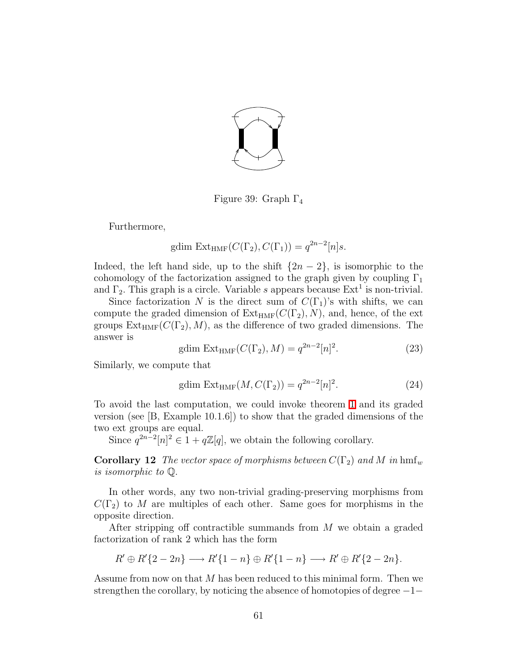

Figure 39: Graph  $\Gamma_4$ 

Furthermore,

<span id="page-60-0"></span>gdim Ext<sub>HMF</sub>
$$
(C(\Gamma_2), C(\Gamma_1)) = q^{2n-2}[n]s
$$
.

Indeed, the left hand side, up to the shift  $\{2n-2\}$ , is isomorphic to the cohomology of the factorization assigned to the graph given by coupling  $\Gamma_1$ and  $\Gamma_2$ . This graph is a circle. Variable s appears because  $\text{Ext}^1$  is non-trivial.

Since factorization N is the direct sum of  $C(\Gamma_1)$ 's with shifts, we can compute the graded dimension of  $Ext_{HMF}(C(\Gamma_2), N)$ , and, hence, of the ext groups  $Ext_{HMF}(C(\Gamma_2), M)$ , as the difference of two graded dimensions. The answer is

gdim Ext<sub>HMF</sub>
$$
(C(\Gamma_2), M) = q^{2n-2}[n]^2
$$
. (23)

Similarly, we compute that

$$
\text{gdim Ext}_{\text{HMF}}(M, C(\Gamma_2)) = q^{2n-2} [n]^2. \tag{24}
$$

To avoid the last computation, we could invoke theorem [1](#page-27-0) and its graded version (see  $|B, E$ xample 10.1.6) to show that the graded dimensions of the two ext groups are equal.

Since  $q^{2n-2}[n]^2 \in 1 + q\mathbb{Z}[q]$ , we obtain the following corollary.

**Corollary 12** *The vector space of morphisms between*  $C(\Gamma_2)$  *and* M *in* hmf<sub>w</sub> *is isomorphic to* Q.

In other words, any two non-trivial grading-preserving morphisms from  $C(\Gamma_2)$  to M are multiples of each other. Same goes for morphisms in the opposite direction.

After stripping off contractible summands from M we obtain a graded factorization of rank 2 which has the form

$$
R' \oplus R'\{2-2n\} \longrightarrow R'\{1-n\} \oplus R'\{1-n\} \longrightarrow R' \oplus R'\{2-2n\}.
$$

Assume from now on that M has been reduced to this minimal form. Then we strengthen the corollary, by noticing the absence of homotopies of degree −1−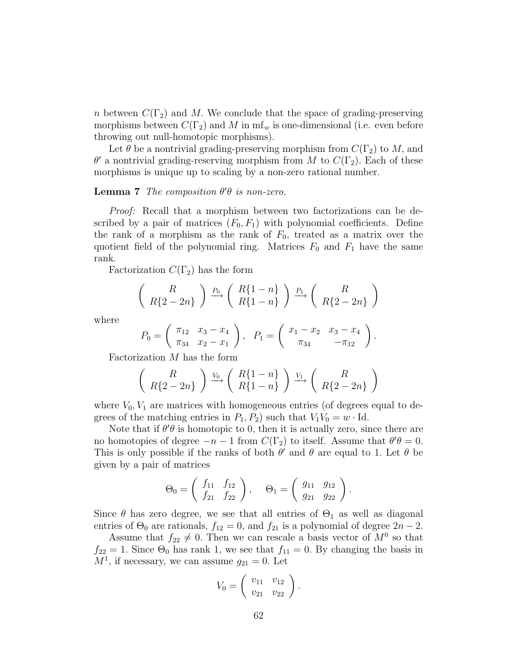n between  $C(\Gamma_2)$  and M. We conclude that the space of grading-preserving morphisms between  $C(\Gamma_2)$  and M in mf<sub>w</sub> is one-dimensional (i.e. even before throwing out null-homotopic morphisms).

Let  $\theta$  be a nontrivial grading-preserving morphism from  $C(\Gamma_2)$  to M, and  $\theta'$  a nontrivial grading-reserving morphism from M to  $C(\Gamma_2)$ . Each of these morphisms is unique up to scaling by a non-zero rational number.

## Lemma 7 *The composition*  $\theta' \theta$  *is non-zero.*

*Proof:* Recall that a morphism between two factorizations can be described by a pair of matrices  $(F_0, F_1)$  with polynomial coefficients. Define the rank of a morphism as the rank of  $F_0$ , treated as a matrix over the quotient field of the polynomial ring. Matrices  $F_0$  and  $F_1$  have the same rank.

Factorization  $C(\Gamma_2)$  has the form

$$
\left(R\atop{R{2-2n}}\right) \xrightarrow{P_0} \left(R{1-n}\atop{R{1-n}}\right) \xrightarrow{P_1} \left(R\atop{R{2-2n}}\right)
$$

where

$$
P_0 = \begin{pmatrix} \pi_{12} & x_3 - x_4 \\ \pi_{34} & x_2 - x_1 \end{pmatrix}, \quad P_1 = \begin{pmatrix} x_1 - x_2 & x_3 - x_4 \\ \pi_{34} & -\pi_{12} \end{pmatrix}.
$$

Factorization M has the form

$$
\left(R\atop{R{2-2n}}\right) \xrightarrow{V_0} \left(R{1-n}\atop{R{1-n}}\right) \xrightarrow{V_1} \left(R\atop{R{2-2n}}\right)
$$

where  $V_0, V_1$  are matrices with homogeneous entries (of degrees equal to degrees of the matching entries in  $P_1, P_2$ ) such that  $V_1V_0 = w \cdot \text{Id}$ .

Note that if  $\theta' \theta$  is homotopic to 0, then it is actually zero, since there are no homotopies of degree  $-n-1$  from  $C(\Gamma_2)$  to itself. Assume that  $\theta'\theta = 0$ . This is only possible if the ranks of both  $\theta'$  and  $\theta$  are equal to 1. Let  $\theta$  be given by a pair of matrices

$$
\Theta_0 = \begin{pmatrix} f_{11} & f_{12} \\ f_{21} & f_{22} \end{pmatrix}, \quad \Theta_1 = \begin{pmatrix} g_{11} & g_{12} \\ g_{21} & g_{22} \end{pmatrix}.
$$

Since  $\theta$  has zero degree, we see that all entries of  $\Theta_1$  as well as diagonal entries of  $\Theta_0$  are rationals,  $f_{12} = 0$ , and  $f_{21}$  is a polynomial of degree  $2n - 2$ .

Assume that  $f_{22} \neq 0$ . Then we can rescale a basis vector of  $M^0$  so that  $f_{22} = 1$ . Since  $\Theta_0$  has rank 1, we see that  $f_{11} = 0$ . By changing the basis in  $M<sup>1</sup>$ , if necessary, we can assume  $g_{21} = 0$ . Let

$$
V_0 = \left(\begin{array}{cc} v_{11} & v_{12} \\ v_{21} & v_{22} \end{array}\right).
$$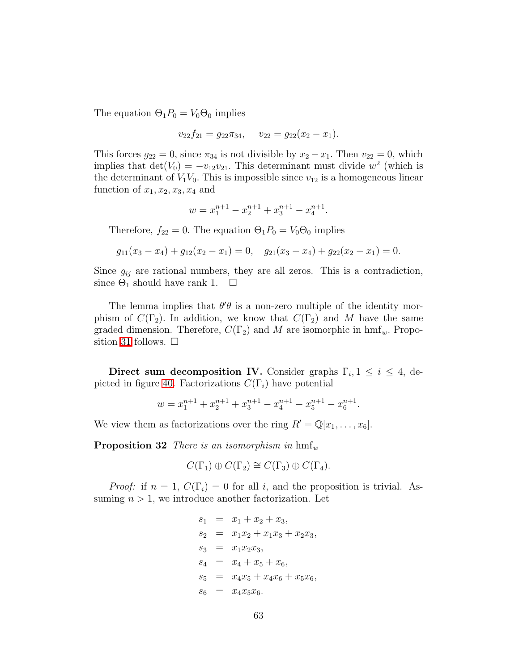The equation  $\Theta_1 P_0 = V_0 \Theta_0$  implies

$$
v_{22}f_{21} = g_{22}\pi_{34}, \quad v_{22} = g_{22}(x_2 - x_1).
$$

This forces  $g_{22} = 0$ , since  $\pi_{34}$  is not divisible by  $x_2 - x_1$ . Then  $v_{22} = 0$ , which implies that  $\det(V_0) = -v_{12}v_{21}$ . This determinant must divide  $w^2$  (which is the determinant of  $V_1V_0$ . This is impossible since  $v_{12}$  is a homogeneous linear function of  $x_1, x_2, x_3, x_4$  and

$$
w = x_1^{n+1} - x_2^{n+1} + x_3^{n+1} - x_4^{n+1}.
$$

Therefore,  $f_{22} = 0$ . The equation  $\Theta_1 P_0 = V_0 \Theta_0$  implies

$$
g_{11}(x_3 - x_4) + g_{12}(x_2 - x_1) = 0
$$
,  $g_{21}(x_3 - x_4) + g_{22}(x_2 - x_1) = 0$ .

Since  $g_{ij}$  are rational numbers, they are all zeros. This is a contradiction, since  $\Theta_1$  should have rank 1.  $\square$ 

The lemma implies that  $\theta' \theta$  is a non-zero multiple of the identity morphism of  $C(\Gamma_2)$ . In addition, we know that  $C(\Gamma_2)$  and M have the same graded dimension. Therefore,  $C(\Gamma_2)$  and M are isomorphic in hmf<sub>w</sub>. Propo-sition [31](#page-55-1) follows.  $\Box$ 

Direct sum decomposition IV. Consider graphs  $\Gamma_i$ ,  $1 \leq i \leq 4$ , de-picted in figure [40.](#page-63-0) Factorizations  $C(\Gamma_i)$  have potential

$$
w = x_1^{n+1} + x_2^{n+1} + x_3^{n+1} - x_4^{n+1} - x_5^{n+1} - x_6^{n+1}.
$$

<span id="page-62-0"></span>We view them as factorizations over the ring  $R' = \mathbb{Q}[x_1, \ldots, x_6].$ 

**Proposition 32** *There is an isomorphism in*  $\text{hmf}_w$ 

$$
C(\Gamma_1) \oplus C(\Gamma_2) \cong C(\Gamma_3) \oplus C(\Gamma_4).
$$

*Proof:* if  $n = 1$ ,  $C(\Gamma_i) = 0$  for all i, and the proposition is trivial. Assuming  $n > 1$ , we introduce another factorization. Let

$$
s_1 = x_1 + x_2 + x_3,
$$
  
\n
$$
s_2 = x_1x_2 + x_1x_3 + x_2x_3,
$$
  
\n
$$
s_3 = x_1x_2x_3,
$$
  
\n
$$
s_4 = x_4 + x_5 + x_6,
$$
  
\n
$$
s_5 = x_4x_5 + x_4x_6 + x_5x_6,
$$
  
\n
$$
s_6 = x_4x_5x_6.
$$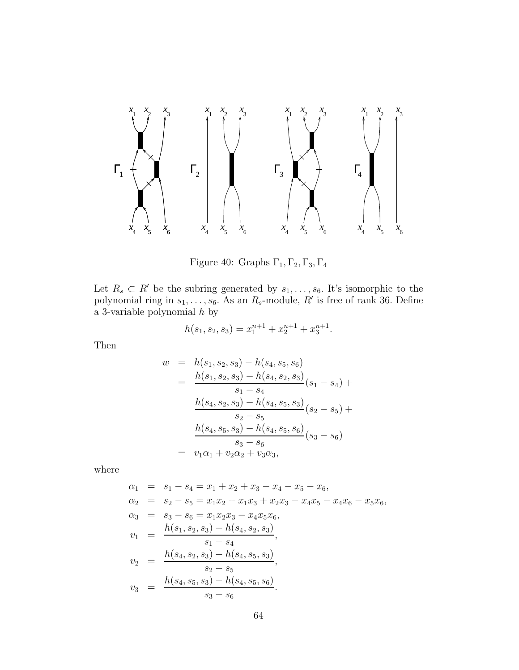

<span id="page-63-0"></span>Figure 40: Graphs  $\Gamma_1, \Gamma_2, \Gamma_3, \Gamma_4$ 

Let  $R_s \subset R'$  be the subring generated by  $s_1, \ldots, s_6$ . It's isomorphic to the polynomial ring in  $s_1, \ldots, s_6$ . As an  $R_s$ -module,  $R'$  is free of rank 36. Define a 3-variable polynomial  $h$  by

$$
h(s_1, s_2, s_3) = x_1^{n+1} + x_2^{n+1} + x_3^{n+1}.
$$

Then

$$
w = h(s_1, s_2, s_3) - h(s_4, s_5, s_6)
$$
  
= 
$$
\frac{h(s_1, s_2, s_3) - h(s_4, s_2, s_3)}{s_1 - s_4}(s_1 - s_4) +
$$
  

$$
\frac{h(s_4, s_2, s_3) - h(s_4, s_5, s_3)}{s_2 - s_5}(s_2 - s_5) +
$$
  

$$
\frac{h(s_4, s_5, s_3) - h(s_4, s_5, s_6)}{s_3 - s_6}(s_3 - s_6)
$$
  
= 
$$
v_1\alpha_1 + v_2\alpha_2 + v_3\alpha_3,
$$

where

$$
\alpha_1 = s_1 - s_4 = x_1 + x_2 + x_3 - x_4 - x_5 - x_6,
$$
  
\n
$$
\alpha_2 = s_2 - s_5 = x_1x_2 + x_1x_3 + x_2x_3 - x_4x_5 - x_4x_6 - x_5x_6,
$$
  
\n
$$
\alpha_3 = s_3 - s_6 = x_1x_2x_3 - x_4x_5x_6,
$$
  
\n
$$
v_1 = \frac{h(s_1, s_2, s_3) - h(s_4, s_2, s_3)}{s_1 - s_4},
$$
  
\n
$$
v_2 = \frac{h(s_4, s_2, s_3) - h(s_4, s_5, s_3)}{s_2 - s_5},
$$
  
\n
$$
v_3 = \frac{h(s_4, s_5, s_3) - h(s_4, s_5, s_6)}{s_3 - s_6}.
$$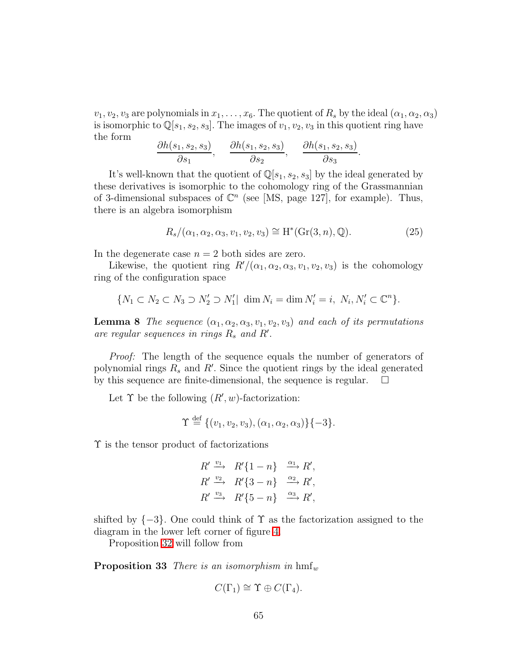$v_1, v_2, v_3$  are polynomials in  $x_1, \ldots, x_6$ . The quotient of  $R_s$  by the ideal  $(\alpha_1, \alpha_2, \alpha_3)$ is isomorphic to  $\mathbb{Q}[s_1, s_2, s_3]$ . The images of  $v_1, v_2, v_3$  in this quotient ring have the form

$$
\frac{\partial h(s_1, s_2, s_3)}{\partial s_1}, \quad \frac{\partial h(s_1, s_2, s_3)}{\partial s_2}, \quad \frac{\partial h(s_1, s_2, s_3)}{\partial s_3}
$$

It's well-known that the quotient of  $\mathbb{Q}[s_1, s_2, s_3]$  by the ideal generated by these derivatives is isomorphic to the cohomology ring of the Grassmannian of 3-dimensional subspaces of  $\mathbb{C}^n$  (see [MS, page 127], for example). Thus, there is an algebra isomorphism

$$
R_s/(\alpha_1, \alpha_2, \alpha_3, v_1, v_2, v_3) \cong H^*(Gr(3, n), \mathbb{Q}).
$$
\n(25)

.

In the degenerate case  $n = 2$  both sides are zero.

Likewise, the quotient ring  $R'/(\alpha_1, \alpha_2, \alpha_3, v_1, v_2, v_3)$  is the cohomology ring of the configuration space

$$
\{N_1 \subset N_2 \subset N_3 \supset N_2' \supset N_1' | \dim N_i = \dim N_i' = i, N_i, N_i' \subset \mathbb{C}^n\}.
$$

**Lemma 8** *The sequence*  $(\alpha_1, \alpha_2, \alpha_3, v_1, v_2, v_3)$  *and each of its permutations*  $are regular sequences in rings R<sub>s</sub> and R'.$ 

*Proof:* The length of the sequence equals the number of generators of polynomial rings  $R_s$  and  $R'$ . Since the quotient rings by the ideal generated by this sequence are finite-dimensional, the sequence is regular.  $\Box$ 

Let  $\Upsilon$  be the following  $(R', w)$ -factorization:

$$
\Upsilon \stackrel{\text{def}}{=} \{ (v_1, v_2, v_3), (\alpha_1, \alpha_2, \alpha_3) \} \{-3 \}.
$$

Υ is the tensor product of factorizations

$$
R' \xrightarrow{v_1} R'\{1-n\} \xrightarrow{\alpha_1} R',
$$
  
\n
$$
R' \xrightarrow{v_2} R'\{3-n\} \xrightarrow{\alpha_2} R',
$$
  
\n
$$
R' \xrightarrow{v_3} R'\{5-n\} \xrightarrow{\alpha_3} R',
$$

shifted by  $\{-3\}$ . One could think of  $\Upsilon$  as the factorization assigned to the diagram in the lower left corner of figure [4.](#page-4-0)

Proposition [32](#page-62-0) will follow from

<span id="page-64-0"></span>**Proposition 33** *There is an isomorphism in*  $hmf_w$ 

$$
C(\Gamma_1) \cong \Upsilon \oplus C(\Gamma_4).
$$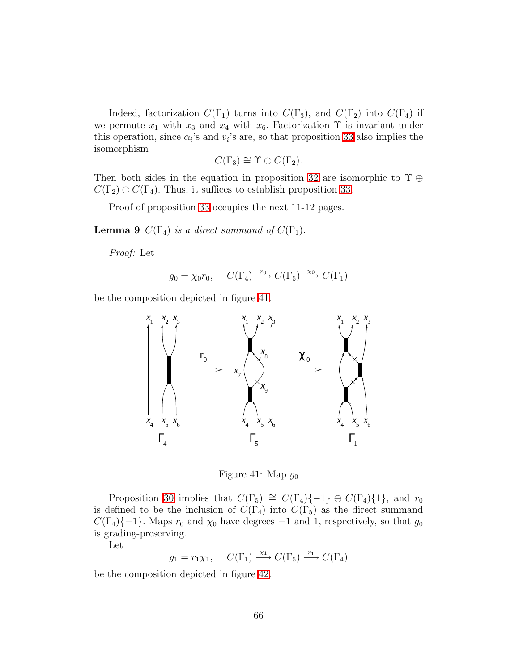Indeed, factorization  $C(\Gamma_1)$  turns into  $C(\Gamma_3)$ , and  $C(\Gamma_2)$  into  $C(\Gamma_4)$  if we permute  $x_1$  with  $x_3$  and  $x_4$  with  $x_6$ . Factorization  $\Upsilon$  is invariant under this operation, since  $\alpha_i$ 's and  $v_i$ 's are, so that proposition [33](#page-64-0) also implies the isomorphism

$$
C(\Gamma_3) \cong \Upsilon \oplus C(\Gamma_2).
$$

Then both sides in the equation in proposition [32](#page-62-0) are isomorphic to  $\Upsilon \oplus \mathbb{Z}$  $C(\Gamma_2) \oplus C(\Gamma_4)$ . Thus, it suffices to establish proposition [33.](#page-64-0)

Proof of proposition [33](#page-64-0) occupies the next 11-12 pages.

**Lemma 9**  $C(\Gamma_4)$  *is a direct summand of*  $C(\Gamma_1)$ .

*Proof:* Let

$$
g_0 = \chi_0 r_0, \quad C(\Gamma_4) \xrightarrow{r_0} C(\Gamma_5) \xrightarrow{\chi_0} C(\Gamma_1)
$$

be the composition depicted in figure [41.](#page-65-0)



<span id="page-65-0"></span>Figure 41: Map  $g_0$ 

Proposition [30](#page-54-1) implies that  $C(\Gamma_5) \cong C(\Gamma_4)\{-1\} \oplus C(\Gamma_4)\{1\}$ , and  $r_0$ is defined to be the inclusion of  $C(\Gamma_4)$  into  $C(\Gamma_5)$  as the direct summand  $C(\Gamma_4)\{-1\}$ . Maps  $r_0$  and  $\chi_0$  have degrees  $-1$  and 1, respectively, so that  $g_0$ is grading-preserving.

Let

$$
g_1 = r_1 \chi_1
$$
,  $C(\Gamma_1) \xrightarrow{\chi_1} C(\Gamma_5) \xrightarrow{r_1} C(\Gamma_4)$ 

be the composition depicted in figure [42.](#page-66-0)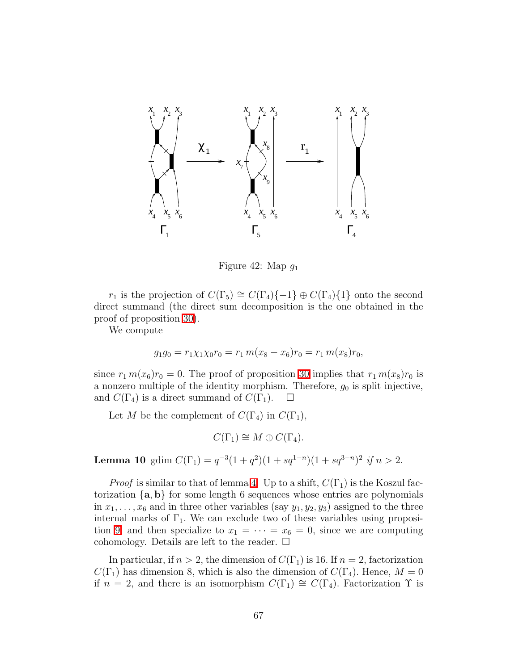

<span id="page-66-0"></span>Figure 42: Map  $q_1$ 

r<sub>1</sub> is the projection of  $C(\Gamma_5) \cong C(\Gamma_4)\{-1\} \oplus C(\Gamma_4)\{1\}$  onto the second direct summand (the direct sum decomposition is the one obtained in the proof of proposition [30\)](#page-54-1).

We compute

$$
g_1g_0 = r_1\chi_1\chi_0r_0 = r_1 m(x_8 - x_6)r_0 = r_1 m(x_8)r_0,
$$

since  $r_1 m(x_6)r_0 = 0$ . The proof of proposition [30](#page-54-1) implies that  $r_1 m(x_8)r_0$  is a nonzero multiple of the identity morphism. Therefore,  $g_0$  is split injective, and  $C(\Gamma_4)$  is a direct summand of  $C(\Gamma_1)$ .  $\Box$ 

Let M be the complement of  $C(\Gamma_4)$  in  $C(\Gamma_1)$ ,

$$
C(\Gamma_1) \cong M \oplus C(\Gamma_4).
$$

**Lemma 10** gdim  $C(\Gamma_1) = q^{-3}(1+q^2)(1+sq^{1-n})(1+sq^{3-n})^2$  if  $n > 2$ .

*Proof* is similar to that of lemma [4.](#page-57-1) Up to a shift,  $C(\Gamma_1)$  is the Koszul factorization  $\{a, b\}$  for some length 6 sequences whose entries are polynomials in  $x_1, \ldots, x_6$  and in three other variables (say  $y_1, y_2, y_3$ ) assigned to the three internal marks of  $\Gamma_1$ . We can exclude two of these variables using proposi-tion [9,](#page-26-0) and then specialize to  $x_1 = \cdots = x_6 = 0$ , since we are computing cohomology. Details are left to the reader.  $\square$ 

In particular, if  $n > 2$ , the dimension of  $C(\Gamma_1)$  is 16. If  $n = 2$ , factorization  $C(\Gamma_1)$  has dimension 8, which is also the dimension of  $C(\Gamma_4)$ . Hence,  $M = 0$ if  $n = 2$ , and there is an isomorphism  $C(\Gamma_1) \cong C(\Gamma_4)$ . Factorization  $\Upsilon$  is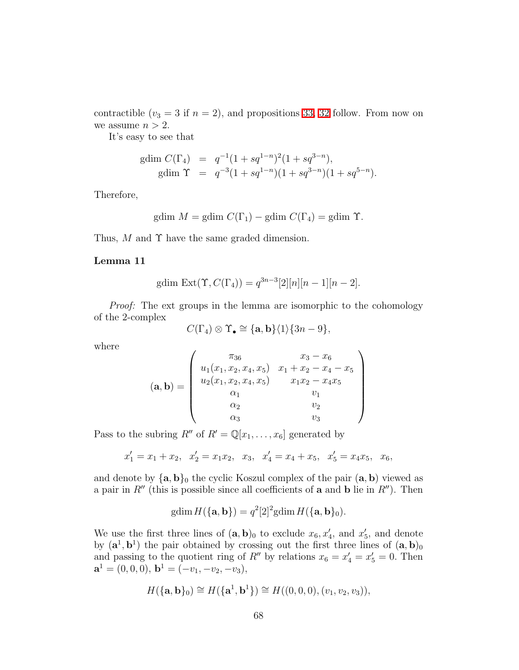contractible  $(v_3 = 3$  if  $n = 2)$ , and propositions [33,](#page-64-0) [32](#page-62-0) follow. From now on we assume  $n > 2$ .

It's easy to see that

gdim 
$$
C(\Gamma_4)
$$
 =  $q^{-1}(1 + sq^{1-n})^2(1 + sq^{3-n}),$   
gdim  $\Upsilon$  =  $q^{-3}(1 + sq^{1-n})(1 + sq^{3-n})(1 + sq^{5-n}).$ 

Therefore,

gdim 
$$
M
$$
 = gdim  $C(\Gamma_1)$  – gdim  $C(\Gamma_4)$  = gdim  $\Upsilon$ .

Thus, M and  $\Upsilon$  have the same graded dimension.

### Lemma 11

gdim Ext(
$$
\Upsilon
$$
,  $C(\Gamma_4)$ ) =  $q^{3n-3}$ [2][ $n$ ][ $n-1$ ][ $n-2$ ].

*Proof:* The ext groups in the lemma are isomorphic to the cohomology of the 2-complex

$$
C(\Gamma_4) \otimes \Upsilon_{\bullet} \cong {\mathbf{a}, \mathbf{b}} \langle 1 \rangle \{3n - 9\},\
$$

where

$$
(\mathbf{a}, \mathbf{b}) = \begin{pmatrix} \pi_{36} & x_3 - x_6 \\ u_1(x_1, x_2, x_4, x_5) & x_1 + x_2 - x_4 - x_5 \\ u_2(x_1, x_2, x_4, x_5) & x_1x_2 - x_4x_5 \\ \alpha_1 & v_1 \\ \alpha_2 & v_2 \\ \alpha_3 & v_3 \end{pmatrix}
$$

Pass to the subring  $R''$  of  $R' = \mathbb{Q}[x_1, \ldots, x_6]$  generated by

$$
x'_1 = x_1 + x_2
$$
,  $x'_2 = x_1x_2$ ,  $x_3$ ,  $x'_4 = x_4 + x_5$ ,  $x'_5 = x_4x_5$ ,  $x_6$ ,

and denote by  $\{a, b\}_0$  the cyclic Koszul complex of the pair  $(a, b)$  viewed as a pair in  $R''$  (this is possible since all coefficients of **a** and **b** lie in  $R''$ ). Then

$$
\text{gdim}\,H(\{\mathbf{a},\mathbf{b}\})=q^2[2]^2\text{gdim}\,H(\{\mathbf{a},\mathbf{b}\}_0).
$$

We use the first three lines of  $(\mathbf{a}, \mathbf{b})_0$  to exclude  $x_6, x'_4$ , and  $x'_5$ , and denote by  $(\mathbf{a}^1, \mathbf{b}^1)$  the pair obtained by crossing out the first three lines of  $(\mathbf{a}, \mathbf{b})_0$ and passing to the quotient ring of  $R''$  by relations  $x_6 = x'_4 = x'_5 = 0$ . Then  $\mathbf{a}^1 = (0,0,0), \, \mathbf{b}^1 = (-v_1, -v_2, -v_3),$ 

$$
H({a, b}0) \cong H({a1, b1}) \cong H((0,0,0), (v1, v2, v3)),
$$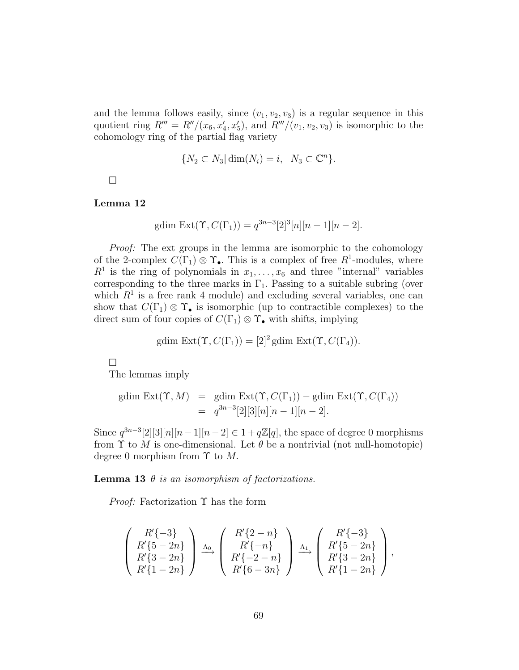and the lemma follows easily, since  $(v_1, v_2, v_3)$  is a regular sequence in this quotient ring  $R''' = R''/(x_6, x'_4, x'_5)$ , and  $R'''/(v_1, v_2, v_3)$  is isomorphic to the cohomology ring of the partial flag variety

$$
\{N_2 \subset N_3 | \dim(N_i) = i, \ N_3 \subset \mathbb{C}^n\}.
$$

 $\Box$ 

#### Lemma 12

gdim Ext
$$
(\Upsilon, C(\Gamma_1)) = q^{3n-3} [2]^3 [n][n-1][n-2].
$$

*Proof:* The ext groups in the lemma are isomorphic to the cohomology of the 2-complex  $C(\Gamma_1) \otimes \Upsilon_{\bullet}$ . This is a complex of free  $R^1$ -modules, where  $R<sup>1</sup>$  is the ring of polynomials in  $x_1, \ldots, x_6$  and three "internal" variables corresponding to the three marks in  $\Gamma_1$ . Passing to a suitable subring (over which  $R<sup>1</sup>$  is a free rank 4 module) and excluding several variables, one can show that  $C(\Gamma_1) \otimes \Upsilon_{\bullet}$  is isomorphic (up to contractible complexes) to the direct sum of four copies of  $C(\Gamma_1) \otimes \Upsilon_{\bullet}$  with shifts, implying

gdim Ext
$$
(\Upsilon, C(\Gamma_1)) = [2]^2
$$
gdim Ext $(\Upsilon, C(\Gamma_4))$ .

 $\Box$ 

The lemmas imply

gdim Ext
$$
(\Upsilon, M)
$$
 = gdim Ext $(\Upsilon, C(\Gamma_1))$  – gdim Ext $(\Upsilon, C(\Gamma_4))$   
=  $q^{3n-3}[2][3][n][n-1][n-2]$ .

Since  $q^{3n-3}[2][3][n][n-1][n-2] \in 1 + q\mathbb{Z}[q]$ , the space of degree 0 morphisms from  $\Upsilon$  to M is one-dimensional. Let  $\theta$  be a nontrivial (not null-homotopic) degree 0 morphism from  $\Upsilon$  to M.

<span id="page-68-0"></span>Lemma 13 θ *is an isomorphism of factorizations.*

*Proof:* Factorization Υ has the form

$$
\begin{pmatrix} R'\{-3\} \\ R'\{5-2n\} \\ R'\{3-2n\} \\ R'\{1-2n\} \end{pmatrix} \xrightarrow{\Lambda_0} \begin{pmatrix} R'\{2-n\} \\ R'\{-n\} \\ R'\{-2-n\} \\ R'\{6-3n\} \end{pmatrix} \xrightarrow{\Lambda_1} \begin{pmatrix} R'\{-3\} \\ R'\{5-2n\} \\ R'\{3-2n\} \\ R'\{1-2n\} \end{pmatrix},
$$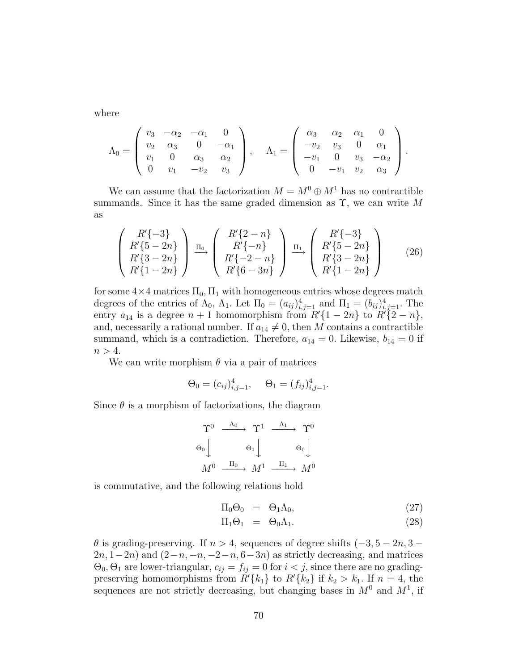where

$$
\Lambda_0 = \begin{pmatrix} v_3 & -\alpha_2 & -\alpha_1 & 0 \\ v_2 & \alpha_3 & 0 & -\alpha_1 \\ v_1 & 0 & \alpha_3 & \alpha_2 \\ 0 & v_1 & -v_2 & v_3 \end{pmatrix}, \quad \Lambda_1 = \begin{pmatrix} \alpha_3 & \alpha_2 & \alpha_1 & 0 \\ -v_2 & v_3 & 0 & \alpha_1 \\ -v_1 & 0 & v_3 & -\alpha_2 \\ 0 & -v_1 & v_2 & \alpha_3 \end{pmatrix}.
$$

We can assume that the factorization  $M = M^0 \oplus M^1$  has no contractible summands. Since it has the same graded dimension as  $\Upsilon$ , we can write M as

$$
\begin{pmatrix} R'\{-3\} \\ R'\{5-2n\} \\ R'\{3-2n\} \\ R'\{1-2n\} \end{pmatrix} \xrightarrow{\Pi_0} \begin{pmatrix} R'\{2-n\} \\ R'\{-n\} \\ R'\{-2-n\} \\ R'\{6-3n\} \end{pmatrix} \xrightarrow{\Pi_1} \begin{pmatrix} R'\{-3\} \\ R'\{5-2n\} \\ R'\{3-2n\} \\ R'\{1-2n\} \end{pmatrix}
$$
 (26)

for some  $4\times 4$  matrices  $\Pi_0$ ,  $\Pi_1$  with homogeneous entries whose degrees match degrees of the entries of  $\Lambda_0$ ,  $\Lambda_1$ . Let  $\Pi_0 = (a_{ij})_{i,j=1}^4$  and  $\Pi_1 = (b_{ij})_{i,j=1}^4$ . The entry  $a_{14}$  is a degree  $n + 1$  homomorphism from  $R'\{1 - 2n\}$  to  $R'\{2 - n\}$ , and, necessarily a rational number. If  $a_{14} \neq 0$ , then M contains a contractible summand, which is a contradiction. Therefore,  $a_{14} = 0$ . Likewise,  $b_{14} = 0$  if  $n > 4$ .

We can write morphism  $\theta$  via a pair of matrices

$$
\Theta_0 = (c_{ij})_{i,j=1}^4, \quad \Theta_1 = (f_{ij})_{i,j=1}^4.
$$

Since  $\theta$  is a morphism of factorizations, the diagram

$$
\begin{array}{ccc}\n\Upsilon^0 & \xrightarrow{\Lambda_0} & \Upsilon^1 & \xrightarrow{\Lambda_1} & \Upsilon^0 \\
\Theta_0 & & \Theta_1 & & \Theta_0 \\
M^0 & \xrightarrow{\Pi_0} & M^1 & \xrightarrow{\Pi_1} & M^0\n\end{array}
$$

is commutative, and the following relations hold

<span id="page-69-0"></span>
$$
\Pi_0 \Theta_0 = \Theta_1 \Lambda_0, \tag{27}
$$

$$
\Pi_1 \Theta_1 = \Theta_0 \Lambda_1. \tag{28}
$$

 $\theta$  is grading-preserving. If  $n > 4$ , sequences of degree shifts  $(-3, 5 - 2n, 3 2n, 1-2n$ ) and  $(2-n, -n, -2-n, 6-3n)$  as strictly decreasing, and matrices  $\Theta_0$ ,  $\Theta_1$  are lower-triangular,  $c_{ij} = f_{ij} = 0$  for  $i < j$ , since there are no gradingpreserving homomorphisms from  $R'\{k_1\}$  to  $R'\{k_2\}$  if  $k_2 > k_1$ . If  $n = 4$ , the sequences are not strictly decreasing, but changing bases in  $M^0$  and  $M^1$ , if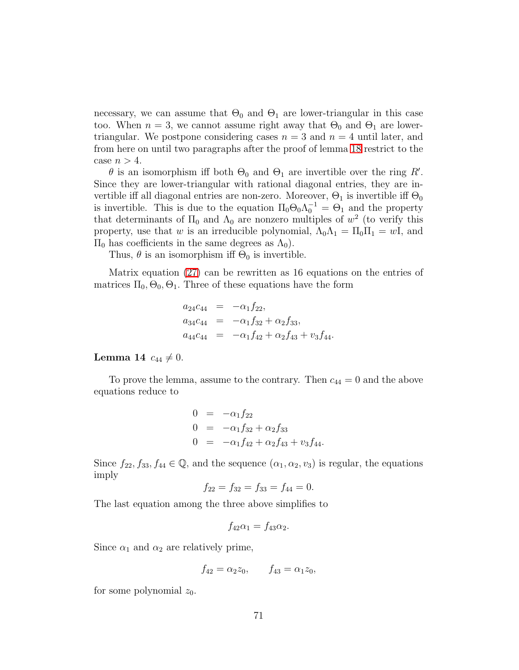necessary, we can assume that  $\Theta_0$  and  $\Theta_1$  are lower-triangular in this case too. When  $n = 3$ , we cannot assume right away that  $\Theta_0$  and  $\Theta_1$  are lowertriangular. We postpone considering cases  $n = 3$  and  $n = 4$  until later, and from here on until two paragraphs after the proof of lemma [18](#page-73-0) restrict to the case  $n > 4$ .

 $\theta$  is an isomorphism iff both  $\Theta_0$  and  $\Theta_1$  are invertible over the ring R'. Since they are lower-triangular with rational diagonal entries, they are invertible iff all diagonal entries are non-zero. Moreover,  $\Theta_1$  is invertible iff  $\Theta_0$ is invertible. This is due to the equation  $\Pi_0 \Theta_0 \Lambda_0^{-1} = \Theta_1$  and the property that determinants of  $\Pi_0$  and  $\Lambda_0$  are nonzero multiples of  $w^2$  (to verify this property, use that w is an irreducible polynomial,  $\Lambda_0 \Lambda_1 = \Pi_0 \Pi_1 = wI$ , and  $\Pi_0$  has coefficients in the same degrees as  $Λ_0$ ).

Thus,  $\theta$  is an isomorphism iff  $\Theta_0$  is invertible.

Matrix equation [\(27\)](#page-69-0) can be rewritten as 16 equations on the entries of matrices  $\Pi_0$ ,  $\Theta_0$ ,  $\Theta_1$ . Three of these equations have the form

$$
a_{24}c_{44} = -\alpha_1 f_{22},
$$
  
\n
$$
a_{34}c_{44} = -\alpha_1 f_{32} + \alpha_2 f_{33},
$$
  
\n
$$
a_{44}c_{44} = -\alpha_1 f_{42} + \alpha_2 f_{43} + v_3 f_{44}.
$$

### <span id="page-70-0"></span>**Lemma 14**  $c_{44} \neq 0$ .

To prove the lemma, assume to the contrary. Then  $c_{44} = 0$  and the above equations reduce to

$$
0 = -\alpha_1 f_{22}
$$
  
\n
$$
0 = -\alpha_1 f_{32} + \alpha_2 f_{33}
$$
  
\n
$$
0 = -\alpha_1 f_{42} + \alpha_2 f_{43} + v_3 f_{44}.
$$

Since  $f_{22}, f_{33}, f_{44} \in \mathbb{Q}$ , and the sequence  $(\alpha_1, \alpha_2, \alpha_3)$  is regular, the equations imply

$$
f_{22} = f_{32} = f_{33} = f_{44} = 0.
$$

The last equation among the three above simplifies to

$$
f_{42}\alpha_1 = f_{43}\alpha_2.
$$

Since  $\alpha_1$  and  $\alpha_2$  are relatively prime,

$$
f_{42} = \alpha_2 z_0, \qquad f_{43} = \alpha_1 z_0,
$$

for some polynomial  $z_0$ .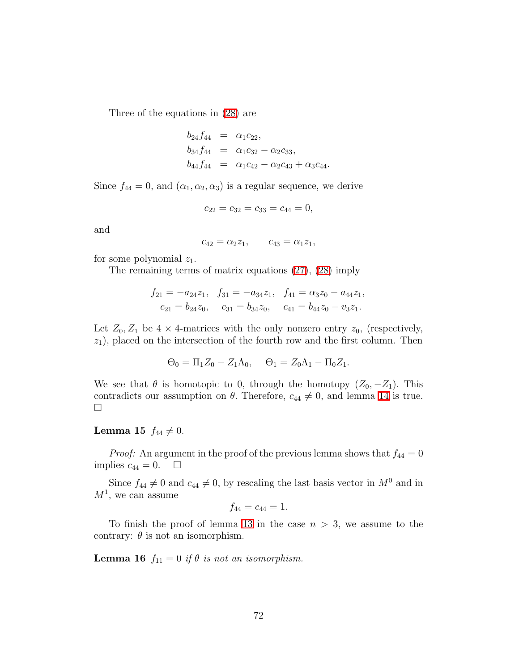Three of the equations in [\(28\)](#page-69-0) are

$$
b_{24}f_{44} = \alpha_1 c_{22},
$$
  
\n
$$
b_{34}f_{44} = \alpha_1 c_{32} - \alpha_2 c_{33},
$$
  
\n
$$
b_{44}f_{44} = \alpha_1 c_{42} - \alpha_2 c_{43} + \alpha_3 c_{44}.
$$

Since  $f_{44} = 0$ , and  $(\alpha_1, \alpha_2, \alpha_3)$  is a regular sequence, we derive

$$
c_{22} = c_{32} = c_{33} = c_{44} = 0,
$$

and

$$
c_{42} = \alpha_2 z_1, \qquad c_{43} = \alpha_1 z_1,
$$

for some polynomial  $z_1$ .

The remaining terms of matrix equations [\(27\)](#page-69-0), [\(28\)](#page-69-0) imply

$$
f_{21} = -a_{24}z_1, \quad f_{31} = -a_{34}z_1, \quad f_{41} = \alpha_3 z_0 - a_{44}z_1, \nc_{21} = b_{24}z_0, \quad c_{31} = b_{34}z_0, \quad c_{41} = b_{44}z_0 - v_3z_1.
$$

Let  $Z_0, Z_1$  be  $4 \times 4$ -matrices with the only nonzero entry  $z_0$ , (respectively,  $z_1$ , placed on the intersection of the fourth row and the first column. Then

$$
\Theta_0 = \Pi_1 Z_0 - Z_1 \Lambda_0, \quad \Theta_1 = Z_0 \Lambda_1 - \Pi_0 Z_1.
$$

We see that  $\theta$  is homotopic to 0, through the homotopy  $(Z_0, -Z_1)$ . This contradicts our assumption on  $\theta$ . Therefore,  $c_{44} \neq 0$ , and lemma [14](#page-70-0) is true.  $\Box$ 

## **Lemma 15**  $f_{44} \neq 0$ .

*Proof:* An argument in the proof of the previous lemma shows that  $f_{44} = 0$ implies  $c_{44} = 0$ .  $\Box$ 

Since  $f_{44} \neq 0$  and  $c_{44} \neq 0$ , by rescaling the last basis vector in  $M^0$  and in  $M^1$ , we can assume

$$
f_{44}=c_{44}=1.
$$

To finish the proof of lemma [13](#page-68-0) in the case  $n > 3$ , we assume to the contrary:  $\theta$  is not an isomorphism.

**Lemma 16**  $f_{11} = 0$  *if*  $\theta$  *is not an isomorphism.*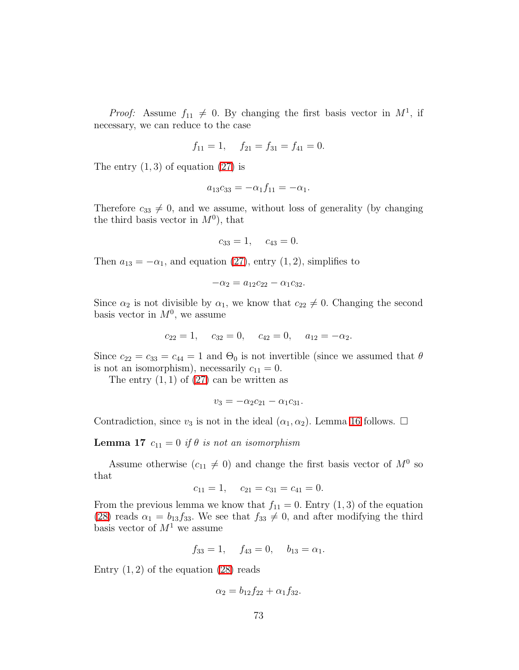*Proof:* Assume  $f_{11} \neq 0$ . By changing the first basis vector in  $M^1$ , if necessary, we can reduce to the case

$$
f_{11} = 1
$$
,  $f_{21} = f_{31} = f_{41} = 0$ .

The entry  $(1, 3)$  of equation  $(27)$  is

$$
a_{13}c_{33} = -\alpha_1 f_{11} = -\alpha_1.
$$

Therefore  $c_{33} \neq 0$ , and we assume, without loss of generality (by changing the third basis vector in  $M^0$ ), that

$$
c_{33} = 1, \quad c_{43} = 0.
$$

Then  $a_{13} = -\alpha_1$ , and equation [\(27\)](#page-69-0), entry (1, 2), simplifies to

$$
-\alpha_2 = a_{12}c_{22} - \alpha_1 c_{32}.
$$

Since  $\alpha_2$  is not divisible by  $\alpha_1$ , we know that  $c_{22} \neq 0$ . Changing the second basis vector in  $M^0$ , we assume

$$
c_{22} = 1
$$
,  $c_{32} = 0$ ,  $c_{42} = 0$ ,  $a_{12} = -\alpha_2$ .

Since  $c_{22} = c_{33} = c_{44} = 1$  and  $\Theta_0$  is not invertible (since we assumed that  $\theta$ is not an isomorphism), necessarily  $c_{11} = 0$ .

The entry  $(1, 1)$  of  $(27)$  can be written as

$$
v_3 = -\alpha_2 c_{21} - \alpha_1 c_{31}.
$$

<span id="page-72-0"></span>Contradiction, since  $v_3$  is not in the ideal  $(\alpha_1, \alpha_2)$ . Lemma [16](#page-71-0) follows.  $\Box$ 

#### **Lemma 17**  $c_{11} = 0$  *if*  $\theta$  *is not an isomorphism*

Assume otherwise  $(c_{11} \neq 0)$  and change the first basis vector of  $M^0$  so that

$$
c_{11} = 1, \quad c_{21} = c_{31} = c_{41} = 0.
$$

From the previous lemma we know that  $f_{11} = 0$ . Entry  $(1, 3)$  of the equation [\(28\)](#page-69-0) reads  $\alpha_1 = b_{13}f_{33}$ . We see that  $f_{33} \neq 0$ , and after modifying the third basis vector of  $M<sup>1</sup>$  we assume

$$
f_{33} = 1, \quad f_{43} = 0, \quad b_{13} = \alpha_1.
$$

Entry  $(1, 2)$  of the equation  $(28)$  reads

$$
\alpha_2 = b_{12}f_{22} + \alpha_1 f_{32}.
$$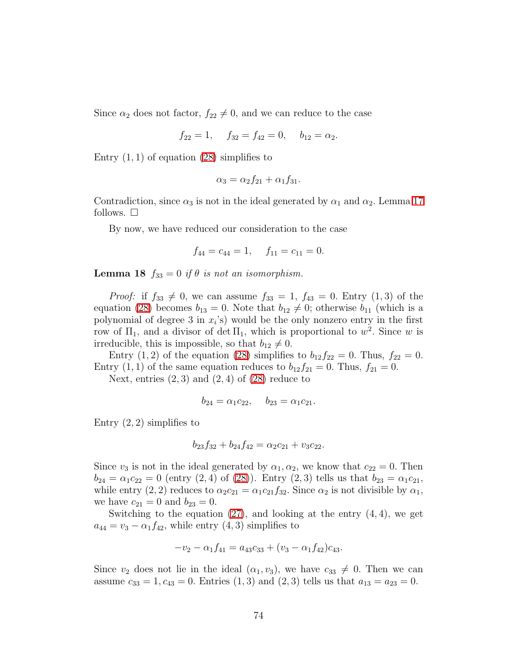Since  $\alpha_2$  does not factor,  $f_{22} \neq 0$ , and we can reduce to the case

$$
f_{22} = 1, \quad f_{32} = f_{42} = 0, \quad b_{12} = \alpha_2.
$$

Entry  $(1, 1)$  of equation  $(28)$  simplifies to

$$
\alpha_3 = \alpha_2 f_{21} + \alpha_1 f_{31}.
$$

Contradiction, since  $\alpha_3$  is not in the ideal generated by  $\alpha_1$  and  $\alpha_2$ . Lemma [17](#page-72-0) follows.  $\square$ 

By now, we have reduced our consideration to the case

$$
f_{44} = c_{44} = 1, \quad f_{11} = c_{11} = 0.
$$

<span id="page-73-0"></span>**Lemma 18**  $f_{33} = 0$  *if*  $\theta$  *is not an isomorphism.* 

*Proof:* if  $f_{33} \neq 0$ , we can assume  $f_{33} = 1$ ,  $f_{43} = 0$ . Entry  $(1, 3)$  of the equation [\(28\)](#page-69-0) becomes  $b_{13} = 0$ . Note that  $b_{12} \neq 0$ ; otherwise  $b_{11}$  (which is a polynomial of degree 3 in  $x_i$ 's) would be the only nonzero entry in the first row of  $\Pi_1$ , and a divisor of det  $\Pi_1$ , which is proportional to  $w^2$ . Since w is irreducible, this is impossible, so that  $b_{12} \neq 0$ .

Entry  $(1, 2)$  of the equation  $(28)$  simplifies to  $b_{12}f_{22} = 0$ . Thus,  $f_{22} = 0$ . Entry  $(1, 1)$  of the same equation reduces to  $b_{12}f_{21} = 0$ . Thus,  $f_{21} = 0$ .

Next, entries  $(2,3)$  and  $(2,4)$  of  $(28)$  reduce to

$$
b_{24} = \alpha_1 c_{22}, \quad b_{23} = \alpha_1 c_{21}.
$$

Entry  $(2, 2)$  simplifies to

$$
b_{23}f_{32} + b_{24}f_{42} = \alpha_2c_{21} + v_3c_{22}.
$$

Since  $v_3$  is not in the ideal generated by  $\alpha_1, \alpha_2$ , we know that  $c_{22} = 0$ . Then  $b_{24} = \alpha_1 c_{22} = 0$  (entry  $(2, 4)$  of  $(28)$ ). Entry  $(2, 3)$  tells us that  $b_{23} = \alpha_1 c_{21}$ , while entry (2, 2) reduces to  $\alpha_2 c_{21} = \alpha_1 c_{21} f_{32}$ . Since  $\alpha_2$  is not divisible by  $\alpha_1$ , we have  $c_{21} = 0$  and  $b_{23} = 0$ .

Switching to the equation  $(27)$ , and looking at the entry  $(4, 4)$ , we get  $a_{44} = v_3 - \alpha_1 f_{42}$ , while entry  $(4, 3)$  simplifies to

$$
-v_2 - \alpha_1 f_{41} = a_{43}c_{33} + (v_3 - \alpha_1 f_{42})c_{43}.
$$

Since  $v_2$  does not lie in the ideal  $(\alpha_1, v_3)$ , we have  $c_{33} \neq 0$ . Then we can assume  $c_{33} = 1, c_{43} = 0$ . Entries  $(1, 3)$  and  $(2, 3)$  tells us that  $a_{13} = a_{23} = 0$ .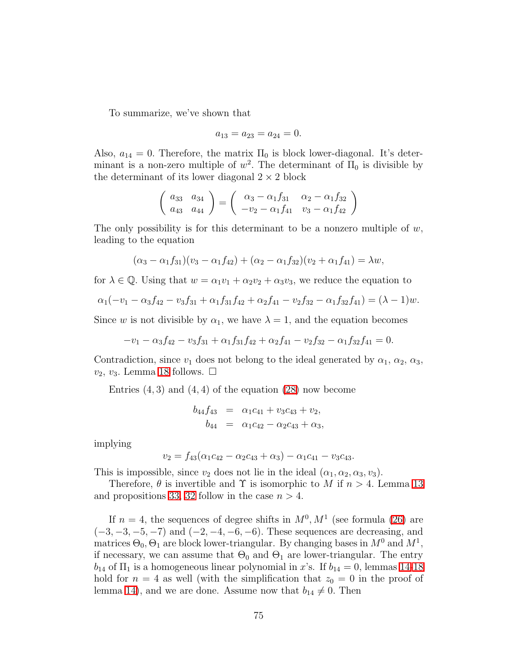To summarize, we've shown that

$$
a_{13} = a_{23} = a_{24} = 0.
$$

Also,  $a_{14} = 0$ . Therefore, the matrix  $\Pi_0$  is block lower-diagonal. It's determinant is a non-zero multiple of  $w^2$ . The determinant of  $\Pi_0$  is divisible by the determinant of its lower diagonal  $2 \times 2$  block

$$
\left(\begin{array}{cc} a_{33} & a_{34} \\ a_{43} & a_{44} \end{array}\right) = \left(\begin{array}{cc} \alpha_3 - \alpha_1 f_{31} & \alpha_2 - \alpha_1 f_{32} \\ -\upsilon_2 - \alpha_1 f_{41} & \upsilon_3 - \alpha_1 f_{42} \end{array}\right)
$$

The only possibility is for this determinant to be a nonzero multiple of  $w$ , leading to the equation

$$
(\alpha_3 - \alpha_1 f_{31})(v_3 - \alpha_1 f_{42}) + (\alpha_2 - \alpha_1 f_{32})(v_2 + \alpha_1 f_{41}) = \lambda w,
$$

for  $\lambda \in \mathbb{Q}$ . Using that  $w = \alpha_1 v_1 + \alpha_2 v_2 + \alpha_3 v_3$ , we reduce the equation to

$$
\alpha_1(-v_1-\alpha_3f_{42}-v_3f_{31}+\alpha_1f_{31}f_{42}+\alpha_2f_{41}-v_2f_{32}-\alpha_1f_{32}f_{41})=(\lambda-1)w.
$$

Since w is not divisible by  $\alpha_1$ , we have  $\lambda = 1$ , and the equation becomes

$$
-v_1 - \alpha_3 f_{42} - v_3 f_{31} + \alpha_1 f_{31} f_{42} + \alpha_2 f_{41} - v_2 f_{32} - \alpha_1 f_{32} f_{41} = 0.
$$

Contradiction, since  $v_1$  does not belong to the ideal generated by  $\alpha_1, \alpha_2, \alpha_3$ ,  $v_2, v_3$ . Lemma [18](#page-73-0) follows.  $\Box$ 

Entries  $(4,3)$  and  $(4,4)$  of the equation  $(28)$  now become

$$
b_{44}f_{43} = \alpha_1c_{41} + v_3c_{43} + v_2,
$$
  

$$
b_{44} = \alpha_1c_{42} - \alpha_2c_{43} + \alpha_3,
$$

implying

$$
v_2 = f_{43}(\alpha_1 c_{42} - \alpha_2 c_{43} + \alpha_3) - \alpha_1 c_{41} - v_3 c_{43}.
$$

This is impossible, since  $v_2$  does not lie in the ideal  $(\alpha_1, \alpha_2, \alpha_3, v_3)$ .

Therefore,  $\theta$  is invertible and  $\Upsilon$  is isomorphic to M if  $n > 4$ . Lemma [13](#page-68-0) and propositions [33,](#page-64-0) [32](#page-62-0) follow in the case  $n > 4$ .

If  $n = 4$ , the sequences of degree shifts in  $M<sup>0</sup>, M<sup>1</sup>$  (see formula [\(26\)](#page-69-1) are  $(-3, -3, -5, -7)$  and  $(-2, -4, -6, -6)$ . These sequences are decreasing, and matrices  $\Theta_0$ ,  $\Theta_1$  are block lower-triangular. By changing bases in  $M^0$  and  $M^1$ , if necessary, we can assume that  $\Theta_0$  and  $\Theta_1$  are lower-triangular. The entry  $b_{14}$  of  $\Pi_1$  is a homogeneous linear polynomial in x's. If  $b_{14} = 0$ , lemmas [14-](#page-70-0)[18](#page-73-0) hold for  $n = 4$  as well (with the simplification that  $z_0 = 0$  in the proof of lemma [14\)](#page-70-0), and we are done. Assume now that  $b_{14} \neq 0$ . Then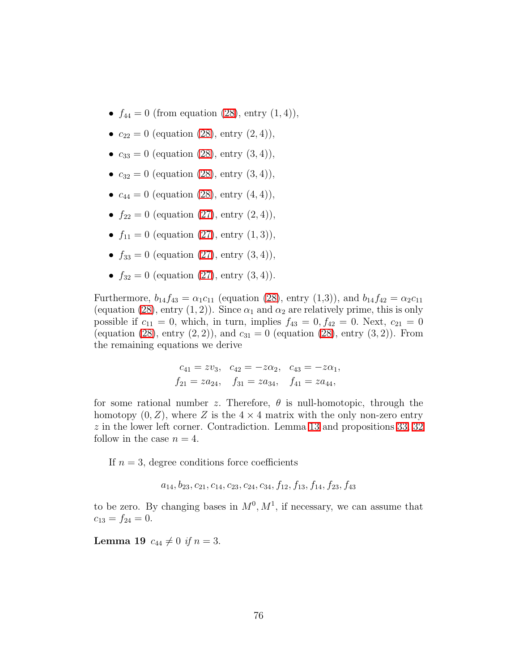- $f_{44} = 0$  (from equation [\(28\)](#page-69-0), entry  $(1, 4)$ ),
- $c_{22} = 0$  (equation [\(28\)](#page-69-0), entry  $(2, 4)$ ),
- $c_{33} = 0$  (equation [\(28\)](#page-69-0), entry (3, 4)),
- $c_{32} = 0$  (equation [\(28\)](#page-69-0), entry (3, 4)),
- $c_{44} = 0$  (equation [\(28\)](#page-69-0), entry  $(4, 4)$ ),
- $f_{22} = 0$  (equation [\(27\)](#page-69-0), entry (2, 4)),
- $f_{11} = 0$  (equation [\(27\)](#page-69-0), entry (1,3)),
- $f_{33} = 0$  (equation [\(27\)](#page-69-0), entry (3, 4)),
- $f_{32} = 0$  (equation [\(27\)](#page-69-0), entry (3, 4)).

Furthermore,  $b_{14}f_{43} = \alpha_1 c_{11}$  (equation [\(28\)](#page-69-0), entry (1,3)), and  $b_{14}f_{42} = \alpha_2 c_{11}$ (equation [\(28\)](#page-69-0), entry (1, 2)). Since  $\alpha_1$  and  $\alpha_2$  are relatively prime, this is only possible if  $c_{11} = 0$ , which, in turn, implies  $f_{43} = 0, f_{42} = 0$ . Next,  $c_{21} = 0$ (equation [\(28\)](#page-69-0), entry  $(2, 2)$ ), and  $c_{31} = 0$  (equation (28), entry  $(3, 2)$ ). From the remaining equations we derive

$$
c_{41} = zv_3, \quad c_{42} = -z\alpha_2, \quad c_{43} = -z\alpha_1, f_{21} = za_{24}, \quad f_{31} = za_{34}, \quad f_{41} = za_{44},
$$

for some rational number z. Therefore,  $\theta$  is null-homotopic, through the homotopy  $(0, Z)$ , where Z is the  $4 \times 4$  matrix with the only non-zero entry z in the lower left corner. Contradiction. Lemma [13](#page-68-0) and propositions [33,](#page-64-0) [32](#page-62-0) follow in the case  $n = 4$ .

If  $n = 3$ , degree conditions force coefficients

 $a_{14}, b_{23}, c_{21}, c_{14}, c_{23}, c_{24}, c_{34}, f_{12}, f_{13}, f_{14}, f_{23}, f_{43}$ 

to be zero. By changing bases in  $M^0, M^1$ , if necessary, we can assume that  $c_{13} = f_{24} = 0.$ 

**Lemma 19**  $c_{44} \neq 0$  *if*  $n = 3$ .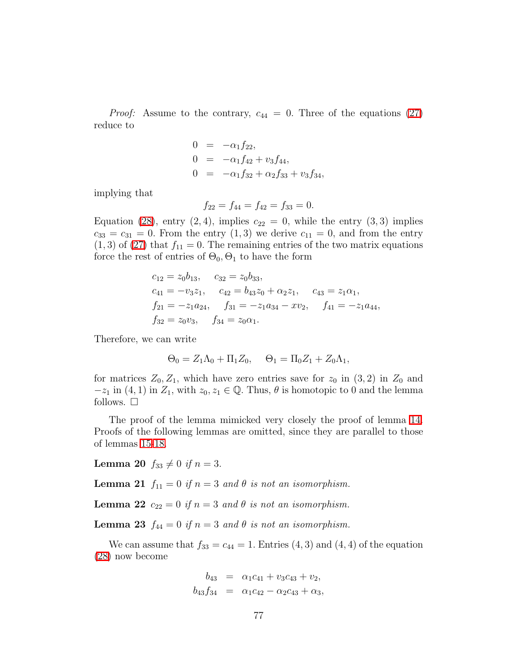*Proof:* Assume to the contrary,  $c_{44} = 0$ . Three of the equations [\(27\)](#page-69-0) reduce to

$$
0 = -\alpha_1 f_{22},
$$
  
\n
$$
0 = -\alpha_1 f_{42} + v_3 f_{44},
$$
  
\n
$$
0 = -\alpha_1 f_{32} + \alpha_2 f_{33} + v_3 f_{34},
$$

implying that

$$
f_{22} = f_{44} = f_{42} = f_{33} = 0.
$$

Equation [\(28\)](#page-69-0), entry (2, 4), implies  $c_{22} = 0$ , while the entry (3, 3) implies  $c_{33} = c_{31} = 0$ . From the entry  $(1,3)$  we derive  $c_{11} = 0$ , and from the entry  $(1, 3)$  of  $(27)$  that  $f_{11} = 0$ . The remaining entries of the two matrix equations force the rest of entries of  $\Theta_0$ ,  $\Theta_1$  to have the form

$$
c_{12} = z_0 b_{13}, \t c_{32} = z_0 b_{33},
$$
  
\n
$$
c_{41} = -v_3 z_1, \t c_{42} = b_{43} z_0 + \alpha_2 z_1, \t c_{43} = z_1 \alpha_1,
$$
  
\n
$$
f_{21} = -z_1 a_{24}, \t f_{31} = -z_1 a_{34} - x v_2, \t f_{41} = -z_1 a_{44},
$$
  
\n
$$
f_{32} = z_0 v_3, \t f_{34} = z_0 \alpha_1.
$$

Therefore, we can write

$$
\Theta_0 = Z_1 \Lambda_0 + \Pi_1 Z_0, \quad \Theta_1 = \Pi_0 Z_1 + Z_0 \Lambda_1,
$$

for matrices  $Z_0, Z_1$ , which have zero entries save for  $z_0$  in  $(3, 2)$  in  $Z_0$  and  $-z_1$  in  $(4, 1)$  in  $Z_1$ , with  $z_0, z_1 \in \mathbb{Q}$ . Thus,  $\theta$  is homotopic to 0 and the lemma follows.  $\square$ 

The proof of the lemma mimicked very closely the proof of lemma [14.](#page-70-0) Proofs of the following lemmas are omitted, since they are parallel to those of lemmas [15](#page-71-1)[-18.](#page-73-0)

**Lemma 20**  $f_{33} \neq 0$  *if*  $n = 3$ .

**Lemma 21**  $f_{11} = 0$  *if*  $n = 3$  *and*  $\theta$  *is not an isomorphism.* 

Lemma 22  $c_{22} = 0$  *if*  $n = 3$  *and*  $\theta$  *is not an isomorphism.* 

Lemma 23  $f_{44} = 0$  *if*  $n = 3$  *and*  $\theta$  *is not an isomorphism.* 

We can assume that  $f_{33} = c_{44} = 1$ . Entries  $(4, 3)$  and  $(4, 4)$  of the equation [\(28\)](#page-69-0) now become

$$
b_{43} = \alpha_1 c_{41} + v_3 c_{43} + v_2,
$$
  

$$
b_{43} f_{34} = \alpha_1 c_{42} - \alpha_2 c_{43} + \alpha_3,
$$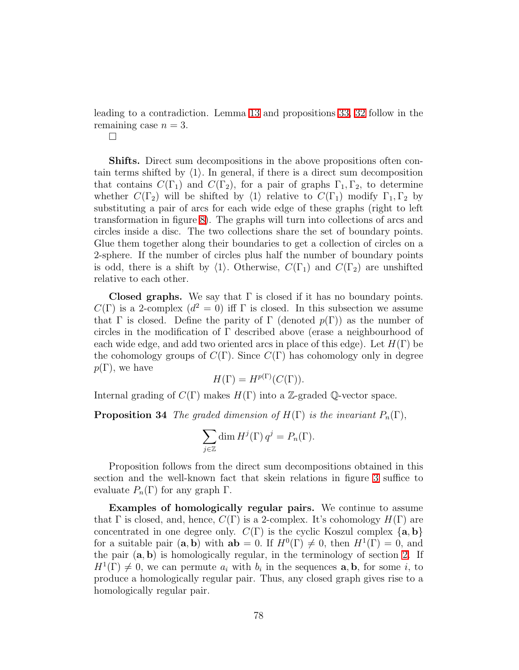leading to a contradiction. Lemma [13](#page-68-0) and propositions [33,](#page-64-0) [32](#page-62-0) follow in the remaining case  $n = 3$ .

 $\Box$ 

Shifts. Direct sum decompositions in the above propositions often contain terms shifted by  $\langle 1 \rangle$ . In general, if there is a direct sum decomposition that contains  $C(\Gamma_1)$  and  $C(\Gamma_2)$ , for a pair of graphs  $\Gamma_1, \Gamma_2$ , to determine whether  $C(\Gamma_2)$  will be shifted by  $\langle 1 \rangle$  relative to  $C(\Gamma_1)$  modify  $\Gamma_1, \Gamma_2$  by substituting a pair of arcs for each wide edge of these graphs (right to left transformation in figure [8\)](#page-8-0). The graphs will turn into collections of arcs and circles inside a disc. The two collections share the set of boundary points. Glue them together along their boundaries to get a collection of circles on a 2-sphere. If the number of circles plus half the number of boundary points is odd, there is a shift by  $\langle 1 \rangle$ . Otherwise,  $C(\Gamma_1)$  and  $C(\Gamma_2)$  are unshifted relative to each other.

**Closed graphs.** We say that  $\Gamma$  is closed if it has no boundary points.  $C(\Gamma)$  is a 2-complex  $(d^2 = 0)$  iff  $\Gamma$  is closed. In this subsection we assume that Γ is closed. Define the parity of Γ (denoted  $p(\Gamma)$ ) as the number of circles in the modification of  $\Gamma$  described above (erase a neighbourhood of each wide edge, and add two oriented arcs in place of this edge). Let  $H(\Gamma)$  be the cohomology groups of  $C(\Gamma)$ . Since  $C(\Gamma)$  has cohomology only in degree  $p(\Gamma)$ , we have

$$
H(\Gamma) = H^{p(\Gamma)}(C(\Gamma)).
$$

Internal grading of  $C(\Gamma)$  makes  $H(\Gamma)$  into a Z-graded Q-vector space.

**Proposition 34** *The graded dimension of*  $H(\Gamma)$  *is the invariant*  $P_n(\Gamma)$ ,

$$
\sum_{j\in\mathbb{Z}}\dim H^j(\Gamma)\,q^j=P_n(\Gamma).
$$

Proposition follows from the direct sum decompositions obtained in this section and the well-known fact that skein relations in figure [3](#page-3-0) suffice to evaluate  $P_n(\Gamma)$  for any graph  $\Gamma$ .

Examples of homologically regular pairs. We continue to assume that  $\Gamma$  is closed, and, hence,  $C(\Gamma)$  is a 2-complex. It's cohomology  $H(\Gamma)$  are concentrated in one degree only.  $C(\Gamma)$  is the cyclic Koszul complex  $\{a, b\}$ for a suitable pair  $(a, b)$  with  $ab = 0$ . If  $H^0(\Gamma) \neq 0$ , then  $H^1(\Gamma) = 0$ , and the pair  $(a, b)$  is homologically regular, in the terminology of section [2.](#page-12-0) If  $H^1(\Gamma) \neq 0$ , we can permute  $a_i$  with  $b_i$  in the sequences **a**, **b**, for some *i*, to produce a homologically regular pair. Thus, any closed graph gives rise to a homologically regular pair.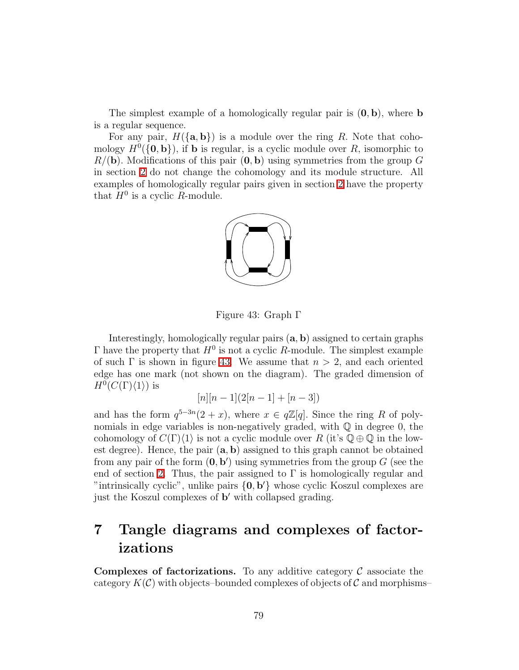The simplest example of a homologically regular pair is  $(0, b)$ , where **b** is a regular sequence.

For any pair,  $H({\{a, b\}})$  is a module over the ring R. Note that cohomology  $H^0(\{0, \mathbf{b}\})$ , if **b** is regular, is a cyclic module over R, isomorphic to  $R/(\mathbf{b})$ . Modifications of this pair  $(\mathbf{0}, \mathbf{b})$  using symmetries from the group G in section [2](#page-12-0) do not change the cohomology and its module structure. All examples of homologically regular pairs given in section [2](#page-12-0) have the property that  $H^0$  is a cyclic R-module.



Figure 43: Graph Γ

Interestingly, homologically regular pairs (a, b) assigned to certain graphs  $\Gamma$  have the property that  $H^0$  is not a cyclic R-module. The simplest example of such  $\Gamma$  is shown in figure [43.](#page-78-0) We assume that  $n > 2$ , and each oriented edge has one mark (not shown on the diagram). The graded dimension of  $H^0(C(\Gamma)\langle 1\rangle)$  is

<span id="page-78-0"></span>
$$
[n][n-1](2[n-1] + [n-3])
$$

and has the form  $q^{5-3n}(2+x)$ , where  $x \in q\mathbb{Z}[q]$ . Since the ring R of polynomials in edge variables is non-negatively graded, with  $\mathbb Q$  in degree 0, the cohomology of  $C(\Gamma)\langle 1\rangle$  is not a cyclic module over R (it's  $\mathbb{Q}\oplus\mathbb{Q}$  in the lowest degree). Hence, the pair  $(a, b)$  assigned to this graph cannot be obtained from any pair of the form  $(0, b')$  using symmetries from the group G (see the end of section [2.](#page-12-0) Thus, the pair assigned to  $\Gamma$  is homologically regular and "intrinsically cyclic", unlike pairs  ${0, b'}$  whose cyclic Koszul complexes are just the Koszul complexes of b ′ with collapsed grading.

# 7 Tangle diagrams and complexes of factorizations

**Complexes of factorizations.** To any additive category  $\mathcal{C}$  associate the category  $K(\mathcal{C})$  with objects–bounded complexes of objects of  $\mathcal C$  and morphisms–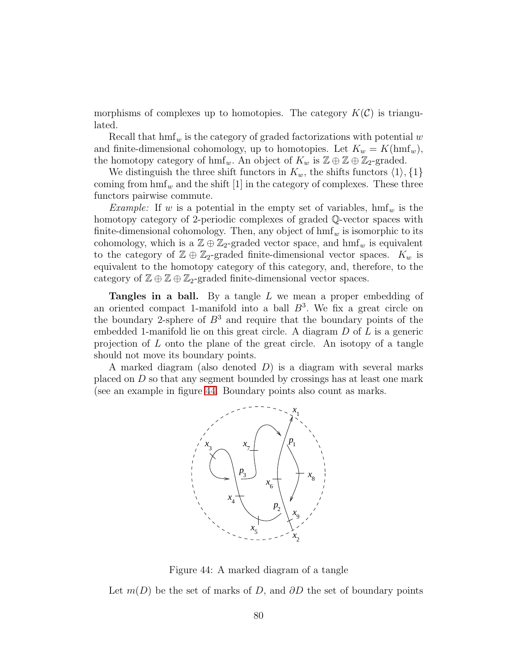morphisms of complexes up to homotopies. The category  $K(\mathcal{C})$  is triangulated.

Recall that  $h m f_w$  is the category of graded factorizations with potential w and finite-dimensional cohomology, up to homotopies. Let  $K_w = K(\text{hmf}_w)$ , the homotopy category of  $\text{hmf}_w$ . An object of  $K_w$  is  $\mathbb{Z} \oplus \mathbb{Z} \oplus \mathbb{Z}_2$ -graded.

We distinguish the three shift functors in  $K_w$ , the shifts functors  $\langle 1 \rangle, \{1\}$ coming from  $\text{hmf}_w$  and the shift [1] in the category of complexes. These three functors pairwise commute.

*Example:* If w is a potential in the empty set of variables,  $hmf_w$  is the homotopy category of 2-periodic complexes of graded Q-vector spaces with finite-dimensional cohomology. Then, any object of  $\text{hmf}_w$  is isomorphic to its cohomology, which is a  $\mathbb{Z} \oplus \mathbb{Z}_2$ -graded vector space, and  $\text{hmf}_w$  is equivalent to the category of  $\mathbb{Z} \oplus \mathbb{Z}_2$ -graded finite-dimensional vector spaces.  $K_w$  is equivalent to the homotopy category of this category, and, therefore, to the category of  $\mathbb{Z} \oplus \mathbb{Z} \oplus \mathbb{Z}_2$ -graded finite-dimensional vector spaces.

**Tangles in a ball.** By a tangle L we mean a proper embedding of an oriented compact 1-manifold into a ball  $B^3$ . We fix a great circle on the boundary 2-sphere of  $B^3$  and require that the boundary points of the embedded 1-manifold lie on this great circle. A diagram D of L is a generic projection of L onto the plane of the great circle. An isotopy of a tangle should not move its boundary points.

A marked diagram (also denoted  $D$ ) is a diagram with several marks placed on D so that any segment bounded by crossings has at least one mark (see an example in figure [44.](#page-79-0) Boundary points also count as marks.



<span id="page-79-0"></span>Figure 44: A marked diagram of a tangle

Let  $m(D)$  be the set of marks of D, and  $\partial D$  the set of boundary points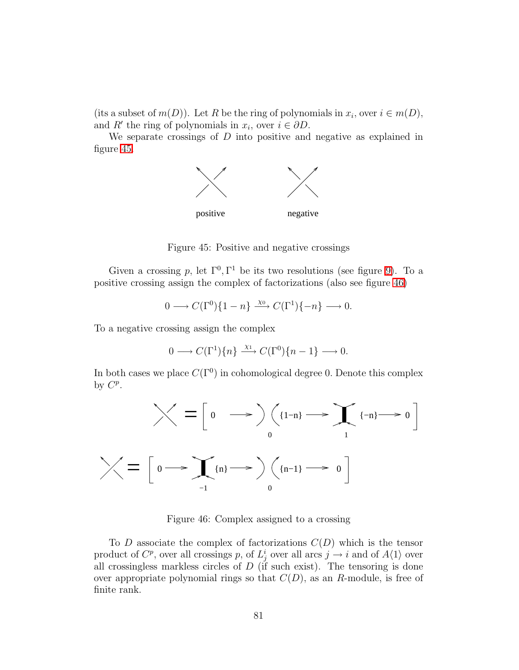(its a subset of  $m(D)$ ). Let R be the ring of polynomials in  $x_i$ , over  $i \in m(D)$ , and R' the ring of polynomials in  $x_i$ , over  $i \in \partial D$ .

We separate crossings of  $D$  into positive and negative as explained in figure [45.](#page-80-0)



<span id="page-80-0"></span>Figure 45: Positive and negative crossings

Given a crossing p, let  $\Gamma^0$ ,  $\Gamma^1$  be its two resolutions (see figure [9\)](#page-9-0). To a positive crossing assign the complex of factorizations (also see figure [46\)](#page-80-1)

$$
0 \longrightarrow C(\Gamma^0)\{1-n\} \xrightarrow{\chi_0} C(\Gamma^1)\{-n\} \longrightarrow 0.
$$

To a negative crossing assign the complex

$$
0 \longrightarrow C(\Gamma^1)\{n\} \xrightarrow{\chi_1} C(\Gamma^0)\{n-1\} \longrightarrow 0.
$$

In both cases we place  $C(\Gamma^0)$  in cohomological degree 0. Denote this complex by  $C^p$ .



<span id="page-80-1"></span>Figure 46: Complex assigned to a crossing

To D associate the complex of factorizations  $C(D)$  which is the tensor product of  $C^p$ , over all crossings p, of  $L^i_j$  over all arcs  $j \to i$  and of  $A\langle 1 \rangle$  over all crossingless markless circles of  $D$  (if such exist). The tensoring is done over appropriate polynomial rings so that  $C(D)$ , as an R-module, is free of finite rank.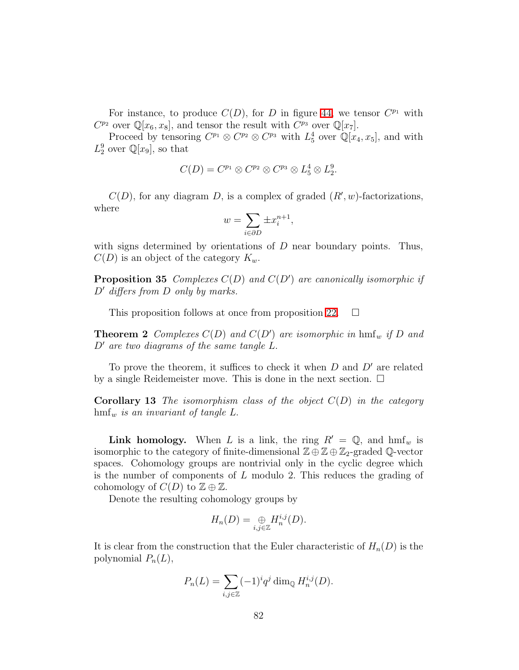For instance, to produce  $C(D)$ , for D in figure [44,](#page-79-0) we tensor  $C^{p_1}$  with  $C^{p_2}$  over  $\mathbb{Q}[x_6, x_8]$ , and tensor the result with  $C^{p_3}$  over  $\mathbb{Q}[x_7]$ .

Proceed by tensoring  $C^{p_1} \otimes C^{p_2} \otimes C^{p_3}$  with  $L_5^4$  over  $\mathbb{Q}[x_4, x_5]$ , and with  $L_2^9$  over  $\mathbb{Q}[x_9]$ , so that

$$
C(D) = C^{p_1} \otimes C^{p_2} \otimes C^{p_3} \otimes L_5^4 \otimes L_2^9.
$$

 $C(D)$ , for any diagram D, is a complex of graded  $(R', w)$ -factorizations, where

$$
w = \sum_{i \in \partial D} \pm x_i^{n+1},
$$

with signs determined by orientations of  $D$  near boundary points. Thus,  $C(D)$  is an object of the category  $K_w$ .

Proposition 35 *Complexes* C(D) *and* C(D′ ) *are canonically isomorphic if* D′ *differs from* D *only by marks.*

This proposition follows at once from proposition [22.](#page-41-0)  $\Box$ 

**Theorem 2** Complexes  $C(D)$  and  $C(D')$  are isomorphic in  $\text{hmf}_w$  if D and D′ *are two diagrams of the same tangle* L.

To prove the theorem, it suffices to check it when  $D$  and  $D'$  are related by a single Reidemeister move. This is done in the next section.  $\Box$ 

Corollary 13 *The isomorphism class of the object* C(D) *in the category*  $\text{hmf}_w$  *is an invariant of tangle L.* 

**Link homology.** When L is a link, the ring  $R' = \mathbb{Q}$ , and  $\text{hmf}_w$  is isomorphic to the category of finite-dimensional  $\mathbb{Z} \oplus \mathbb{Z} \oplus \mathbb{Z}_2$ -graded Q-vector spaces. Cohomology groups are nontrivial only in the cyclic degree which is the number of components of L modulo 2. This reduces the grading of cohomology of  $C(D)$  to  $\mathbb{Z} \oplus \mathbb{Z}$ .

Denote the resulting cohomology groups by

$$
H_n(D) = \bigoplus_{i,j \in \mathbb{Z}} H_n^{i,j}(D).
$$

It is clear from the construction that the Euler characteristic of  $H_n(D)$  is the polynomial  $P_n(L)$ ,

$$
P_n(L) = \sum_{i,j \in \mathbb{Z}} (-1)^i q^j \dim_{\mathbb{Q}} H_n^{i,j}(D).
$$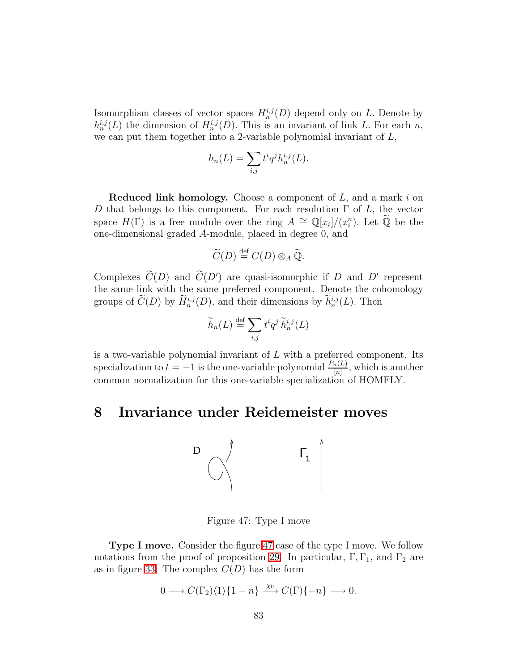Isomorphism classes of vector spaces  $H_n^{i,j}(D)$  depend only on L. Denote by  $h_n^{i,j}(L)$  the dimension of  $H_n^{i,j}(D)$ . This is an invariant of link L. For each n, we can put them together into a 2-variable polynomial invariant of  $L$ ,

$$
h_n(L) = \sum_{i,j} t^i q^j h_n^{i,j}(L).
$$

**Reduced link homology.** Choose a component of  $L$ , and a mark  $i$  on D that belongs to this component. For each resolution  $\Gamma$  of  $L$ , the vector space  $H(\Gamma)$  is a free module over the ring  $A \cong \mathbb{Q}[x_i]/(x_i^n)$ . Let  $\widetilde{\mathbb{Q}}$  be the one-dimensional graded A-module, placed in degree 0, and

$$
\widetilde{C}(D) \stackrel{\text{def}}{=} C(D) \otimes_A \widetilde{\mathbb{Q}}.
$$

Complexes  $C(D)$  and  $C(D')$  are quasi-isomorphic if D and D' represent the same link with the same preferred component. Denote the cohomology groups of  $\tilde{C}(D)$  by  $\tilde{H}^{i,j}_n(D)$ , and their dimensions by  $h^{i,j}_n(L)$ . Then

$$
\widetilde{h}_n(L) \stackrel{\text{def}}{=} \sum_{i,j} t^i q^j \widetilde{h}_n^{i,j}(L)
$$

is a two-variable polynomial invariant of  $L$  with a preferred component. Its specialization to  $t = -1$  is the one-variable polynomial  $\frac{P_n(L)}{[n]}$ , which is another common normalization for this one-variable specialization of HOMFLY.

## 8 Invariance under Reidemeister moves



<span id="page-82-0"></span>Figure 47: Type I move

Type I move. Consider the figure [47](#page-82-0) case of the type I move. We follow notations from the proof of proposition [29.](#page-51-0) In particular,  $\Gamma$ ,  $\Gamma$ <sub>1</sub>, and  $\Gamma$ <sub>2</sub> are as in figure [33.](#page-52-0) The complex  $C(D)$  has the form

$$
0 \longrightarrow C(\Gamma_2)\langle 1\rangle \{1-n\} \xrightarrow{\chi_0} C(\Gamma)\{-n\} \longrightarrow 0.
$$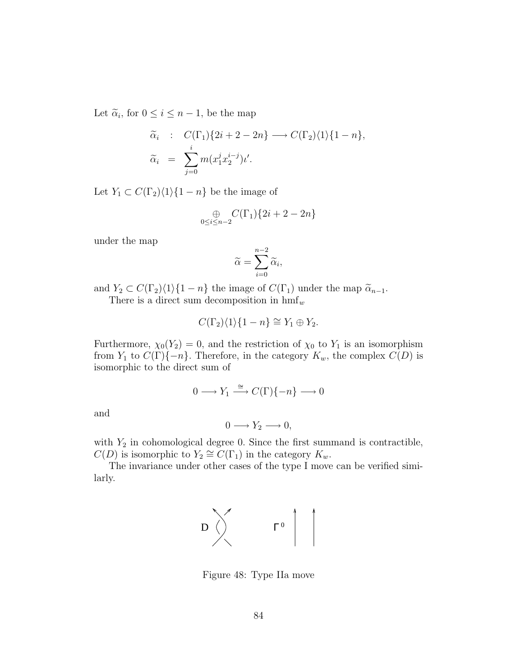Let  $\widetilde{\alpha}_i$ , for  $0 \leq i \leq n-1$ , be the map

$$
\widetilde{\alpha}_i : C(\Gamma_1)\{2i+2-2n\} \longrightarrow C(\Gamma_2)\langle 1\rangle \{1-n\},
$$
  
\n
$$
\widetilde{\alpha}_i = \sum_{j=0}^i m(x_1^j x_2^{i-j})\iota'.
$$

Let  $Y_1 \subset C(\Gamma_2)\langle 1\rangle \{1 - n\}$  be the image of

$$
\underset{0\leq i\leq n-2}{\oplus}C(\Gamma_1)\{2i+2-2n\}
$$

under the map

$$
\widetilde{\alpha} = \sum_{i=0}^{n-2} \widetilde{\alpha}_i,
$$

and  $Y_2 \subset C(\Gamma_2)\langle 1\rangle\{1 - n\}$  the image of  $C(\Gamma_1)$  under the map  $\tilde{\alpha}_{n-1}$ .

There is a direct sum decomposition in  $\text{hmf}_w$ 

$$
C(\Gamma_2)\langle 1\rangle\{1-n\} \cong Y_1 \oplus Y_2.
$$

Furthermore,  $\chi_0(Y_2) = 0$ , and the restriction of  $\chi_0$  to  $Y_1$  is an isomorphism from  $Y_1$  to  $C(\Gamma)\{-n\}$ . Therefore, in the category  $K_w$ , the complex  $C(D)$  is isomorphic to the direct sum of

$$
0 \longrightarrow Y_1 \xrightarrow{\cong} C(\Gamma)\{-n\} \longrightarrow 0
$$

and

$$
0 \longrightarrow Y_2 \longrightarrow 0,
$$

with  $Y_2$  in cohomological degree 0. Since the first summand is contractible,  $C(D)$  is isomorphic to  $Y_2 \cong C(\Gamma_1)$  in the category  $K_w$ .

The invariance under other cases of the type I move can be verified similarly.



<span id="page-83-0"></span>Figure 48: Type IIa move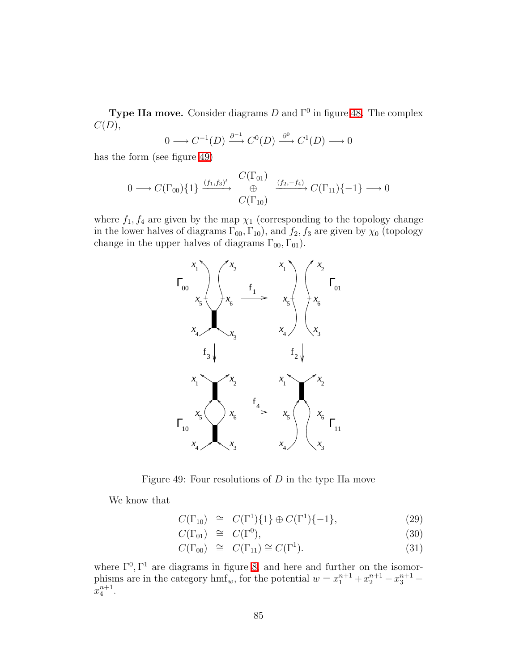**Type IIa move.** Consider diagrams  $D$  and  $\Gamma^0$  in figure [48.](#page-83-0) The complex  $C(D),$ 

$$
0 \longrightarrow C^{-1}(D) \xrightarrow{\partial^{-1}} C^0(D) \xrightarrow{\partial^0} C^1(D) \longrightarrow 0
$$

has the form (see figure [49\)](#page-84-0)

$$
0 \longrightarrow C(\Gamma_{00})\{1\} \xrightarrow{(f_1, f_3)^t} \bigoplus_{C(\Gamma_{10})}^{C(\Gamma_{01})} \xrightarrow{(f_2, -f_4)} C(\Gamma_{11})\{-1\} \longrightarrow 0
$$

where  $f_1, f_4$  are given by the map  $\chi_1$  (corresponding to the topology change in the lower halves of diagrams  $\Gamma_{00}$ ,  $\Gamma_{10}$ ), and  $f_2$ ,  $f_3$  are given by  $\chi_0$  (topology change in the upper halves of diagrams  $\Gamma_{00}$ ,  $\Gamma_{01}$ ).



<span id="page-84-0"></span>Figure 49: Four resolutions of  $D$  in the type IIa move

<span id="page-84-1"></span>We know that

$$
C(\Gamma_{10}) \cong C(\Gamma^1)\{1\} \oplus C(\Gamma^1)\{-1\}, \tag{29}
$$

$$
C(\Gamma_{01}) \cong C(\Gamma^0), \tag{30}
$$

$$
C(\Gamma_{00}) \cong C(\Gamma_{11}) \cong C(\Gamma^1). \tag{31}
$$

where  $\Gamma^0$ ,  $\Gamma^1$  are diagrams in figure [8,](#page-8-0) and here and further on the isomorphisms are in the category  $\text{hmf}_w$ , for the potential  $w = x_1^{n+1} + x_2^{n+1} - x_3^{n+1}$  $x_4^{n+1}$ .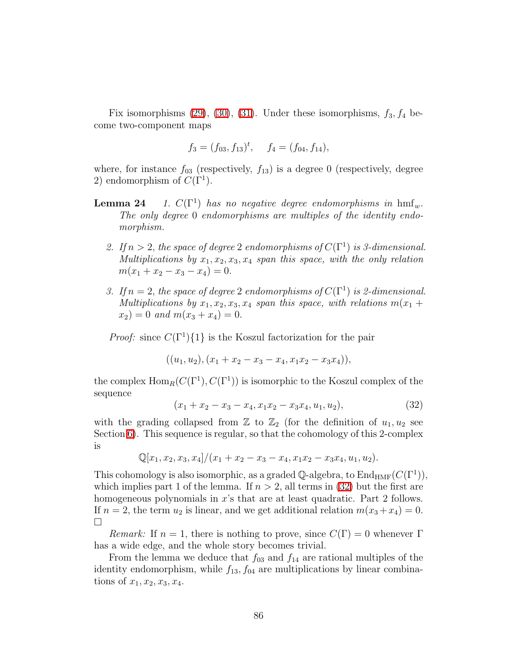Fix isomorphisms  $(29)$ ,  $(30)$ ,  $(31)$ . Under these isomorphisms,  $f_3, f_4$  become two-component maps

$$
f_3 = (f_{03}, f_{13})^t
$$
,  $f_4 = (f_{04}, f_{14})$ ,

<span id="page-85-1"></span>where, for instance  $f_{03}$  (respectively,  $f_{13}$ ) is a degree 0 (respectively, degree 2) endomorphism of  $C(\Gamma^1)$ .

- Lemma 24 1.  $C(\Gamma^1)$  has no negative degree endomorphisms in hmf<sub>w</sub>. *The only degree* 0 *endomorphisms are multiples of the identity endomorphism.*
	- 2. If  $n > 2$ , the space of degree 2 endomorphisms of  $C(\Gamma^1)$  is 3-dimensional. *Multiplications by*  $x_1, x_2, x_3, x_4$  *span this space, with the only relation*  $m(x_1 + x_2 - x_3 - x_4) = 0.$
	- *3.* If  $n = 2$ , the space of degree 2 endomorphisms of  $C(\Gamma^1)$  is 2-dimensional. *Multiplications by*  $x_1, x_2, x_3, x_4$  *span this space, with relations*  $m(x_1 +$  $x_2$ ) = 0 *and*  $m(x_3 + x_4) = 0$ .

*Proof:* since  $C(\Gamma^1)\{1\}$  is the Koszul factorization for the pair

$$
((u_1, u_2), (x_1 + x_2 - x_3 - x_4, x_1x_2 - x_3x_4)),
$$

<span id="page-85-0"></span>the complex  $\text{Hom}_R(C(\Gamma^1), C(\Gamma^1))$  is isomorphic to the Koszul complex of the sequence

$$
(x_1 + x_2 - x_3 - x_4, x_1x_2 - x_3x_4, u_1, u_2), \t\t(32)
$$

with the grading collapsed from  $\mathbb{Z}$  to  $\mathbb{Z}_2$  (for the definition of  $u_1, u_2$  see Section [6\)](#page-46-0). This sequence is regular, so that the cohomology of this 2-complex is

$$
\mathbb{Q}[x_1, x_2, x_3, x_4]/(x_1 + x_2 - x_3 - x_4, x_1x_2 - x_3x_4, u_1, u_2).
$$

This cohomology is also isomorphic, as a graded  $\mathbb{Q}$ -algebra, to  $\text{End}_{\text{HMF}}(C(\Gamma^1)),$ which implies part 1 of the lemma. If  $n > 2$ , all terms in [\(32\)](#page-85-0) but the first are homogeneous polynomials in x's that are at least quadratic. Part 2 follows. If  $n = 2$ , the term  $u_2$  is linear, and we get additional relation  $m(x_3 + x_4) = 0$ .  $\Box$ 

*Remark:* If  $n = 1$ , there is nothing to prove, since  $C(\Gamma) = 0$  whenever  $\Gamma$ has a wide edge, and the whole story becomes trivial.

From the lemma we deduce that  $f_{03}$  and  $f_{14}$  are rational multiples of the identity endomorphism, while  $f_{13}$ ,  $f_{04}$  are multiplications by linear combinations of  $x_1, x_2, x_3, x_4$ .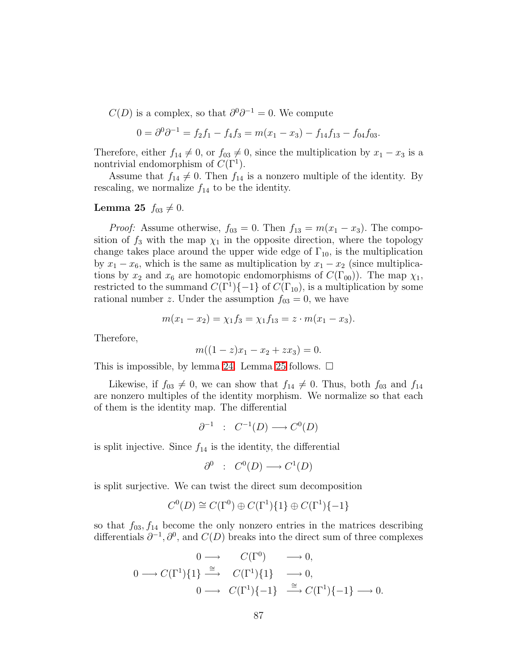$C(D)$  is a complex, so that  $\partial^0 \partial^{-1} = 0$ . We compute

$$
0 = \partial^0 \partial^{-1} = f_2 f_1 - f_4 f_3 = m(x_1 - x_3) - f_{14} f_{13} - f_{04} f_{03}.
$$

Therefore, either  $f_{14} \neq 0$ , or  $f_{03} \neq 0$ , since the multiplication by  $x_1 - x_3$  is a nontrivial endomorphism of  $C(\Gamma^1)$ .

<span id="page-86-0"></span>Assume that  $f_{14} \neq 0$ . Then  $f_{14}$  is a nonzero multiple of the identity. By rescaling, we normalize  $f_{14}$  to be the identity.

#### **Lemma 25**  $f_{03} \neq 0$ .

*Proof:* Assume otherwise,  $f_{03} = 0$ . Then  $f_{13} = m(x_1 - x_3)$ . The composition of  $f_3$  with the map  $\chi_1$  in the opposite direction, where the topology change takes place around the upper wide edge of  $\Gamma_{10}$ , is the multiplication by  $x_1 - x_6$ , which is the same as multiplication by  $x_1 - x_2$  (since multiplications by  $x_2$  and  $x_6$  are homotopic endomorphisms of  $C(\Gamma_{00})$ . The map  $\chi_1$ , restricted to the summand  $C(\Gamma^1)\{-1\}$  of  $C(\Gamma_{10})$ , is a multiplication by some rational number z. Under the assumption  $f_{03} = 0$ , we have

$$
m(x_1 - x_2) = \chi_1 f_3 = \chi_1 f_{13} = z \cdot m(x_1 - x_3).
$$

Therefore,

$$
m((1-z)x_1 - x_2 + zx_3) = 0.
$$

This is impossible, by lemma [24.](#page-85-1) Lemma [25](#page-86-0) follows.  $\Box$ 

Likewise, if  $f_{03} \neq 0$ , we can show that  $f_{14} \neq 0$ . Thus, both  $f_{03}$  and  $f_{14}$ are nonzero multiples of the identity morphism. We normalize so that each of them is the identity map. The differential

$$
\partial^{-1} : C^{-1}(D) \longrightarrow C^0(D)
$$

is split injective. Since  $f_{14}$  is the identity, the differential

$$
\partial^0 : C^0(D) \longrightarrow C^1(D)
$$

is split surjective. We can twist the direct sum decomposition

$$
C^0(D) \cong C(\Gamma^0) \oplus C(\Gamma^1)\{1\} \oplus C(\Gamma^1)\{-1\}
$$

so that  $f_{03}, f_{14}$  become the only nonzero entries in the matrices describing differentials  $\partial^{-1}, \partial^0$ , and  $C(D)$  breaks into the direct sum of three complexes

$$
\begin{array}{cccc}\n & 0 \longrightarrow & C(\Gamma^0) & \longrightarrow 0, \\
0 \longrightarrow C(\Gamma^1)\{1\} & \xrightarrow{\cong} & C(\Gamma^1)\{1\} & \longrightarrow 0, \\
0 \longrightarrow & C(\Gamma^1)\{-1\} & \xrightarrow{\cong} C(\Gamma^1)\{-1\} \longrightarrow 0.\n\end{array}
$$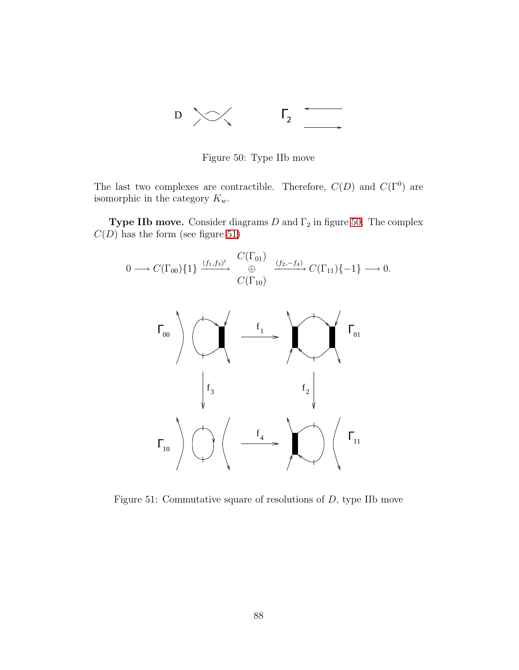

<span id="page-87-0"></span>Figure 50: Type IIb move

The last two complexes are contractible. Therefore,  $C(D)$  and  $C(\Gamma^0)$  are isomorphic in the category  $K_w$ .

**Type IIb move.** Consider diagrams  $D$  and  $\Gamma_2$  in figure [50.](#page-87-0) The complex  $C(D)$  has the form (see figure [51\)](#page-87-1)

$$
0 \longrightarrow C(\Gamma_{00})\{1\} \xrightarrow{(f_1,f_3)^t} \bigoplus_{C(\Gamma_{10})}^{C(\Gamma_{01})} \xrightarrow{(f_2,-f_4)} C(\Gamma_{11})\{-1\} \longrightarrow 0.
$$



<span id="page-87-1"></span>Figure 51: Commutative square of resolutions of D, type IIb move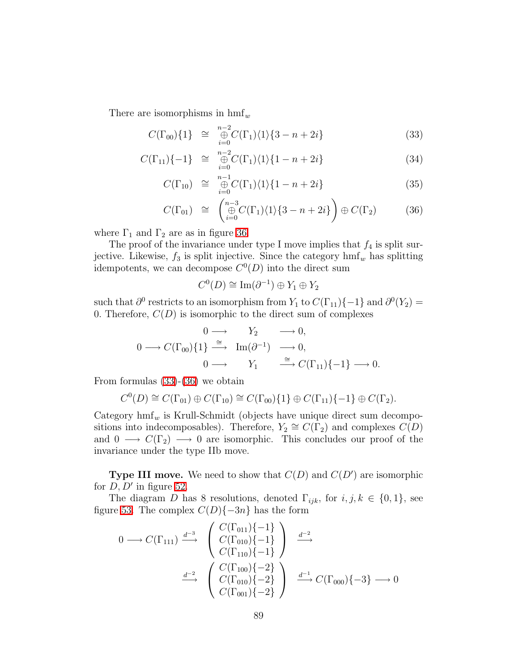<span id="page-88-0"></span>There are isomorphisms in  $\text{hmf}_w$ 

$$
C(\Gamma_{00})\{1\} \cong \bigoplus_{i=0}^{n-2} C(\Gamma_1)\langle1\rangle\{3-n+2i\} \tag{33}
$$

$$
C(\Gamma_{11})\{-1\} \cong \bigoplus_{i=0}^{n-2} C(\Gamma_1)\langle 1\rangle \{1-n+2i\} \tag{34}
$$

$$
C(\Gamma_{10}) \cong \bigoplus_{i=0}^{n-1} C(\Gamma_1) \langle 1 \rangle \{1 - n + 2i\} \tag{35}
$$

$$
C(\Gamma_{01}) \cong \left( \bigoplus_{i=0}^{n-3} C(\Gamma_1) \langle 1 \rangle \{3-n+2i\} \right) \oplus C(\Gamma_2) \tag{36}
$$

where  $\Gamma_1$  and  $\Gamma_2$  are as in figure [36.](#page-56-0)

The proof of the invariance under type I move implies that  $f_4$  is split surjective. Likewise,  $f_3$  is split injective. Since the category  $\text{hmf}_w$  has splitting idempotents, we can decompose  $C^0(D)$  into the direct sum

$$
C^0(D) \cong \operatorname{Im}(\partial^{-1}) \oplus Y_1 \oplus Y_2
$$

such that  $\partial^0$  restricts to an isomorphism from  $Y_1$  to  $C(\Gamma_{11})\{-1\}$  and  $\partial^0(Y_2)$  = 0. Therefore,  $C(D)$  is isomorphic to the direct sum of complexes

$$
\begin{array}{cccc}\n & 0 \longrightarrow & Y_2 & \longrightarrow 0, \\
0 \longrightarrow C(\Gamma_{00})\{1\} \xrightarrow{\cong} & \text{Im}(\partial^{-1}) & \longrightarrow 0, \\
 & 0 \longrightarrow & Y_1 & \xrightarrow{\cong} C(\Gamma_{11})\{-1\} \longrightarrow 0.\n\end{array}
$$

From formulas [\(33\)](#page-88-0)-[\(36\)](#page-88-0) we obtain

$$
C^0(D) \cong C(\Gamma_{01}) \oplus C(\Gamma_{10}) \cong C(\Gamma_{00})\{1\} \oplus C(\Gamma_{11})\{-1\} \oplus C(\Gamma_2).
$$

Category  $hmf_w$  is Krull-Schmidt (objects have unique direct sum decompositions into indecomposables). Therefore,  $Y_2 \cong C(\Gamma_2)$  and complexes  $C(D)$ and  $0 \longrightarrow C(\Gamma_2) \longrightarrow 0$  are isomorphic. This concludes our proof of the invariance under the type IIb move.

**Type III move.** We need to show that  $C(D)$  and  $C(D')$  are isomorphic for  $D, D'$  in figure [52.](#page-89-0)

The diagram D has 8 resolutions, denoted  $\Gamma_{ijk}$ , for  $i, j, k \in \{0, 1\}$ , see figure [53.](#page-90-0) The complex  $C(D){-3n}$  has the form

$$
0 \longrightarrow C(\Gamma_{111}) \stackrel{d^{-3}}{\longrightarrow} \begin{pmatrix} C(\Gamma_{011})\{-1\} \\ C(\Gamma_{010})\{-1\} \\ C(\Gamma_{110})\{-1\} \end{pmatrix} \stackrel{d^{-2}}{\longrightarrow}
$$

$$
\stackrel{d^{-2}}{\longrightarrow} \begin{pmatrix} C(\Gamma_{100})\{-2\} \\ C(\Gamma_{010})\{-2\} \\ C(\Gamma_{001})\{-2\} \end{pmatrix} \stackrel{d^{-1}}{\longrightarrow} C(\Gamma_{000})\{-3\} \longrightarrow 0
$$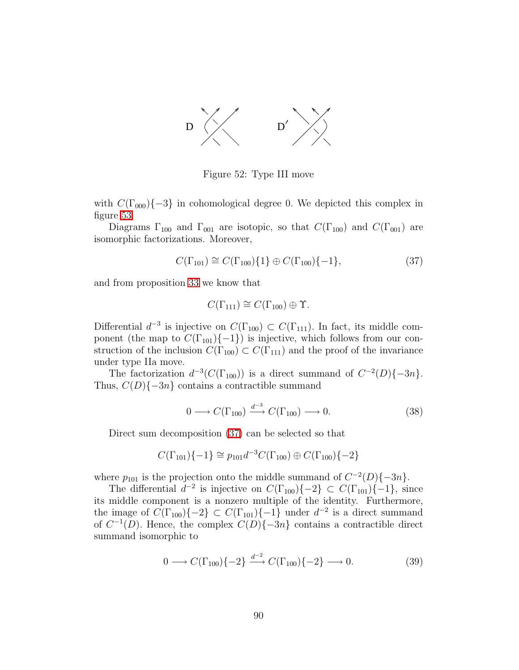

<span id="page-89-0"></span>Figure 52: Type III move

with  $C(\Gamma_{000})\{-3\}$  in cohomological degree 0. We depicted this complex in figure [53.](#page-90-0)

Diagrams  $\Gamma_{100}$  and  $\Gamma_{001}$  are isotopic, so that  $C(\Gamma_{100})$  and  $C(\Gamma_{001})$  are isomorphic factorizations. Moreover,

<span id="page-89-1"></span>
$$
C(\Gamma_{101}) \cong C(\Gamma_{100})\{1\} \oplus C(\Gamma_{100})\{-1\},\tag{37}
$$

and from proposition [33](#page-64-0) we know that

$$
C(\Gamma_{111}) \cong C(\Gamma_{100}) \oplus \Upsilon.
$$

Differential  $d^{-3}$  is injective on  $C(\Gamma_{100}) \subset C(\Gamma_{111})$ . In fact, its middle component (the map to  $C(\Gamma_{101})\{-1\}$ ) is injective, which follows from our construction of the inclusion  $C(\Gamma_{100}) \subset C(\Gamma_{111})$  and the proof of the invariance under type IIa move.

The factorization  $d^{-3}(C(\Gamma_{100}))$  is a direct summand of  $C^{-2}(D)\{-3n\}$ . Thus,  $C(D){-3n}$  contains a contractible summand

<span id="page-89-2"></span>
$$
0 \longrightarrow C(\Gamma_{100}) \xrightarrow{d^{-3}} C(\Gamma_{100}) \longrightarrow 0. \tag{38}
$$

Direct sum decomposition [\(37\)](#page-89-1) can be selected so that

$$
C(\Gamma_{101})\{-1\} \cong p_{101}d^{-3}C(\Gamma_{100}) \oplus C(\Gamma_{100})\{-2\}
$$

where  $p_{101}$  is the projection onto the middle summand of  $C^{-2}(D)\{-3n\}$ .

The differential  $d^{-2}$  is injective on  $C(\Gamma_{100})\{-2\} \subset C(\Gamma_{101})\{-1\}$ , since its middle component is a nonzero multiple of the identity. Furthermore, the image of  $C(\Gamma_{100})\{-2\} \subset C(\Gamma_{101})\{-1\}$  under  $d^{-2}$  is a direct summand of  $C^{-1}(D)$ . Hence, the complex  $C(D)\{-3n\}$  contains a contractible direct summand isomorphic to

<span id="page-89-3"></span>
$$
0 \longrightarrow C(\Gamma_{100})\{-2\} \xrightarrow{d^{-2}} C(\Gamma_{100})\{-2\} \longrightarrow 0. \tag{39}
$$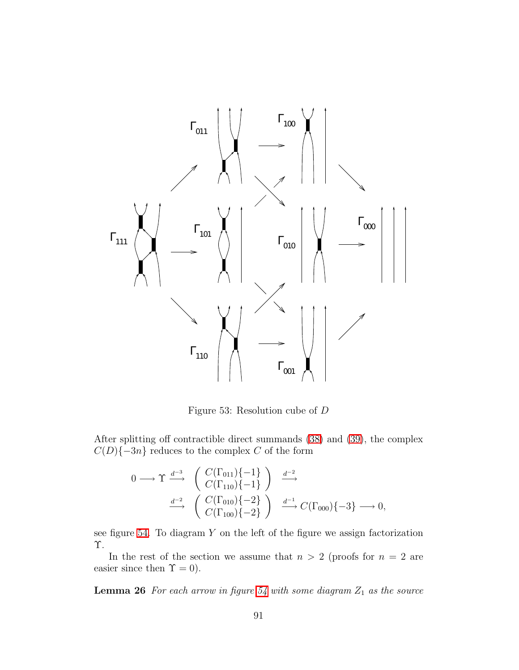

<span id="page-90-0"></span>Figure 53: Resolution cube of D

After splitting off contractible direct summands [\(38\)](#page-89-2) and [\(39\)](#page-89-3), the complex  $C(D){-3n}$  reduces to the complex C of the form

$$
0 \longrightarrow \Upsilon \stackrel{d^{-3}}{\longrightarrow} \begin{pmatrix} C(\Gamma_{011})\{-1\} \\ C(\Gamma_{110})\{-1\} \end{pmatrix} \stackrel{d^{-2}}{\longrightarrow} \\ \stackrel{d^{-2}}{\longrightarrow} \begin{pmatrix} C(\Gamma_{010})\{-2\} \\ C(\Gamma_{100})\{-2\} \end{pmatrix} \stackrel{d^{-1}}{\longrightarrow} C(\Gamma_{000})\{-3\} \longrightarrow 0,
$$

see figure [54.](#page-91-0) To diagram  $Y$  on the left of the figure we assign factorization Υ.

In the rest of the section we assume that  $n > 2$  (proofs for  $n = 2$  are easier since then  $\Upsilon = 0$ ).

**Lemma 26** For each arrow in figure  $54$  with some diagram  $Z_1$  as the source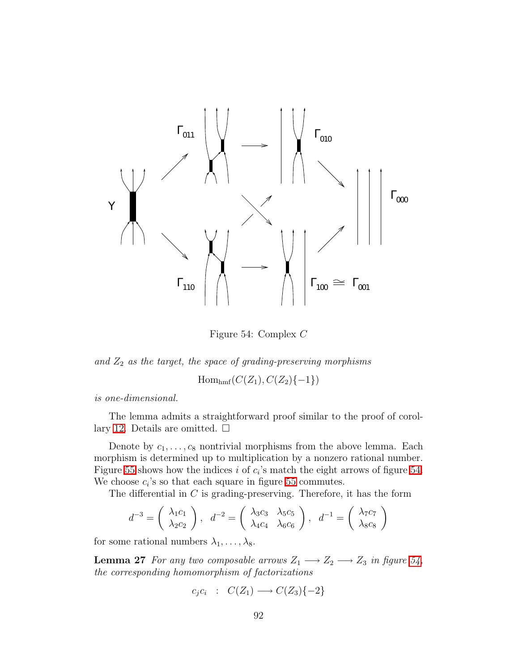

<span id="page-91-0"></span>Figure 54: Complex C

and  $Z_2$  *as the target, the space of grading-preserving morphisms* 

 $Hom_{hmf}(C(Z_1), C(Z_2)\{-1\})$ 

*is one-dimensional.*

The lemma admits a straightforward proof similar to the proof of corol-lary [12.](#page-60-0) Details are omitted.  $\square$ 

Denote by  $c_1, \ldots, c_8$  nontrivial morphisms from the above lemma. Each morphism is determined up to multiplication by a nonzero rational number. Figure [55](#page-92-0) shows how the indices i of  $c_i$ 's match the eight arrows of figure [54.](#page-91-0) We choose  $c_i$ 's so that each square in figure [55](#page-92-0) commutes.

The differential in  $C$  is grading-preserving. Therefore, it has the form

$$
d^{-3} = \begin{pmatrix} \lambda_1 c_1 \\ \lambda_2 c_2 \end{pmatrix}, d^{-2} = \begin{pmatrix} \lambda_3 c_3 & \lambda_5 c_5 \\ \lambda_4 c_4 & \lambda_6 c_6 \end{pmatrix}, d^{-1} = \begin{pmatrix} \lambda_7 c_7 \\ \lambda_8 c_8 \end{pmatrix}
$$

for some rational numbers  $\lambda_1, \ldots, \lambda_8$ .

**Lemma 27** *For any two composable arrows*  $Z_1 \longrightarrow Z_2 \longrightarrow Z_3$  *in figure* [54,](#page-91-0) *the corresponding homomorphism of factorizations*

$$
c_j c_i : C(Z_1) \longrightarrow C(Z_3) \{-2\}
$$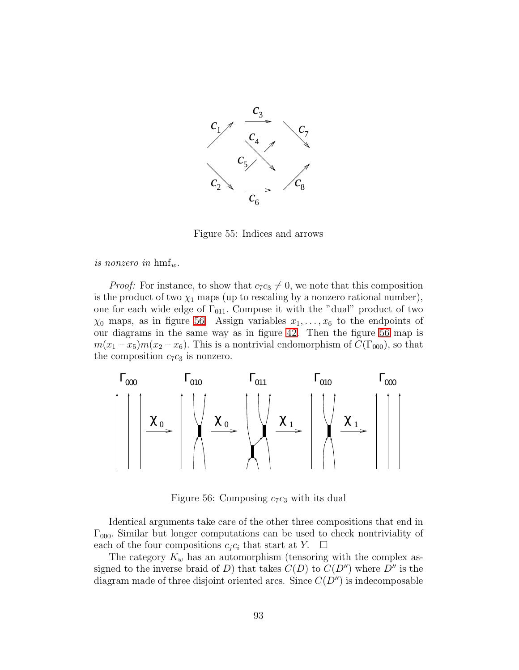

<span id="page-92-0"></span>Figure 55: Indices and arrows

*is nonzero in*  $\text{hmf}_w$ .

*Proof:* For instance, to show that  $c_7c_3 \neq 0$ , we note that this composition is the product of two  $\chi_1$  maps (up to rescaling by a nonzero rational number), one for each wide edge of  $\Gamma_{011}$ . Compose it with the "dual" product of two  $\chi_0$  maps, as in figure [56.](#page-92-1) Assign variables  $x_1, \ldots, x_6$  to the endpoints of our diagrams in the same way as in figure [42.](#page-66-0) Then the figure [56](#page-92-1) map is  $m(x_1 - x_5)m(x_2 - x_6)$ . This is a nontrivial endomorphism of  $C(\Gamma_{000})$ , so that the composition  $c_7c_3$  is nonzero.



<span id="page-92-1"></span>Figure 56: Composing  $c_7c_3$  with its dual

Identical arguments take care of the other three compositions that end in  $\Gamma_{000}$ . Similar but longer computations can be used to check nontriviality of each of the four compositions  $c_i c_i$  that start at Y.  $\Box$ 

The category  $K_w$  has an automorphism (tensoring with the complex assigned to the inverse braid of D) that takes  $C(D)$  to  $C(D'')$  where  $D''$  is the diagram made of three disjoint oriented arcs. Since  $C(D'')$  is indecomposable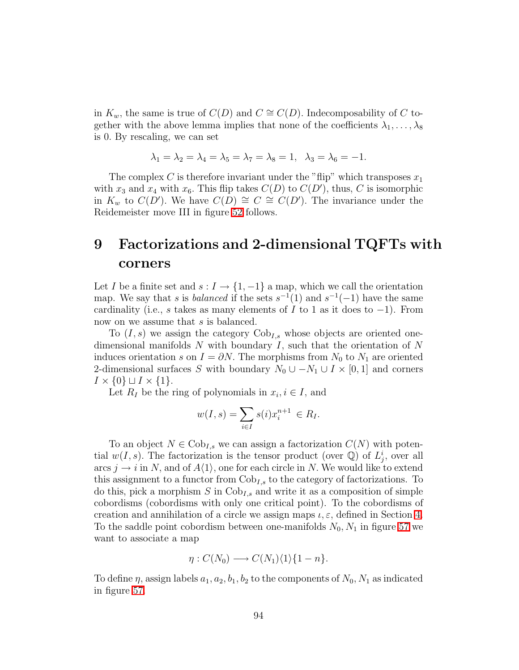in  $K_w$ , the same is true of  $C(D)$  and  $C \cong C(D)$ . Indecomposability of C together with the above lemma implies that none of the coefficients  $\lambda_1, \ldots, \lambda_8$ is 0. By rescaling, we can set

$$
\lambda_1=\lambda_2=\lambda_4=\lambda_5=\lambda_7=\lambda_8=1,\ \ \lambda_3=\lambda_6=-1.
$$

The complex C is therefore invariant under the "flip" which transposes  $x_1$ with  $x_3$  and  $x_4$  with  $x_6$ . This flip takes  $C(D)$  to  $C(D')$ , thus, C is isomorphic in  $K_w$  to  $C(D')$ . We have  $C(D) \cong C \cong C(D')$ . The invariance under the Reidemeister move III in figure [52](#page-89-0) follows.

## <span id="page-93-0"></span>9 Factorizations and 2-dimensional TQFTs with corners

Let I be a finite set and  $s: I \to \{1, -1\}$  a map, which we call the orientation map. We say that s is *balanced* if the sets  $s^{-1}(1)$  and  $s^{-1}(-1)$  have the same cardinality (i.e., s takes as many elements of I to 1 as it does to  $-1$ ). From now on we assume that s is balanced.

To  $(I, s)$  we assign the category  $Cob_{I,s}$  whose objects are oriented onedimensional manifolds  $N$  with boundary  $I$ , such that the orientation of  $N$ induces orientation s on  $I = \partial N$ . The morphisms from  $N_0$  to  $N_1$  are oriented 2-dimensional surfaces S with boundary  $N_0 \cup -N_1 \cup I \times [0,1]$  and corners  $I \times \{0\} \sqcup I \times \{1\}.$ 

Let  $R_I$  be the ring of polynomials in  $x_i, i \in I$ , and

$$
w(I,s) = \sum_{i \in I} s(i)x_i^{n+1} \in R_I.
$$

To an object  $N \in \text{Cob}_{I,s}$  we can assign a factorization  $C(N)$  with potential  $w(I, s)$ . The factorization is the tensor product (over  $\mathbb{Q}$ ) of  $L_j^i$ , over all arcs  $j \rightarrow i$  in N, and of  $A\langle 1 \rangle$ , one for each circle in N. We would like to extend this assignment to a functor from  $Cob_{I,s}$  to the category of factorizations. To do this, pick a morphism  $S$  in  $Cob_{I,s}$  and write it as a composition of simple cobordisms (cobordisms with only one critical point). To the cobordisms of creation and annihilation of a circle we assign maps  $\iota, \varepsilon$ , defined in Section [4.](#page-27-0) To the saddle point cobordism between one-manifolds  $N_0$ ,  $N_1$  in figure [57](#page-94-0) we want to associate a map

$$
\eta: C(N_0) \longrightarrow C(N_1)\langle 1\rangle \{1-n\}.
$$

To define  $\eta$ , assign labels  $a_1, a_2, b_1, b_2$  to the components of  $N_0, N_1$  as indicated in figure [57.](#page-94-0)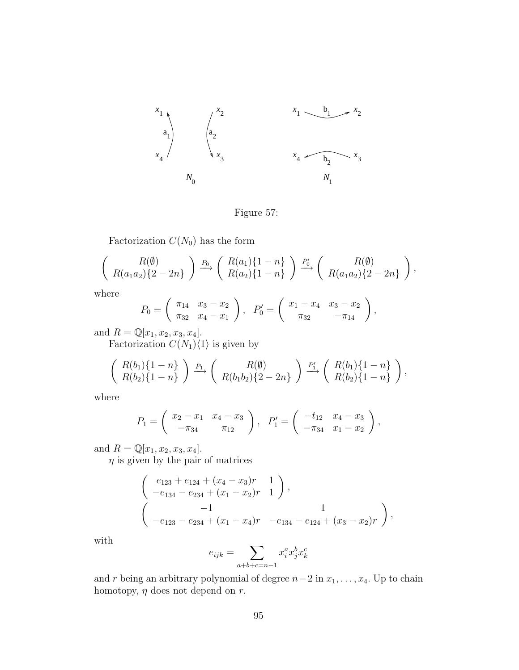

<span id="page-94-0"></span>Figure 57:

Factorization  $C(N_0)$  has the form

$$
\left(R(a_1a_2)\{2-2n\}\right) \xrightarrow{P_0} \left(R(a_1)\{1-n\}\right) \xrightarrow{P'_0} \left(R(a_1a_2)\{2-2n\}\right),
$$

where

$$
P_0 = \begin{pmatrix} \pi_{14} & x_3 - x_2 \\ \pi_{32} & x_4 - x_1 \end{pmatrix}, \quad P'_0 = \begin{pmatrix} x_1 - x_4 & x_3 - x_2 \\ \pi_{32} & -\pi_{14} \end{pmatrix},
$$

and  $R = \mathbb{Q}[x_1, x_2, x_3, x_4]$ .

Factorization  $C(N_1)\langle 1\rangle$  is given by

$$
\left(\begin{array}{c}R(b_1)\{1-n\}\\R(b_2)\{1-n\}\end{array}\right)\xrightarrow{P_1}\left(\begin{array}{c}R(\emptyset)\\R(b_1b_2)\{2-2n\}\end{array}\right)\xrightarrow{P'_1}\left(\begin{array}{c}R(b_1)\{1-n\}\\R(b_2)\{1-n\}\end{array}\right),
$$

where

$$
P_1 = \begin{pmatrix} x_2 - x_1 & x_4 - x_3 \ -\pi_{34} & \pi_{12} \end{pmatrix}, \quad P_1' = \begin{pmatrix} -t_{12} & x_4 - x_3 \ -\pi_{34} & x_1 - x_2 \end{pmatrix},
$$

and  $R = \mathbb{Q}[x_1, x_2, x_3, x_4]$ .

 $\eta$  is given by the pair of matrices

$$
\begin{pmatrix}\ne_{123} + e_{124} + (x_4 - x_3)r & 1 \\
-e_{134} - e_{234} + (x_1 - x_2)r & 1\n\end{pmatrix},
$$
\n
$$
\begin{pmatrix}\n-1 & 1 \\
-e_{123} - e_{234} + (x_1 - x_4)r & -e_{134} - e_{124} + (x_3 - x_2)r\n\end{pmatrix},
$$

with

$$
e_{ijk} = \sum_{a+b+c=n-1} x_i^a x_j^b x_k^c
$$

and r being an arbitrary polynomial of degree  $n-2$  in  $x_1, \ldots, x_4$ . Up to chain homotopy,  $\eta$  does not depend on  $r$ .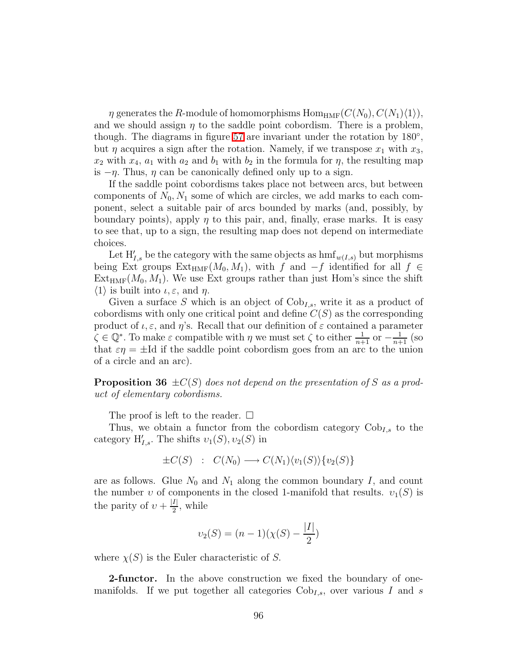$\eta$  generates the R-module of homomorphisms Hom<sub>HMF</sub>( $C(N_0), C(N_1)\langle 1\rangle$ ), and we should assign  $\eta$  to the saddle point cobordism. There is a problem, though. The diagrams in figure [57](#page-94-0) are invariant under the rotation by 180<sup>°</sup>, but  $\eta$  acquires a sign after the rotation. Namely, if we transpose  $x_1$  with  $x_3$ ,  $x_2$  with  $x_4$ ,  $a_1$  with  $a_2$  and  $b_1$  with  $b_2$  in the formula for  $\eta$ , the resulting map is  $-\eta$ . Thus,  $\eta$  can be canonically defined only up to a sign.

If the saddle point cobordisms takes place not between arcs, but between components of  $N_0$ ,  $N_1$  some of which are circles, we add marks to each component, select a suitable pair of arcs bounded by marks (and, possibly, by boundary points), apply  $\eta$  to this pair, and, finally, erase marks. It is easy to see that, up to a sign, the resulting map does not depend on intermediate choices.

Let  $H'_{I,s}$  be the category with the same objects as  $\text{hmf}_{w(I,s)}$  but morphisms being Ext groups  $Ext_{HMF}(M_0, M_1)$ , with f and  $-f$  identified for all  $f \in$  $Ext_{HMF}(M_0, M_1)$ . We use Ext groups rather than just Hom's since the shift  $\langle 1 \rangle$  is built into  $\iota, \varepsilon$ , and  $\eta$ .

Given a surface S which is an object of  $Cob_{I,s}$ , write it as a product of cobordisms with only one critical point and define  $C(S)$  as the corresponding product of  $\iota, \varepsilon$ , and  $\eta$ 's. Recall that our definition of  $\varepsilon$  contained a parameter  $\zeta \in \mathbb{Q}^*$ . To make  $\varepsilon$  compatible with  $\eta$  we must set  $\zeta$  to either  $\frac{1}{n+1}$  or  $-\frac{1}{n+1}$  (so that  $\varepsilon \eta = \pm \text{Id}$  if the saddle point cobordism goes from an arc to the union of a circle and an arc).

**Proposition 36**  $\pm C(S)$  *does not depend on the presentation of* S *as a product of elementary cobordisms.*

The proof is left to the reader.  $\square$ 

Thus, we obtain a functor from the cobordism category  $Cob_{I,s}$  to the category  $H'_{I,s}$ . The shifts  $v_1(S), v_2(S)$  in

$$
\pm C(S) : C(N_0) \longrightarrow C(N_1)\langle v_1(S)\rangle \{v_2(S)\}
$$

are as follows. Glue  $N_0$  and  $N_1$  along the common boundary I, and count the number v of components in the closed 1-manifold that results.  $v_1(S)$  is the parity of  $v + \frac{|I|}{2}$  $\frac{I}{2}$ , while

$$
\upsilon_2(S) = (n-1)(\chi(S) - \frac{|I|}{2})
$$

where  $\chi(S)$  is the Euler characteristic of S.

2-functor. In the above construction we fixed the boundary of onemanifolds. If we put together all categories  $Cob_{I,s}$ , over various I and s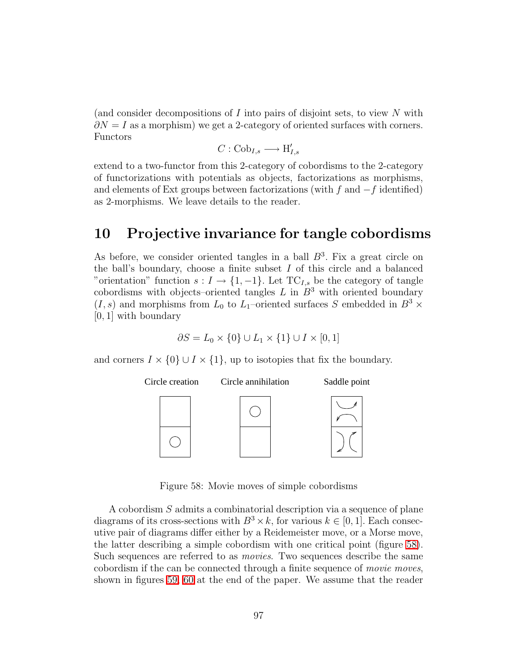(and consider decompositions of  $I$  into pairs of disjoint sets, to view  $N$  with  $\partial N = I$  as a morphism) we get a 2-category of oriented surfaces with corners. Functors

$$
C: {\rm Cob}_{I,s} \longrightarrow {\rm H}'_{I,s}
$$

extend to a two-functor from this 2-category of cobordisms to the 2-category of functorizations with potentials as objects, factorizations as morphisms, and elements of Ext groups between factorizations (with f and  $-f$  identified) as 2-morphisms. We leave details to the reader.

## 10 Projective invariance for tangle cobordisms

As before, we consider oriented tangles in a ball  $B^3$ . Fix a great circle on the ball's boundary, choose a finite subset  $I$  of this circle and a balanced "orientation" function  $s: I \to \{1, -1\}$ . Let TC<sub>I,s</sub> be the category of tangle cobordisms with objects–oriented tangles  $L$  in  $B^3$  with oriented boundary  $(I, s)$  and morphisms from  $L_0$  to  $L_1$ –oriented surfaces S embedded in  $B^3$  × [0, 1] with boundary

$$
\partial S = L_0 \times \{0\} \cup L_1 \times \{1\} \cup I \times [0,1]
$$

and corners  $I \times \{0\} \cup I \times \{1\}$ , up to isotopies that fix the boundary.



<span id="page-96-0"></span>Figure 58: Movie moves of simple cobordisms

A cobordism S admits a combinatorial description via a sequence of plane diagrams of its cross-sections with  $B^3 \times k$ , for various  $k \in [0, 1]$ . Each consecutive pair of diagrams differ either by a Reidemeister move, or a Morse move, the latter describing a simple cobordism with one critical point (figure [58\)](#page-96-0). Such sequences are referred to as *movies*. Two sequences describe the same cobordism if the can be connected through a finite sequence of *movie moves*, shown in figures [59,](#page-105-0) [60](#page-106-0) at the end of the paper. We assume that the reader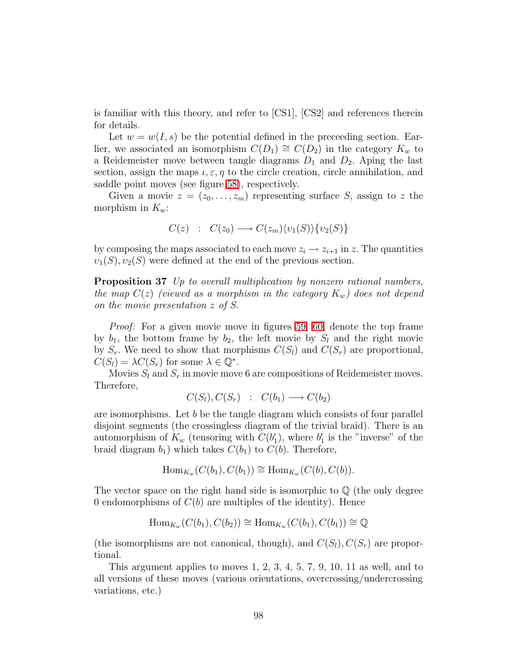is familiar with this theory, and refer to [CS1], [CS2] and references therein for details.

Let  $w = w(I, s)$  be the potential defined in the preceeding section. Earlier, we associated an isomorphism  $C(D_1) \cong C(D_2)$  in the category  $K_w$  to a Reidemeister move between tangle diagrams  $D_1$  and  $D_2$ . Aping the last section, assign the maps  $\iota, \varepsilon, \eta$  to the circle creation, circle annihilation, and saddle point moves (see figure [58\)](#page-96-0), respectively.

Given a movie  $z = (z_0, \ldots, z_m)$  representing surface S, assign to z the morphism in  $K_w$ :

$$
C(z) : C(z_0) \longrightarrow C(z_m) \langle v_1(S) \rangle \{v_2(S)\}
$$

<span id="page-97-0"></span>by composing the maps associated to each move  $z_i \rightarrow z_{i+1}$  in z. The quantities  $v_1(S), v_2(S)$  were defined at the end of the previous section.

Proposition 37 *Up to overall multiplication by nonzero rational numbers, the map*  $C(z)$  (viewed as a morphism in the category  $K_w$ ) does not depend *on the movie presentation* z *of* S.

*Proof:* For a given movie move in figures [59,](#page-105-0) [60,](#page-106-0) denote the top frame by  $b_1$ , the bottom frame by  $b_2$ , the left movie by  $S_l$  and the right movie by  $S_r$ . We need to show that morphisms  $C(S_l)$  and  $C(S_r)$  are proportional,  $C(S_l) = \lambda C(S_r)$  for some  $\lambda \in \mathbb{Q}^*$ .

Movies  $S_l$  and  $S_r$  in movie move 6 are compositions of Reidemeister moves. Therefore,

$$
C(S_l), C(S_r) : C(b_1) \longrightarrow C(b_2)
$$

are isomorphisms. Let  $b$  be the tangle diagram which consists of four parallel disjoint segments (the crossingless diagram of the trivial braid). There is an automorphism of  $K_w$  (tensoring with  $C(b'_1)$ , where  $b'_1$  is the "inverse" of the braid diagram  $b_1$ ) which takes  $C(b_1)$  to  $C(b)$ . Therefore,

$$
\operatorname{Hom}_{K_w}(C(b_1), C(b_1)) \cong \operatorname{Hom}_{K_w}(C(b), C(b)).
$$

The vector space on the right hand side is isomorphic to  $\mathbb Q$  (the only degree 0 endomorphisms of  $C(b)$  are multiples of the identity). Hence

$$
\operatorname{Hom}_{K_w}(C(b_1), C(b_2)) \cong \operatorname{Hom}_{K_w}(C(b_1), C(b_1)) \cong \mathbb{Q}
$$

(the isomorphisms are not canonical, though), and  $C(S_l)$ ,  $C(S_r)$  are proportional.

This argument applies to moves 1, 2, 3, 4, 5, 7, 9, 10, 11 as well, and to all versions of these moves (various orientations, overcrossing/undercrossing variations, etc.)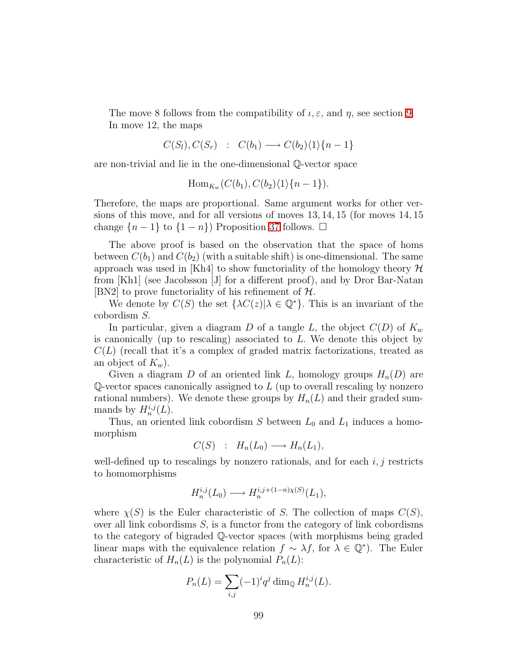The move 8 follows from the compatibility of  $\iota, \varepsilon$ , and  $\eta$ , see section [9.](#page-93-0) In move 12, the maps

$$
C(S_l), C(S_r) : C(b_1) \longrightarrow C(b_2)\langle 1 \rangle \{n-1\}
$$

are non-trivial and lie in the one-dimensional Q-vector space

$$
\operatorname{Hom}_{K_w}(C(b_1), C(b_2)\langle 1\rangle \{n-1\}).
$$

Therefore, the maps are proportional. Same argument works for other versions of this move, and for all versions of moves 13, 14, 15 (for moves 14, 15 change  $\{n-1\}$  to  $\{1-n\}$ ) Proposition [37](#page-97-0) follows.  $\square$ 

The above proof is based on the observation that the space of homs between  $C(b_1)$  and  $C(b_2)$  (with a suitable shift) is one-dimensional. The same approach was used in [Kh4] to show functoriality of the homology theory  $\mathcal H$ from [Kh1] (see Jacobsson [J] for a different proof), and by Dror Bar-Natan [BN2] to prove functoriality of his refinement of  $H$ .

We denote by  $C(S)$  the set  $\{\lambda C(z)|\lambda \in \mathbb{Q}^*\}$ . This is an invariant of the cobordism S.

In particular, given a diagram D of a tangle L, the object  $C(D)$  of  $K_w$ is canonically (up to rescaling) associated to  $L$ . We denote this object by  $C(L)$  (recall that it's a complex of graded matrix factorizations, treated as an object of  $K_w$ ).

Given a diagram D of an oriented link L, homology groups  $H_n(D)$  are Q-vector spaces canonically assigned to  $L$  (up to overall rescaling by nonzero rational numbers). We denote these groups by  $H_n(L)$  and their graded summands by  $H_n^{i,j}(L)$ .

Thus, an oriented link cobordism  $S$  between  $L_0$  and  $L_1$  induces a homomorphism

$$
C(S) : H_n(L_0) \longrightarrow H_n(L_1),
$$

well-defined up to rescalings by nonzero rationals, and for each  $i, j$  restricts to homomorphisms

$$
H_n^{i,j}(L_0) \longrightarrow H_n^{i,j+(1-n)\chi(S)}(L_1),
$$

where  $\chi(S)$  is the Euler characteristic of S. The collection of maps  $C(S)$ , over all link cobordisms S, is a functor from the category of link cobordisms to the category of bigraded Q-vector spaces (with morphisms being graded linear maps with the equivalence relation  $f \sim \lambda f$ , for  $\lambda \in \mathbb{Q}^*$ ). The Euler characteristic of  $H_n(L)$  is the polynomial  $P_n(L)$ :

$$
P_n(L) = \sum_{i,j} (-1)^i q^j \dim_{\mathbb{Q}} H_n^{i,j}(L).
$$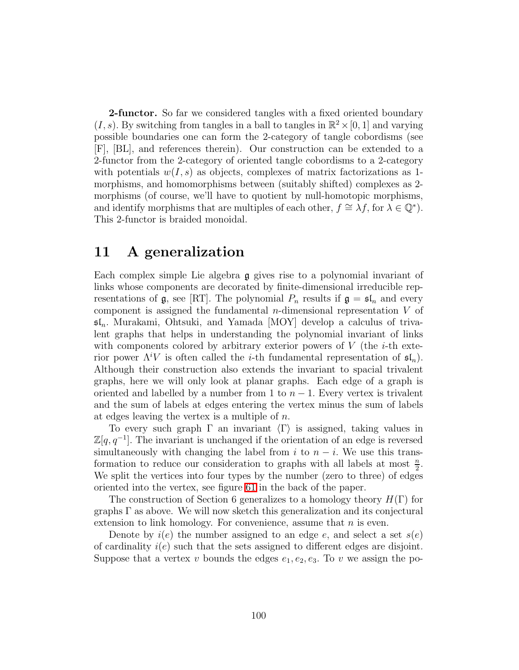**2-functor.** So far we considered tangles with a fixed oriented boundary  $(I, s)$ . By switching from tangles in a ball to tangles in  $\mathbb{R}^2 \times [0, 1]$  and varying possible boundaries one can form the 2-category of tangle cobordisms (see [F], [BL], and references therein). Our construction can be extended to a 2-functor from the 2-category of oriented tangle cobordisms to a 2-category with potentials  $w(I, s)$  as objects, complexes of matrix factorizations as 1morphisms, and homomorphisms between (suitably shifted) complexes as 2 morphisms (of course, we'll have to quotient by null-homotopic morphisms, and identify morphisms that are multiples of each other,  $f \cong \lambda f$ , for  $\lambda \in \mathbb{Q}^*$ ). This 2-functor is braided monoidal.

## 11 A generalization

Each complex simple Lie algebra g gives rise to a polynomial invariant of links whose components are decorated by finite-dimensional irreducible representations of  $\mathfrak{g}$ , see [RT]. The polynomial  $P_n$  results if  $\mathfrak{g} = \mathfrak{sl}_n$  and every component is assigned the fundamental *n*-dimensional representation  $V$  of  $\mathfrak{sl}_n$ . Murakami, Ohtsuki, and Yamada [MOY] develop a calculus of trivalent graphs that helps in understanding the polynomial invariant of links with components colored by arbitrary exterior powers of  $V$  (the *i*-th exterior power  $\Lambda^i V$  is often called the *i*-th fundamental representation of  $\mathfrak{sl}_n$ ). Although their construction also extends the invariant to spacial trivalent graphs, here we will only look at planar graphs. Each edge of a graph is oriented and labelled by a number from 1 to  $n-1$ . Every vertex is trivalent and the sum of labels at edges entering the vertex minus the sum of labels at edges leaving the vertex is a multiple of n.

To every such graph  $\Gamma$  an invariant  $\langle \Gamma \rangle$  is assigned, taking values in  $\mathbb{Z}[q, q^{-1}]$ . The invariant is unchanged if the orientation of an edge is reversed simultaneously with changing the label from i to  $n - i$ . We use this transformation to reduce our consideration to graphs with all labels at most  $\frac{n}{2}$ . We split the vertices into four types by the number (zero to three) of edges oriented into the vertex, see figure [61](#page-107-0) in the back of the paper.

The construction of Section 6 generalizes to a homology theory  $H(\Gamma)$  for graphs Γ as above. We will now sketch this generalization and its conjectural extension to link homology. For convenience, assume that  $n$  is even.

Denote by  $i(e)$  the number assigned to an edge e, and select a set  $s(e)$ of cardinality  $i(e)$  such that the sets assigned to different edges are disjoint. Suppose that a vertex v bounds the edges  $e_1, e_2, e_3$ . To v we assign the po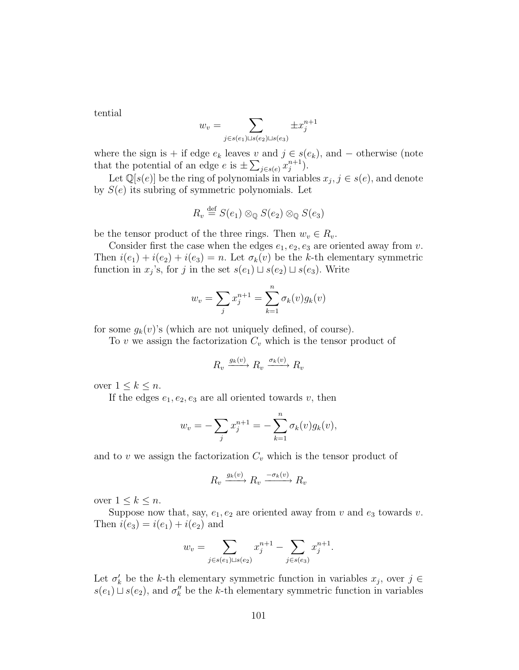tential

$$
w_v = \sum_{j \in s(e_1) \sqcup s(e_2) \sqcup s(e_3)} \pm x_j^{n+1}
$$

where the sign is + if edge  $e_k$  leaves v and  $j \in s(e_k)$ , and  $-$  otherwise (note that the potential of an edge  $e$  is  $\pm \sum_{j \in s(e)} x_j^{n+1}$  $\binom{n+1}{j}$ .

Let  $\mathbb{Q}[s(e)]$  be the ring of polynomials in variables  $x_j, j \in s(e)$ , and denote by  $S(e)$  its subring of symmetric polynomials. Let

$$
R_v \stackrel{\text{def}}{=} S(e_1) \otimes_{\mathbb{Q}} S(e_2) \otimes_{\mathbb{Q}} S(e_3)
$$

be the tensor product of the three rings. Then  $w_v \in R_v$ .

Consider first the case when the edges  $e_1, e_2, e_3$  are oriented away from v. Then  $i(e_1) + i(e_2) + i(e_3) = n$ . Let  $\sigma_k(v)$  be the k-th elementary symmetric function in  $x_j$ 's, for j in the set  $s(e_1) \sqcup s(e_2) \sqcup s(e_3)$ . Write

$$
w_v = \sum_j x_j^{n+1} = \sum_{k=1}^n \sigma_k(v) g_k(v)
$$

for some  $g_k(v)$ 's (which are not uniquely defined, of course).

To v we assign the factorization  $C_v$  which is the tensor product of

$$
R_v \xrightarrow{g_k(v)} R_v \xrightarrow{\sigma_k(v)} R_v
$$

over  $1 \leq k \leq n$ .

If the edges  $e_1, e_2, e_3$  are all oriented towards v, then

$$
w_v = -\sum_j x_j^{n+1} = -\sum_{k=1}^n \sigma_k(v) g_k(v),
$$

and to v we assign the factorization  $C_v$  which is the tensor product of

$$
R_v \xrightarrow{g_k(v)} R_v \xrightarrow{-\sigma_k(v)} R_v
$$

over  $1 \leq k \leq n$ .

Suppose now that, say,  $e_1, e_2$  are oriented away from v and  $e_3$  towards v. Then  $i(e_3) = i(e_1) + i(e_2)$  and

$$
w_v = \sum_{j \in s(e_1) \sqcup s(e_2)} x_j^{n+1} - \sum_{j \in s(e_3)} x_j^{n+1}.
$$

Let  $\sigma'_k$  be the k-th elementary symmetric function in variables  $x_j$ , over  $j \in$  $s(e_1) \sqcup s(e_2)$ , and  $\sigma''_k$  be the k-th elementary symmetric function in variables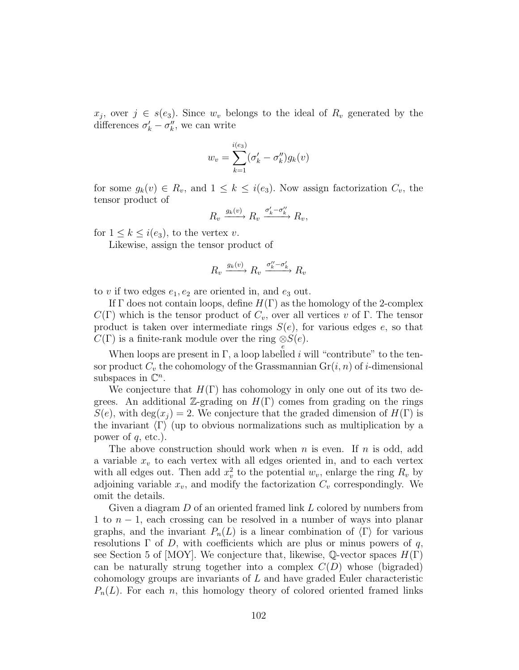$x_j$ , over  $j \in s(e_3)$ . Since  $w_v$  belongs to the ideal of  $R_v$  generated by the differences  $\sigma'_k - \sigma''_k$ , we can write

$$
w_v = \sum_{k=1}^{i(e_3)} (\sigma'_k - \sigma''_k) g_k(v)
$$

for some  $g_k(v) \in R_v$ , and  $1 \leq k \leq i(e_3)$ . Now assign factorization  $C_v$ , the tensor product of

$$
R_v \xrightarrow{g_k(v)} R_v \xrightarrow{\sigma'_k - \sigma''_k} R_v,
$$

for  $1 \leq k \leq i(e_3)$ , to the vertex v.

Likewise, assign the tensor product of

$$
R_v \xrightarrow{g_k(v)} R_v \xrightarrow{\sigma_k'' - \sigma_k'}
$$
  $R_v$ 

to v if two edges  $e_1, e_2$  are oriented in, and  $e_3$  out.

If  $\Gamma$  does not contain loops, define  $H(\Gamma)$  as the homology of the 2-complex  $C(\Gamma)$  which is the tensor product of  $C_v$ , over all vertices v of  $\Gamma$ . The tensor product is taken over intermediate rings  $S(e)$ , for various edges e, so that  $C(\Gamma)$  is a finite-rank module over the ring  $\underset{e}{\otimes} S(e)$ .

When loops are present in  $\Gamma$ , a loop labelled *i* will "contribute" to the tensor product  $C_v$  the cohomology of the Grassmannian  $Gr(i, n)$  of *i*-dimensional subspaces in  $\mathbb{C}^n$ .

We conjecture that  $H(\Gamma)$  has cohomology in only one out of its two degrees. An additional Z-grading on  $H(\Gamma)$  comes from grading on the rings  $S(e)$ , with deg( $x_i$ ) = 2. We conjecture that the graded dimension of  $H(\Gamma)$  is the invariant  $\langle \Gamma \rangle$  (up to obvious normalizations such as multiplication by a power of  $q$ , etc.).

The above construction should work when  $n$  is even. If  $n$  is odd, add a variable  $x_v$  to each vertex with all edges oriented in, and to each vertex with all edges out. Then add  $x_v^2$  to the potential  $w_v$ , enlarge the ring  $R_v$  by adjoining variable  $x_v$ , and modify the factorization  $C_v$  correspondingly. We omit the details.

Given a diagram D of an oriented framed link L colored by numbers from 1 to  $n-1$ , each crossing can be resolved in a number of ways into planar graphs, and the invariant  $P_n(L)$  is a linear combination of  $\langle \Gamma \rangle$  for various resolutions  $\Gamma$  of D, with coefficients which are plus or minus powers of q, see Section 5 of [MOY]. We conjecture that, likewise, Q-vector spaces  $H(\Gamma)$ can be naturally strung together into a complex  $C(D)$  whose (bigraded) cohomology groups are invariants of  $L$  and have graded Euler characteristic  $P_n(L)$ . For each n, this homology theory of colored oriented framed links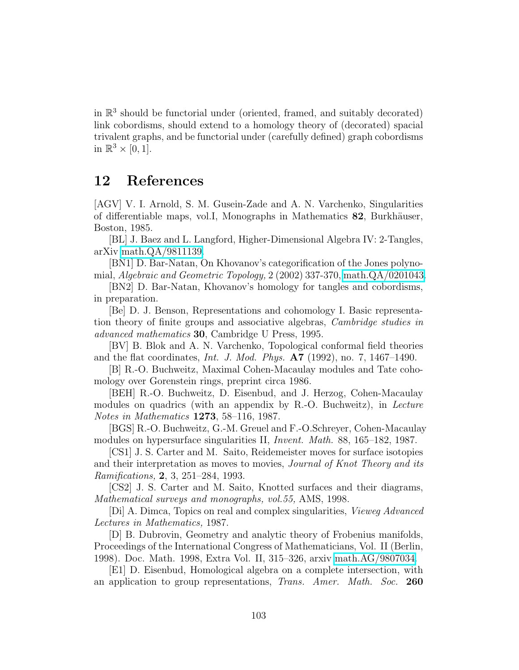in R 3 should be functorial under (oriented, framed, and suitably decorated) link cobordisms, should extend to a homology theory of (decorated) spacial trivalent graphs, and be functorial under (carefully defined) graph cobordisms in  $\mathbb{R}^3 \times [0,1]$ .

### 12 References

[AGV] V. I. Arnold, S. M. Gusein-Zade and A. N. Varchenko, Singularities of differentiable maps, vol.I, Monographs in Mathematics 82, Burkhäuser, Boston, 1985.

[BL] J. Baez and L. Langford, Higher-Dimensional Algebra IV: 2-Tangles, arXiv [math.QA/9811139.](http://arXiv.org/abs/math/9811139)

[BN1] D. Bar-Natan, On Khovanov's categorification of the Jones polynomial, *Algebraic and Geometric Topology,* 2 (2002) 337-370, [math.QA/0201043.](http://arXiv.org/abs/math/0201043)

[BN2] D. Bar-Natan, Khovanov's homology for tangles and cobordisms, in preparation.

[Be] D. J. Benson, Representations and cohomology I. Basic representation theory of finite groups and associative algebras, *Cambridge studies in advanced mathematics* 30, Cambridge U Press, 1995.

[BV] B. Blok and A. N. Varchenko, Topological conformal field theories and the flat coordinates, *Int. J. Mod. Phys.* A7 (1992), no. 7, 1467–1490.

[B] R.-O. Buchweitz, Maximal Cohen-Macaulay modules and Tate cohomology over Gorenstein rings, preprint circa 1986.

[BEH] R.-O. Buchweitz, D. Eisenbud, and J. Herzog, Cohen-Macaulay modules on quadrics (with an appendix by R.-O. Buchweitz), in *Lecture Notes in Mathematics* 1273, 58–116, 1987.

[BGS] R.-O. Buchweitz, G.-M. Greuel and F.-O.Schreyer, Cohen-Macaulay modules on hypersurface singularities II, *Invent. Math.* 88, 165–182, 1987.

[CS1] J. S. Carter and M. Saito, Reidemeister moves for surface isotopies and their interpretation as moves to movies, *Journal of Knot Theory and its Ramifications,* 2, 3, 251–284, 1993.

[CS2] J. S. Carter and M. Saito, Knotted surfaces and their diagrams, *Mathematical surveys and monographs, vol.55,* AMS, 1998.

[Di] A. Dimca, Topics on real and complex singularities, *Vieweg Advanced Lectures in Mathematics,* 1987.

[D] B. Dubrovin, Geometry and analytic theory of Frobenius manifolds, Proceedings of the International Congress of Mathematicians, Vol. II (Berlin, 1998). Doc. Math. 1998, Extra Vol. II, 315–326, arxiv [math.AG/9807034.](http://arXiv.org/abs/math/9807034)

[E1] D. Eisenbud, Homological algebra on a complete intersection, with an application to group representations, *Trans. Amer. Math. Soc.* 260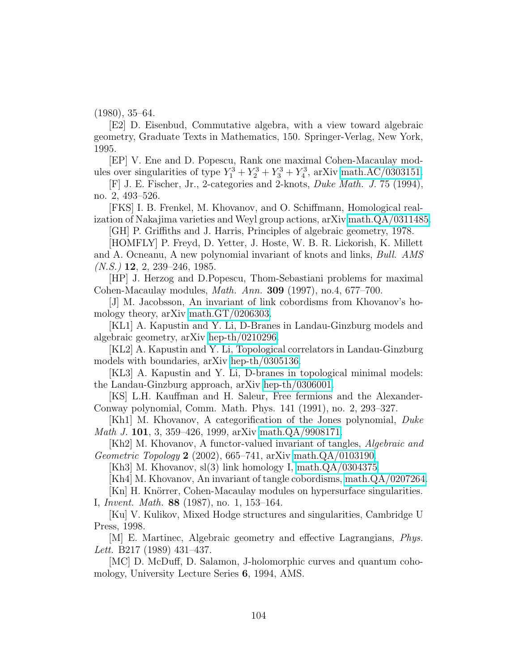(1980), 35–64.

[E2] D. Eisenbud, Commutative algebra, with a view toward algebraic geometry, Graduate Texts in Mathematics, 150. Springer-Verlag, New York, 1995.

[EP] V. Ene and D. Popescu, Rank one maximal Cohen-Macaulay modules over singularities of type  $Y_1^3 + Y_2^3 + Y_3^3 + Y_4^3$ , arXiv [math.AC/0303151.](http://arXiv.org/abs/math/0303151)

[F] J. E. Fischer, Jr., 2-categories and 2-knots, *Duke Math. J.* 75 (1994), no. 2, 493–526.

[FKS] I. B. Frenkel, M. Khovanov, and O. Schiffmann, Homological realization of Nakajima varieties and Weyl group actions, arXiv [math.QA/0311485.](http://arXiv.org/abs/math/0311485)

[GH] P. Griffiths and J. Harris, Principles of algebraic geometry, 1978.

[HOMFLY] P. Freyd, D. Yetter, J. Hoste, W. B. R. Lickorish, K. Millett and A. Ocneanu, A new polynomial invariant of knots and links, *Bull. AMS (N.S.)* 12, 2, 239–246, 1985.

[HP] J. Herzog and D.Popescu, Thom-Sebastiani problems for maximal Cohen-Macaulay modules, *Math. Ann.* 309 (1997), no.4, 677–700.

[J] M. Jacobsson, An invariant of link cobordisms from Khovanov's homology theory, arXiv [math.GT/0206303.](http://arXiv.org/abs/math/0206303)

[KL1] A. Kapustin and Y. Li, D-Branes in Landau-Ginzburg models and algebraic geometry, arXiv [hep-th/0210296.](http://arXiv.org/abs/hep-th/0210296)

[KL2] A. Kapustin and Y. Li, Topological correlators in Landau-Ginzburg models with boundaries, arXiv [hep-th/0305136.](http://arXiv.org/abs/hep-th/0305136)

[KL3] A. Kapustin and Y. Li, D-branes in topological minimal models: the Landau-Ginzburg approach, arXiv [hep-th/0306001.](http://arXiv.org/abs/hep-th/0306001)

[KS] L.H. Kauffman and H. Saleur, Free fermions and the Alexander-Conway polynomial, Comm. Math. Phys. 141 (1991), no. 2, 293–327.

[Kh1] M. Khovanov, A categorification of the Jones polynomial, *Duke Math J.* 101, 3, 359–426, 1999, arXiv [math.QA/9908171.](http://arXiv.org/abs/math/9908171)

[Kh2] M. Khovanov, A functor-valued invariant of tangles, *Algebraic and Geometric Topology* 2 (2002), 665–741, arXiv [math.QA/0103190.](http://arXiv.org/abs/math/0103190)

[Kh3] M. Khovanov, sl(3) link homology I, [math.QA/0304375.](http://arXiv.org/abs/math/0304375)

[Kh4] M. Khovanov, An invariant of tangle cobordisms, [math.QA/0207264.](http://arXiv.org/abs/math/0207264)

[Kn] H. Knörrer, Cohen-Macaulay modules on hypersurface singularities. I, *Invent. Math.* 88 (1987), no. 1, 153–164.

[Ku] V. Kulikov, Mixed Hodge structures and singularities, Cambridge U Press, 1998.

[M] E. Martinec, Algebraic geometry and effective Lagrangians, *Phys. Lett.* B217 (1989) 431–437.

[MC] D. McDuff, D. Salamon, J-holomorphic curves and quantum cohomology, University Lecture Series 6, 1994, AMS.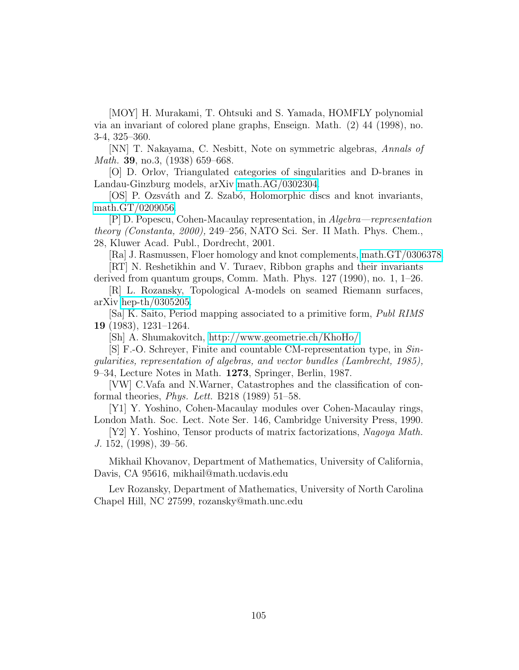[MOY] H. Murakami, T. Ohtsuki and S. Yamada, HOMFLY polynomial via an invariant of colored plane graphs, Enseign. Math. (2) 44 (1998), no. 3-4, 325–360.

[NN] T. Nakayama, C. Nesbitt, Note on symmetric algebras, *Annals of Math.* 39, no.3, (1938) 659–668.

[O] D. Orlov, Triangulated categories of singularities and D-branes in Landau-Ginzburg models, arXiv [math.AG/0302304.](http://arXiv.org/abs/math/0302304)

[OS] P. Ozsváth and Z. Szabó, Holomorphic discs and knot invariants, [math.GT/0209056.](http://arXiv.org/abs/math/0209056)

[P] D. Popescu, Cohen-Macaulay representation, in *Algebra—representation theory (Constanta, 2000),* 249–256, NATO Sci. Ser. II Math. Phys. Chem., 28, Kluwer Acad. Publ., Dordrecht, 2001.

[Ra] J. Rasmussen, Floer homology and knot complements, [math.GT/0306378.](http://arXiv.org/abs/math/0306378) [RT] N. Reshetikhin and V. Turaev, Ribbon graphs and their invariants

derived from quantum groups, Comm. Math. Phys. 127 (1990), no. 1, 1–26. [R] L. Rozansky, Topological A-models on seamed Riemann surfaces,

arXiv [hep-th/0305205.](http://arXiv.org/abs/hep-th/0305205)

[Sa] K. Saito, Period mapping associated to a primitive form, *Publ RIMS* 19 (1983), 1231–1264.

[Sh] A. Shumakovitch,<http://www.geometrie.ch/KhoHo/>

[S] F.-O. Schreyer, Finite and countable CM-representation type, in *Singularities, representation of algebras, and vector bundles (Lambrecht, 1985),* 9–34, Lecture Notes in Math. 1273, Springer, Berlin, 1987.

[VW] C.Vafa and N.Warner, Catastrophes and the classification of conformal theories, *Phys. Lett.* B218 (1989) 51–58.

[Y1] Y. Yoshino, Cohen-Macaulay modules over Cohen-Macaulay rings, London Math. Soc. Lect. Note Ser. 146, Cambridge University Press, 1990.

[Y2] Y. Yoshino, Tensor products of matrix factorizations, *Nagoya Math. J.* 152, (1998), 39–56.

Mikhail Khovanov, Department of Mathematics, University of California, Davis, CA 95616, mikhail@math.ucdavis.edu

Lev Rozansky, Department of Mathematics, University of North Carolina Chapel Hill, NC 27599, rozansky@math.unc.edu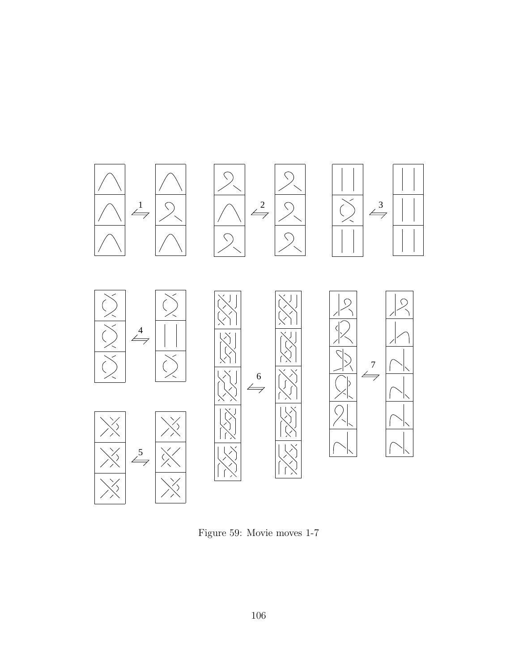

<span id="page-105-0"></span>Figure 59: Movie moves 1-7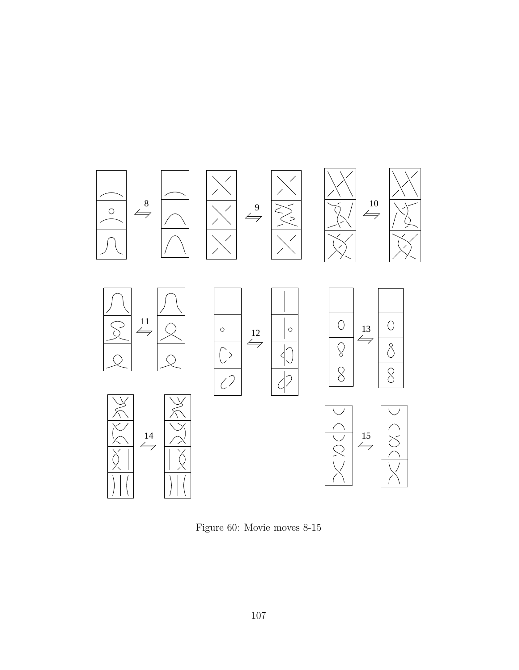

<span id="page-106-0"></span>Figure 60: Movie moves 8-15